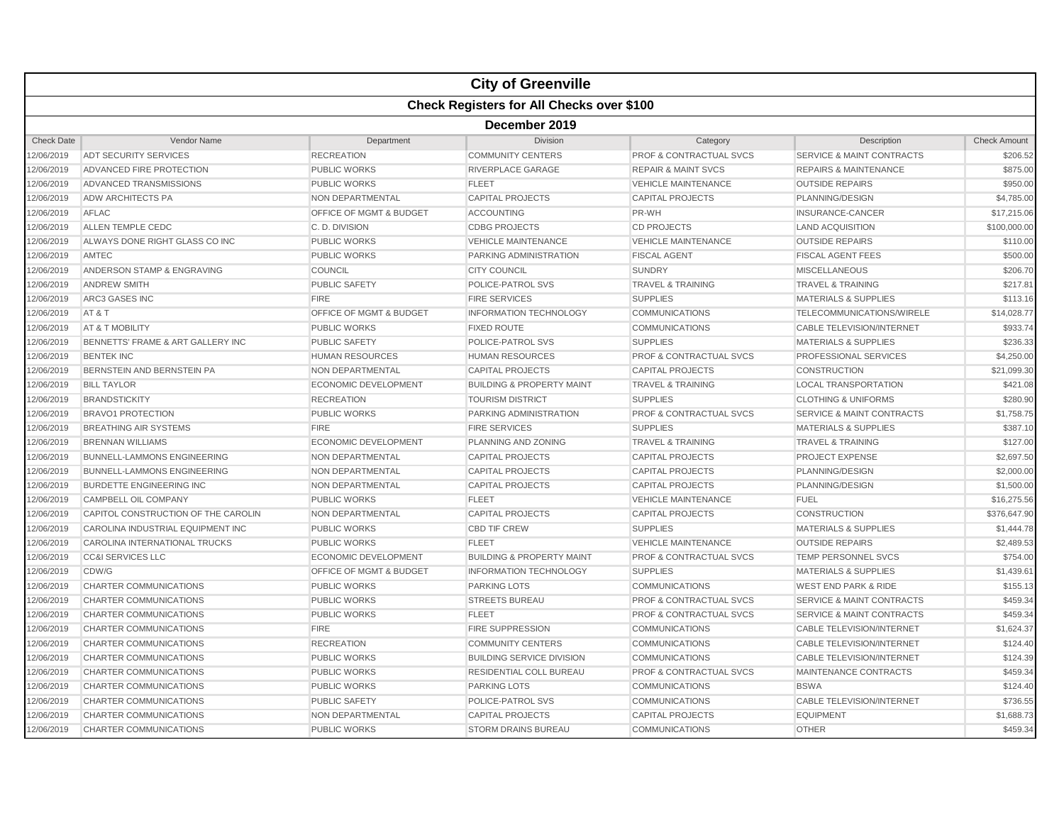|                   |                                                  |                                    | <b>City of Greenville</b>            |                                    |                                      |                     |  |  |  |
|-------------------|--------------------------------------------------|------------------------------------|--------------------------------------|------------------------------------|--------------------------------------|---------------------|--|--|--|
|                   | <b>Check Registers for All Checks over \$100</b> |                                    |                                      |                                    |                                      |                     |  |  |  |
|                   | December 2019                                    |                                    |                                      |                                    |                                      |                     |  |  |  |
| <b>Check Date</b> | Vendor Name                                      | Department                         | <b>Division</b>                      | Category                           | Description                          | <b>Check Amount</b> |  |  |  |
| 2/06/2019         | <b>ADT SECURITY SERVICES</b>                     | <b>RECREATION</b>                  | <b>COMMUNITY CENTERS</b>             | <b>PROF &amp; CONTRACTUAL SVCS</b> | <b>SERVICE &amp; MAINT CONTRACTS</b> | \$206.52            |  |  |  |
| 12/06/2019        | ADVANCED FIRE PROTECTION                         | <b>PUBLIC WORKS</b>                | RIVERPLACE GARAGE                    | <b>REPAIR &amp; MAINT SVCS</b>     | <b>REPAIRS &amp; MAINTENANCE</b>     | \$875.00            |  |  |  |
| 2/06/2019         | ADVANCED TRANSMISSIONS                           | <b>PUBLIC WORKS</b>                | <b>FLEET</b>                         | <b>VEHICLE MAINTENANCE</b>         | <b>OUTSIDE REPAIRS</b>               | \$950.00            |  |  |  |
| 2/06/2019         | ADW ARCHITECTS PA                                | NON DEPARTMENTAL                   | <b>CAPITAL PROJECTS</b>              | <b>CAPITAL PROJECTS</b>            | PLANNING/DESIGN                      | \$4,785.00          |  |  |  |
| 2/06/2019         | AFLAC                                            | OFFICE OF MGMT & BUDGET            | <b>ACCOUNTING</b>                    | PR-WH                              | <b>INSURANCE-CANCER</b>              | \$17,215.06         |  |  |  |
| 2/06/2019         | ALLEN TEMPLE CEDC                                | C.D. DIVISION                      | <b>CDBG PROJECTS</b>                 | <b>CD PROJECTS</b>                 | <b>LAND ACQUISITION</b>              | \$100,000.00        |  |  |  |
| 12/06/2019        | ALWAYS DONE RIGHT GLASS CO INC                   | <b>PUBLIC WORKS</b>                | <b>VEHICLE MAINTENANCE</b>           | <b>VEHICLE MAINTENANCE</b>         | <b>OUTSIDE REPAIRS</b>               | \$110.00            |  |  |  |
| 2/06/2019         | AMTEC                                            | <b>PUBLIC WORKS</b>                | PARKING ADMINISTRATION               | <b>FISCAL AGENT</b>                | <b>FISCAL AGENT FEES</b>             | \$500.00            |  |  |  |
| 2/06/2019         | ANDERSON STAMP & ENGRAVING                       | COUNCIL                            | <b>CITY COUNCIL</b>                  | <b>SUNDRY</b>                      | <b>MISCELLANEOUS</b>                 | \$206.70            |  |  |  |
| 12/06/2019        | <b>ANDREW SMITH</b>                              | <b>PUBLIC SAFETY</b>               | POLICE-PATROL SVS                    | <b>TRAVEL &amp; TRAINING</b>       | <b>TRAVEL &amp; TRAINING</b>         | \$217.81            |  |  |  |
| 2/06/2019         | <b>ARC3 GASES INC</b>                            | <b>FIRE</b>                        | <b>FIRE SERVICES</b>                 | <b>SUPPLIES</b>                    | <b>MATERIALS &amp; SUPPLIES</b>      | \$113.16            |  |  |  |
| 2/06/2019         | AT&T                                             | OFFICE OF MGMT & BUDGET            | <b>INFORMATION TECHNOLOGY</b>        | <b>COMMUNICATIONS</b>              | TELECOMMUNICATIONS/WIRELE            | \$14,028.77         |  |  |  |
| 2/06/2019         | AT & T MOBILITY                                  | <b>PUBLIC WORKS</b>                | <b>FIXED ROUTE</b>                   | <b>COMMUNICATIONS</b>              | <b>CABLE TELEVISION/INTERNET</b>     | \$933.74            |  |  |  |
| 2/06/2019         | BENNETTS' FRAME & ART GALLERY INC                | <b>PUBLIC SAFETY</b>               | POLICE-PATROL SVS                    | <b>SUPPLIES</b>                    | <b>MATERIALS &amp; SUPPLIES</b>      | \$236.33            |  |  |  |
| 12/06/2019        | <b>BENTEK INC</b>                                | <b>HUMAN RESOURCES</b>             | <b>HUMAN RESOURCES</b>               | <b>PROF &amp; CONTRACTUAL SVCS</b> | <b>PROFESSIONAL SERVICES</b>         | \$4,250.00          |  |  |  |
| 2/06/2019         | BERNSTEIN AND BERNSTEIN PA                       | <b>NON DEPARTMENTAL</b>            | <b>CAPITAL PROJECTS</b>              | <b>CAPITAL PROJECTS</b>            | <b>CONSTRUCTION</b>                  | \$21,099.30         |  |  |  |
| 2/06/2019         | <b>BILL TAYLOR</b>                               | <b>ECONOMIC DEVELOPMENT</b>        | <b>BUILDING &amp; PROPERTY MAINT</b> | <b>TRAVEL &amp; TRAINING</b>       | <b>LOCAL TRANSPORTATION</b>          | \$421.08            |  |  |  |
| 2/06/2019         | <b>BRANDSTICKITY</b>                             | <b>RECREATION</b>                  | <b>TOURISM DISTRICT</b>              | <b>SUPPLIES</b>                    | <b>CLOTHING &amp; UNIFORMS</b>       | \$280.90            |  |  |  |
| 2/06/2019         | <b>BRAVO1 PROTECTION</b>                         | <b>PUBLIC WORKS</b>                | PARKING ADMINISTRATION               | PROF & CONTRACTUAL SVCS            | <b>SERVICE &amp; MAINT CONTRACTS</b> | \$1,758.75          |  |  |  |
| 12/06/2019        | <b>BREATHING AIR SYSTEMS</b>                     | <b>FIRE</b>                        | <b>FIRE SERVICES</b>                 | <b>SUPPLIES</b>                    | <b>MATERIALS &amp; SUPPLIES</b>      | \$387.10            |  |  |  |
| 2/06/2019         | <b>BRENNAN WILLIAMS</b>                          | <b>ECONOMIC DEVELOPMENT</b>        | PLANNING AND ZONING                  | <b>TRAVEL &amp; TRAINING</b>       | <b>TRAVEL &amp; TRAINING</b>         | \$127.00            |  |  |  |
| 2/06/2019         | <b>BUNNELL-LAMMONS ENGINEERING</b>               | NON DEPARTMENTAL                   | <b>CAPITAL PROJECTS</b>              | <b>CAPITAL PROJECTS</b>            | <b>PROJECT EXPENSE</b>               | \$2,697.50          |  |  |  |
| 2/06/2019         | <b>BUNNELL-LAMMONS ENGINEERING</b>               | <b>NON DEPARTMENTAL</b>            | <b>CAPITAL PROJECTS</b>              | <b>CAPITAL PROJECTS</b>            | PLANNING/DESIGN                      | \$2,000.00          |  |  |  |
| 2/06/2019         | BURDETTE ENGINEERING INC                         | NON DEPARTMENTAL                   | <b>CAPITAL PROJECTS</b>              | <b>CAPITAL PROJECTS</b>            | PLANNING/DESIGN                      | \$1,500.00          |  |  |  |
| 12/06/2019        | CAMPBELL OIL COMPANY                             | <b>PUBLIC WORKS</b>                | <b>FLEET</b>                         | <b>VEHICLE MAINTENANCE</b>         | <b>FUEL</b>                          | \$16,275.56         |  |  |  |
| 2/06/2019         | CAPITOL CONSTRUCTION OF THE CAROLIN              | <b>NON DEPARTMENTAL</b>            | <b>CAPITAL PROJECTS</b>              | <b>CAPITAL PROJECTS</b>            | <b>CONSTRUCTION</b>                  | \$376,647.90        |  |  |  |
| 2/06/2019         | CAROLINA INDUSTRIAL EQUIPMENT INC                | <b>PUBLIC WORKS</b>                | <b>CBD TIF CREW</b>                  | <b>SUPPLIES</b>                    | <b>MATERIALS &amp; SUPPLIES</b>      | \$1,444.78          |  |  |  |
| 2/06/2019         | CAROLINA INTERNATIONAL TRUCKS                    | <b>PUBLIC WORKS</b>                | <b>FLEET</b>                         | <b>VEHICLE MAINTENANCE</b>         | <b>OUTSIDE REPAIRS</b>               | \$2,489.53          |  |  |  |
| 2/06/2019         | <b>CC&amp;I SERVICES LLC</b>                     | <b>ECONOMIC DEVELOPMENT</b>        | <b>BUILDING &amp; PROPERTY MAINT</b> | <b>PROF &amp; CONTRACTUAL SVCS</b> | <b>TEMP PERSONNEL SVCS</b>           | \$754.00            |  |  |  |
| 12/06/2019        | CDW/G                                            | <b>OFFICE OF MGMT &amp; BUDGET</b> | <b>INFORMATION TECHNOLOGY</b>        | <b>SUPPLIES</b>                    | <b>MATERIALS &amp; SUPPLIES</b>      | \$1,439.61          |  |  |  |
| 2/06/2019         | <b>CHARTER COMMUNICATIONS</b>                    | <b>PUBLIC WORKS</b>                | <b>PARKING LOTS</b>                  | COMMUNICATIONS                     | <b>WEST END PARK &amp; RIDE</b>      | \$155.13            |  |  |  |
| 2/06/2019         | CHARTER COMMUNICATIONS                           | <b>PUBLIC WORKS</b>                | <b>STREETS BUREAU</b>                | <b>PROF &amp; CONTRACTUAL SVCS</b> | <b>SERVICE &amp; MAINT CONTRACTS</b> | \$459.34            |  |  |  |
| 2/06/2019         | CHARTER COMMUNICATIONS                           | <b>PUBLIC WORKS</b>                | <b>FLEET</b>                         | PROF & CONTRACTUAL SVCS            | <b>SERVICE &amp; MAINT CONTRACTS</b> | \$459.34            |  |  |  |
| 2/06/2019         | <b>CHARTER COMMUNICATIONS</b>                    | <b>FIRE</b>                        | <b>FIRE SUPPRESSION</b>              | <b>COMMUNICATIONS</b>              | <b>CABLE TELEVISION/INTERNET</b>     | \$1,624.37          |  |  |  |
| 12/06/2019        | CHARTER COMMUNICATIONS                           | <b>RECREATION</b>                  | <b>COMMUNITY CENTERS</b>             | <b>COMMUNICATIONS</b>              | <b>CABLE TELEVISION/INTERNET</b>     | \$124.40            |  |  |  |
| 2/06/2019         | CHARTER COMMUNICATIONS                           | <b>PUBLIC WORKS</b>                | <b>BUILDING SERVICE DIVISION</b>     | <b>COMMUNICATIONS</b>              | <b>CABLE TELEVISION/INTERNET</b>     | \$124.39            |  |  |  |
| 12/06/2019        | CHARTER COMMUNICATIONS                           | <b>PUBLIC WORKS</b>                | RESIDENTIAL COLL BUREAU              | <b>PROF &amp; CONTRACTUAL SVCS</b> | MAINTENANCE CONTRACTS                | \$459.34            |  |  |  |
| 2/06/2019         | CHARTER COMMUNICATIONS                           | <b>PUBLIC WORKS</b>                | <b>PARKING LOTS</b>                  | <b>COMMUNICATIONS</b>              | <b>BSWA</b>                          | \$124.40            |  |  |  |
| 2/06/2019         | <b>CHARTER COMMUNICATIONS</b>                    | <b>PUBLIC SAFETY</b>               | POLICE-PATROL SVS                    | <b>COMMUNICATIONS</b>              | <b>CABLE TELEVISION/INTERNET</b>     | \$736.55            |  |  |  |
| 12/06/2019        | CHARTER COMMUNICATIONS                           | <b>NON DEPARTMENTAL</b>            | <b>CAPITAL PROJECTS</b>              | <b>CAPITAL PROJECTS</b>            | <b>EQUIPMENT</b>                     | \$1,688.73          |  |  |  |
| 12/06/2019        | <b>CHARTER COMMUNICATIONS</b>                    | <b>PUBLIC WORKS</b>                | <b>STORM DRAINS BUREAU</b>           | <b>COMMUNICATIONS</b>              | <b>OTHER</b>                         | \$459.34            |  |  |  |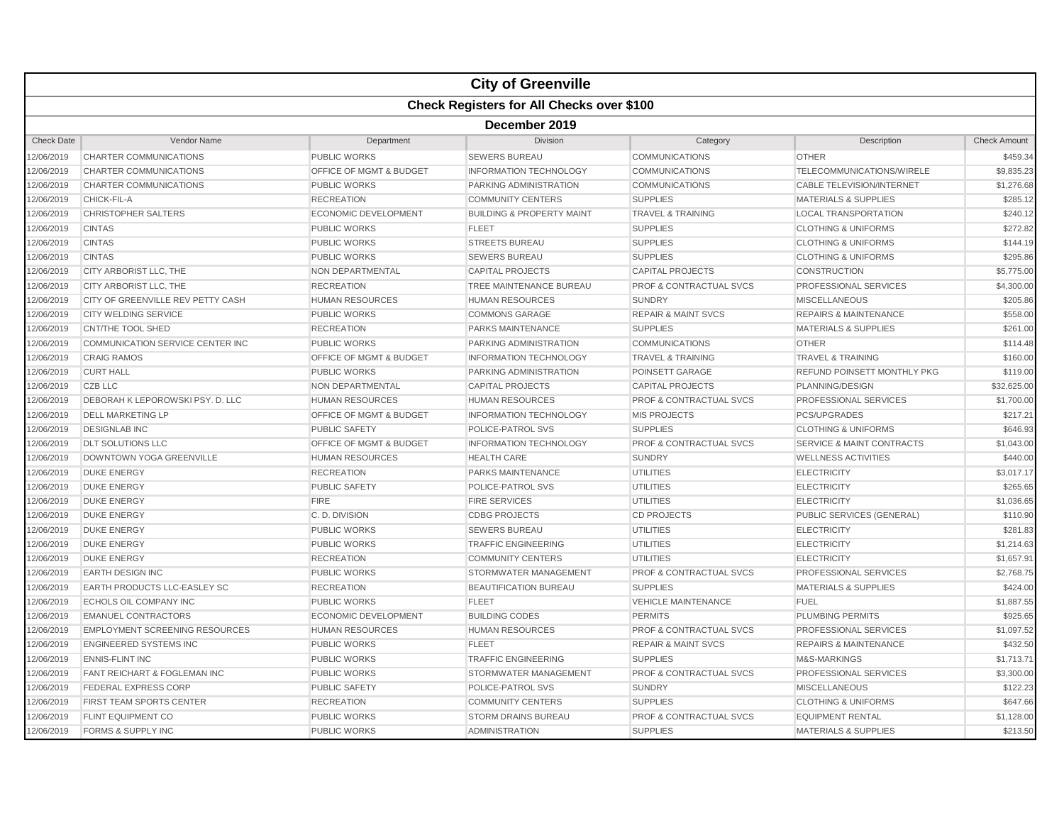|                   |                                       |                                    | <b>City of Greenville</b>                        |                                    |                                      |                     |  |  |  |
|-------------------|---------------------------------------|------------------------------------|--------------------------------------------------|------------------------------------|--------------------------------------|---------------------|--|--|--|
|                   |                                       |                                    | <b>Check Registers for All Checks over \$100</b> |                                    |                                      |                     |  |  |  |
|                   | December 2019                         |                                    |                                                  |                                    |                                      |                     |  |  |  |
| <b>Check Date</b> | Vendor Name                           | Department                         | Division                                         | Category                           | Description                          | <b>Check Amount</b> |  |  |  |
| 2/06/2019         | <b>CHARTER COMMUNICATIONS</b>         | <b>PUBLIC WORKS</b>                | <b>SEWERS BUREAU</b>                             | <b>COMMUNICATIONS</b>              | <b>OTHER</b>                         | \$459.34            |  |  |  |
| 2/06/2019         | <b>CHARTER COMMUNICATIONS</b>         | <b>OFFICE OF MGMT &amp; BUDGET</b> | <b>INFORMATION TECHNOLOGY</b>                    | <b>COMMUNICATIONS</b>              | <b>TELECOMMUNICATIONS/WIRELE</b>     | \$9,835.23          |  |  |  |
| 2/06/2019         | <b>CHARTER COMMUNICATIONS</b>         | PUBLIC WORKS                       | PARKING ADMINISTRATION                           | <b>COMMUNICATIONS</b>              | <b>CABLE TELEVISION/INTERNET</b>     | \$1,276.68          |  |  |  |
| 2/06/2019         | CHICK-FIL-A                           | <b>RECREATION</b>                  | <b>COMMUNITY CENTERS</b>                         | <b>SUPPLIES</b>                    | <b>MATERIALS &amp; SUPPLIES</b>      | \$285.12            |  |  |  |
| 12/06/2019        | <b>CHRISTOPHER SALTERS</b>            | <b>ECONOMIC DEVELOPMENT</b>        | <b>BUILDING &amp; PROPERTY MAINT</b>             | <b>TRAVEL &amp; TRAINING</b>       | <b>LOCAL TRANSPORTATION</b>          | \$240.12            |  |  |  |
| 2/06/2019         | <b>CINTAS</b>                         | <b>PUBLIC WORKS</b>                | <b>FLEET</b>                                     | <b>SUPPLIES</b>                    | <b>CLOTHING &amp; UNIFORMS</b>       | \$272.82            |  |  |  |
| 2/06/2019         | <b>CINTAS</b>                         | <b>PUBLIC WORKS</b>                | <b>STREETS BUREAU</b>                            | <b>SUPPLIES</b>                    | <b>CLOTHING &amp; UNIFORMS</b>       | \$144.19            |  |  |  |
| 2/06/2019         | <b>CINTAS</b>                         | <b>PUBLIC WORKS</b>                | <b>SEWERS BUREAU</b>                             | <b>SUPPLIES</b>                    | <b>CLOTHING &amp; UNIFORMS</b>       | \$295.86            |  |  |  |
| 2/06/2019         | CITY ARBORIST LLC, THE                | <b>NON DEPARTMENTAL</b>            | <b>CAPITAL PROJECTS</b>                          | <b>CAPITAL PROJECTS</b>            | <b>CONSTRUCTION</b>                  | \$5,775.00          |  |  |  |
| 12/06/2019        | CITY ARBORIST LLC, THE                | <b>RECREATION</b>                  | TREE MAINTENANCE BUREAU                          | <b>PROF &amp; CONTRACTUAL SVCS</b> | PROFESSIONAL SERVICES                | \$4,300.00          |  |  |  |
| 2/06/2019         | CITY OF GREENVILLE REV PETTY CASH     | <b>HUMAN RESOURCES</b>             | <b>HUMAN RESOURCES</b>                           | <b>SUNDRY</b>                      | <b>MISCELLANEOUS</b>                 | \$205.86            |  |  |  |
| 2/06/2019         | <b>CITY WELDING SERVICE</b>           | <b>PUBLIC WORKS</b>                | <b>COMMONS GARAGE</b>                            | <b>REPAIR &amp; MAINT SVCS</b>     | <b>REPAIRS &amp; MAINTENANCE</b>     | \$558.00            |  |  |  |
| 2/06/2019         | <b>CNT/THE TOOL SHED</b>              | <b>RECREATION</b>                  | PARKS MAINTENANCE                                | <b>SUPPLIES</b>                    | <b>MATERIALS &amp; SUPPLIES</b>      | \$261.00            |  |  |  |
| 2/06/2019         | COMMUNICATION SERVICE CENTER INC      | <b>PUBLIC WORKS</b>                | PARKING ADMINISTRATION                           | <b>COMMUNICATIONS</b>              | <b>OTHER</b>                         | \$114.48            |  |  |  |
| 12/06/2019        | <b>CRAIG RAMOS</b>                    | <b>OFFICE OF MGMT &amp; BUDGET</b> | <b>INFORMATION TECHNOLOGY</b>                    | <b>TRAVEL &amp; TRAINING</b>       | <b>TRAVEL &amp; TRAINING</b>         | \$160.00            |  |  |  |
| 2/06/2019         | <b>CURT HALL</b>                      | <b>PUBLIC WORKS</b>                | PARKING ADMINISTRATION                           | POINSETT GARAGE                    | REFUND POINSETT MONTHLY PKG          | \$119.00            |  |  |  |
| 2/06/2019         | CZB LLC                               | <b>NON DEPARTMENTAL</b>            | <b>CAPITAL PROJECTS</b>                          | <b>CAPITAL PROJECTS</b>            | PLANNING/DESIGN                      | \$32,625.00         |  |  |  |
| 2/06/2019         | DEBORAH K LEPOROWSKI PSY. D. LLC      | <b>HUMAN RESOURCES</b>             | <b>HUMAN RESOURCES</b>                           | <b>PROF &amp; CONTRACTUAL SVCS</b> | PROFESSIONAL SERVICES                | \$1,700.00          |  |  |  |
| 2/06/2019         | <b>DELL MARKETING LP</b>              | <b>OFFICE OF MGMT &amp; BUDGET</b> | <b>INFORMATION TECHNOLOGY</b>                    | <b>MIS PROJECTS</b>                | <b>PCS/UPGRADES</b>                  | \$217.21            |  |  |  |
| 12/06/2019        | <b>DESIGNLAB INC</b>                  | <b>PUBLIC SAFETY</b>               | POLICE-PATROL SVS                                | <b>SUPPLIES</b>                    | <b>CLOTHING &amp; UNIFORMS</b>       | \$646.93            |  |  |  |
| 2/06/2019         | DLT SOLUTIONS LLC                     | OFFICE OF MGMT & BUDGET            | <b>INFORMATION TECHNOLOGY</b>                    | <b>PROF &amp; CONTRACTUAL SVCS</b> | <b>SERVICE &amp; MAINT CONTRACTS</b> | \$1,043.00          |  |  |  |
| 2/06/2019         | DOWNTOWN YOGA GREENVILLE              | <b>HUMAN RESOURCES</b>             | <b>HEALTH CARE</b>                               | <b>SUNDRY</b>                      | <b>WELLNESS ACTIVITIES</b>           | \$440.00            |  |  |  |
| 2/06/2019         | <b>DUKE ENERGY</b>                    | <b>RECREATION</b>                  | PARKS MAINTENANCE                                | <b>UTILITIES</b>                   | <b>ELECTRICITY</b>                   | \$3,017.17          |  |  |  |
| 2/06/2019         | <b>DUKE ENERGY</b>                    | <b>PUBLIC SAFETY</b>               | POLICE-PATROL SVS                                | <b>UTILITIES</b>                   | <b>ELECTRICITY</b>                   | \$265.65            |  |  |  |
| 12/06/2019        | <b>DUKE ENERGY</b>                    | <b>FIRE</b>                        | <b>FIRE SERVICES</b>                             | <b>UTILITIES</b>                   | <b>ELECTRICITY</b>                   | \$1,036.65          |  |  |  |
| 2/06/2019         | <b>DUKE ENERGY</b>                    | C.D. DIVISION                      | <b>CDBG PROJECTS</b>                             | <b>CD PROJECTS</b>                 | PUBLIC SERVICES (GENERAL)            | \$110.90            |  |  |  |
| 2/06/2019         | <b>DUKE ENERGY</b>                    | <b>PUBLIC WORKS</b>                | <b>SEWERS BUREAU</b>                             | <b>UTILITIES</b>                   | <b>ELECTRICITY</b>                   | \$281.83            |  |  |  |
| 2/06/2019         | <b>DUKE ENERGY</b>                    | <b>PUBLIC WORKS</b>                | <b>TRAFFIC ENGINEERING</b>                       | <b>UTILITIES</b>                   | <b>ELECTRICITY</b>                   | \$1,214.63          |  |  |  |
| 2/06/2019         | <b>DUKE ENERGY</b>                    | <b>RECREATION</b>                  | <b>COMMUNITY CENTERS</b>                         | <b>UTILITIES</b>                   | <b>ELECTRICITY</b>                   | \$1,657.91          |  |  |  |
| 12/06/2019        | <b>EARTH DESIGN INC</b>               | <b>PUBLIC WORKS</b>                | STORMWATER MANAGEMENT                            | <b>PROF &amp; CONTRACTUAL SVCS</b> | PROFESSIONAL SERVICES                | \$2,768.75          |  |  |  |
| 2/06/2019         | <b>EARTH PRODUCTS LLC-EASLEY SC</b>   | <b>RECREATION</b>                  | <b>BEAUTIFICATION BUREAU</b>                     | <b>SUPPLIES</b>                    | <b>MATERIALS &amp; SUPPLIES</b>      | \$424.00            |  |  |  |
| 2/06/2019         | ECHOLS OIL COMPANY INC                | <b>PUBLIC WORKS</b>                | <b>FLEET</b>                                     | <b>VEHICLE MAINTENANCE</b>         | <b>FUEL</b>                          | \$1,887.55          |  |  |  |
| 2/06/2019         | <b>EMANUEL CONTRACTORS</b>            | <b>ECONOMIC DEVELOPMENT</b>        | <b>BUILDING CODES</b>                            | <b>PERMITS</b>                     | <b>PLUMBING PERMITS</b>              | \$925.65            |  |  |  |
| 2/06/2019         | <b>EMPLOYMENT SCREENING RESOURCES</b> | <b>HUMAN RESOURCES</b>             | <b>HUMAN RESOURCES</b>                           | <b>PROF &amp; CONTRACTUAL SVCS</b> | <b>PROFESSIONAL SERVICES</b>         | \$1,097.52          |  |  |  |
| 12/06/2019        | <b>ENGINEERED SYSTEMS INC</b>         | <b>PUBLIC WORKS</b>                | <b>FLEET</b>                                     | <b>REPAIR &amp; MAINT SVCS</b>     | <b>REPAIRS &amp; MAINTENANCE</b>     | \$432.50            |  |  |  |
| 2/06/2019         | <b>ENNIS-FLINT INC</b>                | <b>PUBLIC WORKS</b>                | <b>TRAFFIC ENGINEERING</b>                       | <b>SUPPLIES</b>                    | M&S-MARKINGS                         | \$1,713.71          |  |  |  |
| 2/06/2019         | FANT REICHART & FOGLEMAN INC          | <b>PUBLIC WORKS</b>                | STORMWATER MANAGEMENT                            | PROF & CONTRACTUAL SVCS            | PROFESSIONAL SERVICES                | \$3,300.00          |  |  |  |
| 2/06/2019         | FEDERAL EXPRESS CORP                  | <b>PUBLIC SAFETY</b>               | POLICE-PATROL SVS                                | <b>SUNDRY</b>                      | <b>MISCELLANEOUS</b>                 | \$122.23            |  |  |  |
| 2/06/2019         | FIRST TEAM SPORTS CENTER              | <b>RECREATION</b>                  | <b>COMMUNITY CENTERS</b>                         | <b>SUPPLIES</b>                    | <b>CLOTHING &amp; UNIFORMS</b>       | \$647.66            |  |  |  |
| 12/06/2019        | FLINT EQUIPMENT CO                    | <b>PUBLIC WORKS</b>                | STORM DRAINS BUREAU                              | <b>PROF &amp; CONTRACTUAL SVCS</b> | <b>EQUIPMENT RENTAL</b>              | \$1,128.00          |  |  |  |
| 12/06/2019        | <b>FORMS &amp; SUPPLY INC</b>         | <b>PUBLIC WORKS</b>                | <b>ADMINISTRATION</b>                            | <b>SUPPLIES</b>                    | <b>MATERIALS &amp; SUPPLIES</b>      | \$213.50            |  |  |  |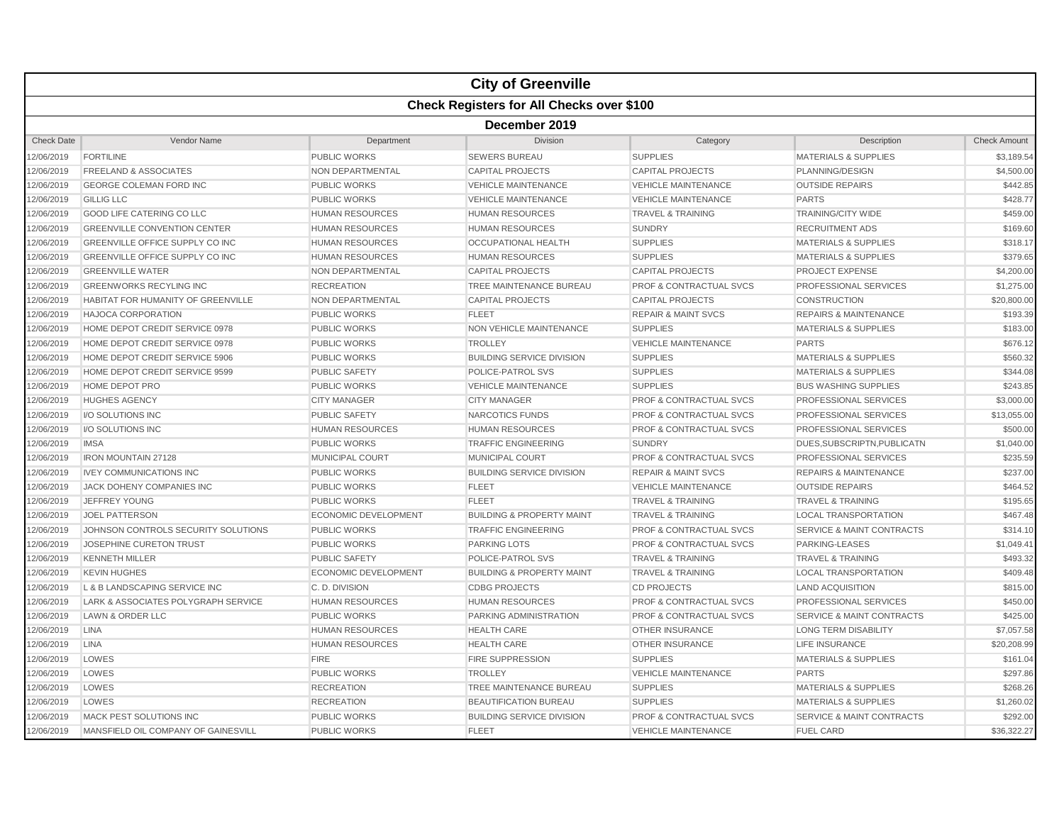|                   |                                        |                             | <b>City of Greenville</b>                        |                                    |                                      |                     |  |  |  |  |
|-------------------|----------------------------------------|-----------------------------|--------------------------------------------------|------------------------------------|--------------------------------------|---------------------|--|--|--|--|
|                   |                                        |                             | <b>Check Registers for All Checks over \$100</b> |                                    |                                      |                     |  |  |  |  |
|                   | December 2019                          |                             |                                                  |                                    |                                      |                     |  |  |  |  |
| <b>Check Date</b> | Vendor Name                            | Department                  | <b>Division</b>                                  | Category                           | Description                          | <b>Check Amount</b> |  |  |  |  |
| 12/06/2019        | <b>FORTILINE</b>                       | PUBLIC WORKS                | SEWERS BUREAU                                    | <b>SUPPLIES</b>                    | <b>MATERIALS &amp; SUPPLIES</b>      | \$3,189.54          |  |  |  |  |
| 12/06/2019        | <b>FREELAND &amp; ASSOCIATES</b>       | NON DEPARTMENTAL            | <b>CAPITAL PROJECTS</b>                          | <b>CAPITAL PROJECTS</b>            | PLANNING/DESIGN                      | \$4,500.00          |  |  |  |  |
| 12/06/2019        | <b>GEORGE COLEMAN FORD INC</b>         | PUBLIC WORKS                | <b>VEHICLE MAINTENANCE</b>                       | <b>VEHICLE MAINTENANCE</b>         | <b>OUTSIDE REPAIRS</b>               | \$442.85            |  |  |  |  |
| 12/06/2019        | <b>GILLIG LLC</b>                      | <b>PUBLIC WORKS</b>         | <b>VEHICLE MAINTENANCE</b>                       | <b>VEHICLE MAINTENANCE</b>         | <b>PARTS</b>                         | \$428.77            |  |  |  |  |
| 12/06/2019        | <b>GOOD LIFE CATERING CO LLC</b>       | <b>HUMAN RESOURCES</b>      | HUMAN RESOURCES                                  | <b>TRAVEL &amp; TRAINING</b>       | <b>TRAINING/CITY WIDE</b>            | \$459.00            |  |  |  |  |
| 12/06/2019        | <b>GREENVILLE CONVENTION CENTER</b>    | <b>HUMAN RESOURCES</b>      | <b>HUMAN RESOURCES</b>                           | <b>SUNDRY</b>                      | <b>RECRUITMENT ADS</b>               | \$169.60            |  |  |  |  |
| 12/06/2019        | <b>GREENVILLE OFFICE SUPPLY CO INC</b> | <b>HUMAN RESOURCES</b>      | OCCUPATIONAL HEALTH                              | <b>SUPPLIES</b>                    | <b>MATERIALS &amp; SUPPLIES</b>      | \$318.17            |  |  |  |  |
| 12/06/2019        | GREENVILLE OFFICE SUPPLY CO INC        | <b>HUMAN RESOURCES</b>      | <b>HUMAN RESOURCES</b>                           | <b>SUPPLIES</b>                    | <b>MATERIALS &amp; SUPPLIES</b>      | \$379.65            |  |  |  |  |
| 12/06/2019        | <b>GREENVILLE WATER</b>                | NON DEPARTMENTAL            | <b>CAPITAL PROJECTS</b>                          | <b>CAPITAL PROJECTS</b>            | <b>PROJECT EXPENSE</b>               | \$4,200.00          |  |  |  |  |
| 12/06/2019        | <b>GREENWORKS RECYLING INC</b>         | <b>RECREATION</b>           | TREE MAINTENANCE BUREAU                          | <b>PROF &amp; CONTRACTUAL SVCS</b> | PROFESSIONAL SERVICES                | \$1,275.00          |  |  |  |  |
| 12/06/2019        | HABITAT FOR HUMANITY OF GREENVILLE     | <b>NON DEPARTMENTAL</b>     | <b>CAPITAL PROJECTS</b>                          | <b>CAPITAL PROJECTS</b>            | <b>CONSTRUCTION</b>                  | \$20,800.00         |  |  |  |  |
| 12/06/2019        | <b>HAJOCA CORPORATION</b>              | <b>PUBLIC WORKS</b>         | <b>FLEET</b>                                     | <b>REPAIR &amp; MAINT SVCS</b>     | <b>REPAIRS &amp; MAINTENANCE</b>     | \$193.39            |  |  |  |  |
| 12/06/2019        | HOME DEPOT CREDIT SERVICE 0978         | <b>PUBLIC WORKS</b>         | <b>NON VEHICLE MAINTENANCE</b>                   | <b>SUPPLIES</b>                    | <b>MATERIALS &amp; SUPPLIES</b>      | \$183.00            |  |  |  |  |
| 12/06/2019        | HOME DEPOT CREDIT SERVICE 0978         | <b>PUBLIC WORKS</b>         | <b>TROLLEY</b>                                   | <b>VEHICLE MAINTENANCE</b>         | <b>PARTS</b>                         | \$676.12            |  |  |  |  |
| 12/06/2019        | HOME DEPOT CREDIT SERVICE 5906         | <b>PUBLIC WORKS</b>         | <b>BUILDING SERVICE DIVISION</b>                 | <b>SUPPLIES</b>                    | <b>MATERIALS &amp; SUPPLIES</b>      | \$560.32            |  |  |  |  |
| 12/06/2019        | HOME DEPOT CREDIT SERVICE 9599         | <b>PUBLIC SAFETY</b>        | POLICE-PATROL SVS                                | <b>SUPPLIES</b>                    | <b>MATERIALS &amp; SUPPLIES</b>      | \$344.08            |  |  |  |  |
| 12/06/2019        | <b>HOME DEPOT PRO</b>                  | <b>PUBLIC WORKS</b>         | <b>VEHICLE MAINTENANCE</b>                       | <b>SUPPLIES</b>                    | <b>BUS WASHING SUPPLIES</b>          | \$243.85            |  |  |  |  |
| 12/06/2019        | <b>HUGHES AGENCY</b>                   | <b>CITY MANAGER</b>         | <b>CITY MANAGER</b>                              | <b>PROF &amp; CONTRACTUAL SVCS</b> | <b>PROFESSIONAL SERVICES</b>         | \$3,000.00          |  |  |  |  |
| 12/06/2019        | I/O SOLUTIONS INC                      | <b>PUBLIC SAFETY</b>        | NARCOTICS FUNDS                                  | <b>PROF &amp; CONTRACTUAL SVCS</b> | PROFESSIONAL SERVICES                | \$13,055.00         |  |  |  |  |
| 12/06/2019        | I/O SOLUTIONS INC                      | <b>HUMAN RESOURCES</b>      | <b>HUMAN RESOURCES</b>                           | <b>PROF &amp; CONTRACTUAL SVCS</b> | PROFESSIONAL SERVICES                | \$500.00            |  |  |  |  |
| 12/06/2019        | <b>IMSA</b>                            | <b>PUBLIC WORKS</b>         | <b>TRAFFIC ENGINEERING</b>                       | <b>SUNDRY</b>                      | DUES, SUBSCRIPTN, PUBLICATN          | \$1,040.00          |  |  |  |  |
| 12/06/2019        | <b>IRON MOUNTAIN 27128</b>             | MUNICIPAL COURT             | MUNICIPAL COURT                                  | PROF & CONTRACTUAL SVCS            | PROFESSIONAL SERVICES                | \$235.59            |  |  |  |  |
| 12/06/2019        | <b>IVEY COMMUNICATIONS INC</b>         | <b>PUBLIC WORKS</b>         | <b>BUILDING SERVICE DIVISION</b>                 | <b>REPAIR &amp; MAINT SVCS</b>     | <b>REPAIRS &amp; MAINTENANCE</b>     | \$237.00            |  |  |  |  |
| 12/06/2019        | JACK DOHENY COMPANIES INC              | <b>PUBLIC WORKS</b>         | <b>FLEET</b>                                     | <b>VEHICLE MAINTENANCE</b>         | <b>OUTSIDE REPAIRS</b>               | \$464.52            |  |  |  |  |
| 12/06/2019        | <b>JEFFREY YOUNG</b>                   | <b>PUBLIC WORKS</b>         | <b>FLEET</b>                                     | <b>TRAVEL &amp; TRAINING</b>       | <b>TRAVEL &amp; TRAINING</b>         | \$195.65            |  |  |  |  |
| 12/06/2019        | <b>JOEL PATTERSON</b>                  | ECONOMIC DEVELOPMENT        | <b>BUILDING &amp; PROPERTY MAINT</b>             | <b>TRAVEL &amp; TRAINING</b>       | <b>LOCAL TRANSPORTATION</b>          | \$467.48            |  |  |  |  |
| 12/06/2019        | JOHNSON CONTROLS SECURITY SOLUTIONS    | <b>PUBLIC WORKS</b>         | <b>TRAFFIC ENGINEERING</b>                       | PROF & CONTRACTUAL SVCS            | <b>SERVICE &amp; MAINT CONTRACTS</b> | \$314.10            |  |  |  |  |
| 12/06/2019        | JOSEPHINE CURETON TRUST                | <b>PUBLIC WORKS</b>         | <b>PARKING LOTS</b>                              | <b>PROF &amp; CONTRACTUAL SVCS</b> | PARKING-LEASES                       | \$1,049.41          |  |  |  |  |
| 12/06/2019        | <b>KENNETH MILLER</b>                  | <b>PUBLIC SAFETY</b>        | POLICE-PATROL SVS                                | <b>TRAVEL &amp; TRAINING</b>       | <b>TRAVEL &amp; TRAINING</b>         | \$493.32            |  |  |  |  |
| 12/06/2019        | <b>KEVIN HUGHES</b>                    | <b>ECONOMIC DEVELOPMENT</b> | <b>BUILDING &amp; PROPERTY MAINT</b>             | <b>TRAVEL &amp; TRAINING</b>       | <b>LOCAL TRANSPORTATION</b>          | \$409.48            |  |  |  |  |
| 12/06/2019        | L & B LANDSCAPING SERVICE INC          | C.D. DIVISION               | <b>CDBG PROJECTS</b>                             | <b>CD PROJECTS</b>                 | <b>LAND ACQUISITION</b>              | \$815.00            |  |  |  |  |
| 12/06/2019        | LARK & ASSOCIATES POLYGRAPH SERVICE    | <b>HUMAN RESOURCES</b>      | <b>HUMAN RESOURCES</b>                           | <b>PROF &amp; CONTRACTUAL SVCS</b> | PROFESSIONAL SERVICES                | \$450.00            |  |  |  |  |
| 12/06/2019        | <b>LAWN &amp; ORDER LLC</b>            | <b>PUBLIC WORKS</b>         | PARKING ADMINISTRATION                           | <b>PROF &amp; CONTRACTUAL SVCS</b> | <b>SERVICE &amp; MAINT CONTRACTS</b> | \$425.00            |  |  |  |  |
| 12/06/2019        | <b>LINA</b>                            | <b>HUMAN RESOURCES</b>      | <b>HEALTH CARE</b>                               | <b>OTHER INSURANCE</b>             | <b>LONG TERM DISABILITY</b>          | \$7,057.58          |  |  |  |  |
| 12/06/2019        | <b>LINA</b>                            | <b>HUMAN RESOURCES</b>      | <b>HEALTH CARE</b>                               | <b>OTHER INSURANCE</b>             | <b>LIFE INSURANCE</b>                | \$20,208.99         |  |  |  |  |
| 12/06/2019        | LOWES                                  | <b>FIRE</b>                 | FIRE SUPPRESSION                                 | <b>SUPPLIES</b>                    | <b>MATERIALS &amp; SUPPLIES</b>      | \$161.04            |  |  |  |  |
| 12/06/2019        | LOWES                                  | <b>PUBLIC WORKS</b>         | <b>TROLLEY</b>                                   | <b>VEHICLE MAINTENANCE</b>         | <b>PARTS</b>                         | \$297.86            |  |  |  |  |
| 12/06/2019        | LOWES                                  | <b>RECREATION</b>           | TREE MAINTENANCE BUREAU                          | <b>SUPPLIES</b>                    | <b>MATERIALS &amp; SUPPLIES</b>      | \$268.26            |  |  |  |  |
| 12/06/2019        | LOWES                                  | <b>RECREATION</b>           | <b>BEAUTIFICATION BUREAU</b>                     | <b>SUPPLIES</b>                    | <b>MATERIALS &amp; SUPPLIES</b>      | \$1,260.02          |  |  |  |  |
| 12/06/2019        | <b>MACK PEST SOLUTIONS INC</b>         | <b>PUBLIC WORKS</b>         | <b>BUILDING SERVICE DIVISION</b>                 | <b>PROF &amp; CONTRACTUAL SVCS</b> | <b>SERVICE &amp; MAINT CONTRACTS</b> | \$292.00            |  |  |  |  |
| 12/06/2019        | MANSFIELD OIL COMPANY OF GAINESVILL    | PUBLIC WORKS                | <b>FLEET</b>                                     | <b>VEHICLE MAINTENANCE</b>         | <b>FUEL CARD</b>                     | \$36,322.27         |  |  |  |  |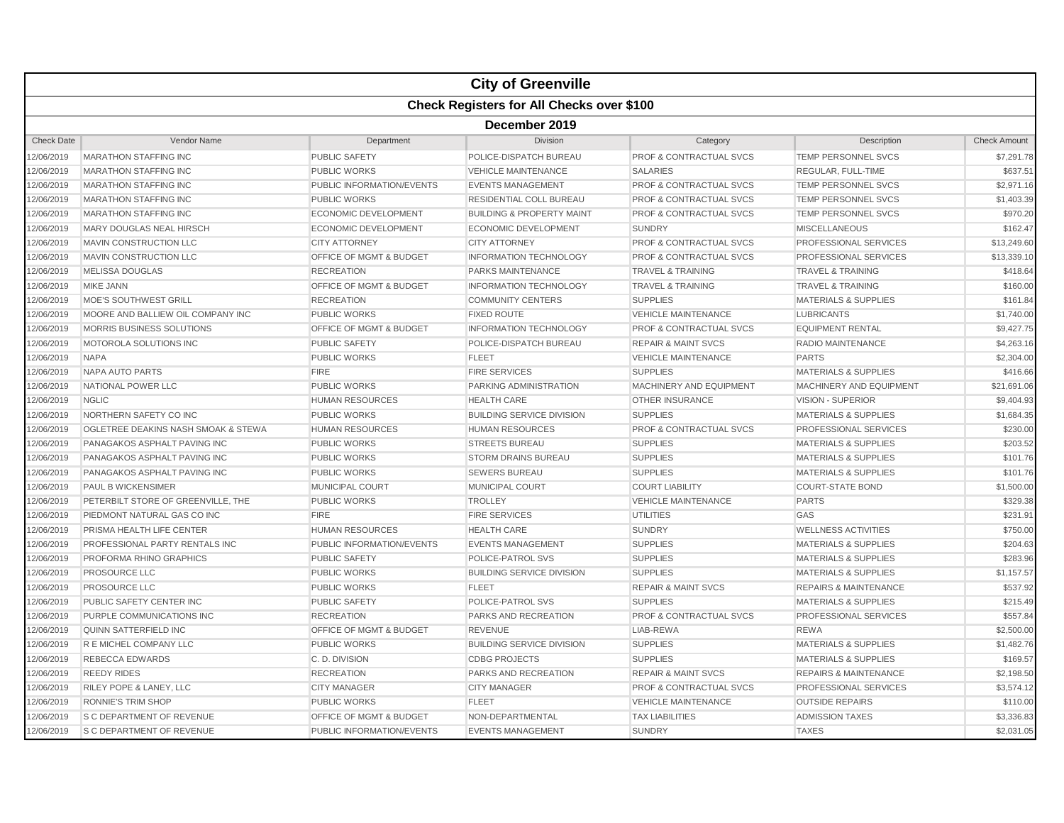|                   |                                                  |                                    | <b>City of Greenville</b>            |                                    |                                  |                     |  |  |  |
|-------------------|--------------------------------------------------|------------------------------------|--------------------------------------|------------------------------------|----------------------------------|---------------------|--|--|--|
|                   | <b>Check Registers for All Checks over \$100</b> |                                    |                                      |                                    |                                  |                     |  |  |  |
|                   | December 2019                                    |                                    |                                      |                                    |                                  |                     |  |  |  |
| <b>Check Date</b> | Vendor Name                                      | Department                         | <b>Division</b>                      | Category                           | Description                      | <b>Check Amount</b> |  |  |  |
| 2/06/2019         | <b>MARATHON STAFFING INC</b>                     | <b>PUBLIC SAFETY</b>               | POLICE-DISPATCH BUREAU               | PROF & CONTRACTUAL SVCS            | TEMP PERSONNEL SVCS              | \$7,291.78          |  |  |  |
| 2/06/2019         | <b>MARATHON STAFFING INC</b>                     | <b>PUBLIC WORKS</b>                | <b>VEHICLE MAINTENANCE</b>           | <b>SALARIES</b>                    | <b>REGULAR, FULL-TIME</b>        | \$637.51            |  |  |  |
| 2/06/2019         | <b>MARATHON STAFFING INC</b>                     | PUBLIC INFORMATION/EVENTS          | <b>EVENTS MANAGEMENT</b>             | PROF & CONTRACTUAL SVCS            | TEMP PERSONNEL SVCS              | \$2,971.16          |  |  |  |
| 2/06/2019         | <b>MARATHON STAFFING INC</b>                     | <b>PUBLIC WORKS</b>                | RESIDENTIAL COLL BUREAU              | PROF & CONTRACTUAL SVCS            | <b>TEMP PERSONNEL SVCS</b>       | \$1,403.39          |  |  |  |
| 12/06/2019        | <b>MARATHON STAFFING INC</b>                     | ECONOMIC DEVELOPMENT               | <b>BUILDING &amp; PROPERTY MAINT</b> | <b>PROF &amp; CONTRACTUAL SVCS</b> | <b>TEMP PERSONNEL SVCS</b>       | \$970.20            |  |  |  |
| 2/06/2019         | MARY DOUGLAS NEAL HIRSCH                         | <b>ECONOMIC DEVELOPMENT</b>        | <b>ECONOMIC DEVELOPMENT</b>          | <b>SUNDRY</b>                      | <b>MISCELLANEOUS</b>             | \$162.47            |  |  |  |
| 2/06/2019         | <b>MAVIN CONSTRUCTION LLC</b>                    | <b>CITY ATTORNEY</b>               | <b>CITY ATTORNEY</b>                 | <b>PROF &amp; CONTRACTUAL SVCS</b> | <b>PROFESSIONAL SERVICES</b>     | \$13,249.60         |  |  |  |
| 2/06/2019         | MAVIN CONSTRUCTION LLC                           | OFFICE OF MGMT & BUDGET            | <b>INFORMATION TECHNOLOGY</b>        | <b>PROF &amp; CONTRACTUAL SVCS</b> | PROFESSIONAL SERVICES            | \$13,339.10         |  |  |  |
| 2/06/2019         | <b>MELISSA DOUGLAS</b>                           | <b>RECREATION</b>                  | <b>PARKS MAINTENANCE</b>             | <b>TRAVEL &amp; TRAINING</b>       | <b>TRAVEL &amp; TRAINING</b>     | \$418.64            |  |  |  |
| 12/06/2019        | <b>MIKE JANN</b>                                 | OFFICE OF MGMT & BUDGET            | <b>INFORMATION TECHNOLOGY</b>        | <b>TRAVEL &amp; TRAINING</b>       | <b>TRAVEL &amp; TRAINING</b>     | \$160.00            |  |  |  |
| 2/06/2019         | <b>MOE'S SOUTHWEST GRILL</b>                     | <b>RECREATION</b>                  | <b>COMMUNITY CENTERS</b>             | <b>SUPPLIES</b>                    | <b>MATERIALS &amp; SUPPLIES</b>  | \$161.84            |  |  |  |
| 2/06/2019         | MOORE AND BALLIEW OIL COMPANY INC                | <b>PUBLIC WORKS</b>                | <b>FIXED ROUTE</b>                   | <b>VEHICLE MAINTENANCE</b>         | <b>LUBRICANTS</b>                | \$1,740.00          |  |  |  |
| 2/06/2019         | MORRIS BUSINESS SOLUTIONS                        | OFFICE OF MGMT & BUDGET            | <b>INFORMATION TECHNOLOGY</b>        | PROF & CONTRACTUAL SVCS            | <b>EQUIPMENT RENTAL</b>          | \$9,427.75          |  |  |  |
| 2/06/2019         | MOTOROLA SOLUTIONS INC                           | <b>PUBLIC SAFETY</b>               | POLICE-DISPATCH BUREAU               | <b>REPAIR &amp; MAINT SVCS</b>     | <b>RADIO MAINTENANCE</b>         | \$4,263.16          |  |  |  |
| 12/06/2019        | <b>NAPA</b>                                      | <b>PUBLIC WORKS</b>                | <b>FLEET</b>                         | <b>VEHICLE MAINTENANCE</b>         | <b>PARTS</b>                     | \$2,304.00          |  |  |  |
| 2/06/2019         | <b>NAPA AUTO PARTS</b>                           | <b>FIRE</b>                        | <b>FIRE SERVICES</b>                 | <b>SUPPLIES</b>                    | <b>MATERIALS &amp; SUPPLIES</b>  | \$416.66            |  |  |  |
| 2/06/2019         | NATIONAL POWER LLC                               | <b>PUBLIC WORKS</b>                | PARKING ADMINISTRATION               | MACHINERY AND EQUIPMENT            | MACHINERY AND EQUIPMENT          | \$21,691.06         |  |  |  |
| 2/06/2019         | <b>NGLIC</b>                                     | <b>HUMAN RESOURCES</b>             | <b>HEALTH CARE</b>                   | <b>OTHER INSURANCE</b>             | <b>VISION - SUPERIOR</b>         | \$9,404.93          |  |  |  |
| 2/06/2019         | NORTHERN SAFETY CO INC                           | <b>PUBLIC WORKS</b>                | <b>BUILDING SERVICE DIVISION</b>     | <b>SUPPLIES</b>                    | <b>MATERIALS &amp; SUPPLIES</b>  | \$1,684.35          |  |  |  |
| 12/06/2019        | OGLETREE DEAKINS NASH SMOAK & STEWA              | <b>HUMAN RESOURCES</b>             | <b>HUMAN RESOURCES</b>               | <b>PROF &amp; CONTRACTUAL SVCS</b> | PROFESSIONAL SERVICES            | \$230.00            |  |  |  |
| 2/06/2019         | PANAGAKOS ASPHALT PAVING INC                     | <b>PUBLIC WORKS</b>                | <b>STREETS BUREAU</b>                | <b>SUPPLIES</b>                    | <b>MATERIALS &amp; SUPPLIES</b>  | \$203.52            |  |  |  |
| 2/06/2019         | PANAGAKOS ASPHALT PAVING INC                     | <b>PUBLIC WORKS</b>                | <b>STORM DRAINS BUREAU</b>           | <b>SUPPLIES</b>                    | <b>MATERIALS &amp; SUPPLIES</b>  | \$101.76            |  |  |  |
| 2/06/2019         | PANAGAKOS ASPHALT PAVING INC                     | <b>PUBLIC WORKS</b>                | <b>SEWERS BUREAU</b>                 | <b>SUPPLIES</b>                    | <b>MATERIALS &amp; SUPPLIES</b>  | \$101.76            |  |  |  |
| 2/06/2019         | <b>PAUL B WICKENSIMER</b>                        | <b>MUNICIPAL COURT</b>             | <b>MUNICIPAL COURT</b>               | <b>COURT LIABILITY</b>             | <b>COURT-STATE BOND</b>          | \$1,500.00          |  |  |  |
| 12/06/2019        | PETERBILT STORE OF GREENVILLE, THE               | <b>PUBLIC WORKS</b>                | <b>TROLLEY</b>                       | <b>VEHICLE MAINTENANCE</b>         | <b>PARTS</b>                     | \$329.38            |  |  |  |
| 2/06/2019         | PIEDMONT NATURAL GAS CO INC                      | <b>FIRE</b>                        | <b>FIRE SERVICES</b>                 | <b>UTILITIES</b>                   | GAS                              | \$231.91            |  |  |  |
| 2/06/2019         | PRISMA HEALTH LIFE CENTER                        | <b>HUMAN RESOURCES</b>             | <b>HEALTH CARE</b>                   | <b>SUNDRY</b>                      | <b>WELLNESS ACTIVITIES</b>       | \$750.00            |  |  |  |
| 2/06/2019         | PROFESSIONAL PARTY RENTALS INC                   | PUBLIC INFORMATION/EVENTS          | <b>EVENTS MANAGEMENT</b>             | <b>SUPPLIES</b>                    | <b>MATERIALS &amp; SUPPLIES</b>  | \$204.63            |  |  |  |
| 2/06/2019         | PROFORMA RHINO GRAPHICS                          | <b>PUBLIC SAFETY</b>               | POLICE-PATROL SVS                    | <b>SUPPLIES</b>                    | <b>MATERIALS &amp; SUPPLIES</b>  | \$283.96            |  |  |  |
| 12/06/2019        | PROSOURCE LLC                                    | <b>PUBLIC WORKS</b>                | <b>BUILDING SERVICE DIVISION</b>     | <b>SUPPLIES</b>                    | <b>MATERIALS &amp; SUPPLIES</b>  | \$1,157.57          |  |  |  |
| 2/06/2019         | PROSOURCE LLC                                    | <b>PUBLIC WORKS</b>                | <b>FLEET</b>                         | <b>REPAIR &amp; MAINT SVCS</b>     | <b>REPAIRS &amp; MAINTENANCE</b> | \$537.92            |  |  |  |
| 2/06/2019         | PUBLIC SAFETY CENTER INC                         | <b>PUBLIC SAFETY</b>               | POLICE-PATROL SVS                    | <b>SUPPLIES</b>                    | <b>MATERIALS &amp; SUPPLIES</b>  | \$215.49            |  |  |  |
| 2/06/2019         | PURPLE COMMUNICATIONS INC                        | <b>RECREATION</b>                  | PARKS AND RECREATION                 | PROF & CONTRACTUAL SVCS            | PROFESSIONAL SERVICES            | \$557.84            |  |  |  |
| 2/06/2019         | QUINN SATTERFIELD INC                            | <b>OFFICE OF MGMT &amp; BUDGET</b> | <b>REVENUE</b>                       | LIAB-REWA                          | <b>REWA</b>                      | \$2,500.00          |  |  |  |
| 12/06/2019        | R E MICHEL COMPANY LLC                           | <b>PUBLIC WORKS</b>                | <b>BUILDING SERVICE DIVISION</b>     | <b>SUPPLIES</b>                    | <b>MATERIALS &amp; SUPPLIES</b>  | \$1,482.76          |  |  |  |
| 2/06/2019         | <b>REBECCA EDWARDS</b>                           | C.D. DIVISION                      | <b>CDBG PROJECTS</b>                 | <b>SUPPLIES</b>                    | <b>MATERIALS &amp; SUPPLIES</b>  | \$169.57            |  |  |  |
| 2/06/2019         | <b>REEDY RIDES</b>                               | <b>RECREATION</b>                  | PARKS AND RECREATION                 | <b>REPAIR &amp; MAINT SVCS</b>     | <b>REPAIRS &amp; MAINTENANCE</b> | \$2,198.50          |  |  |  |
| 2/06/2019         | RILEY POPE & LANEY, LLC                          | <b>CITY MANAGER</b>                | <b>CITY MANAGER</b>                  | PROF & CONTRACTUAL SVCS            | PROFESSIONAL SERVICES            | \$3,574.12          |  |  |  |
| 2/06/2019         | <b>RONNIE'S TRIM SHOP</b>                        | <b>PUBLIC WORKS</b>                | <b>FLEET</b>                         | <b>VEHICLE MAINTENANCE</b>         | <b>OUTSIDE REPAIRS</b>           | \$110.00            |  |  |  |
| 12/06/2019        | S C DEPARTMENT OF REVENUE                        | OFFICE OF MGMT & BUDGET            | NON-DEPARTMENTAL                     | <b>TAX LIABILITIES</b>             | <b>ADMISSION TAXES</b>           | \$3,336.83          |  |  |  |
| 12/06/2019        | <b>S C DEPARTMENT OF REVENUE</b>                 | PUBLIC INFORMATION/EVENTS          | <b>EVENTS MANAGEMENT</b>             | <b>SUNDRY</b>                      | <b>TAXES</b>                     | \$2,031.05          |  |  |  |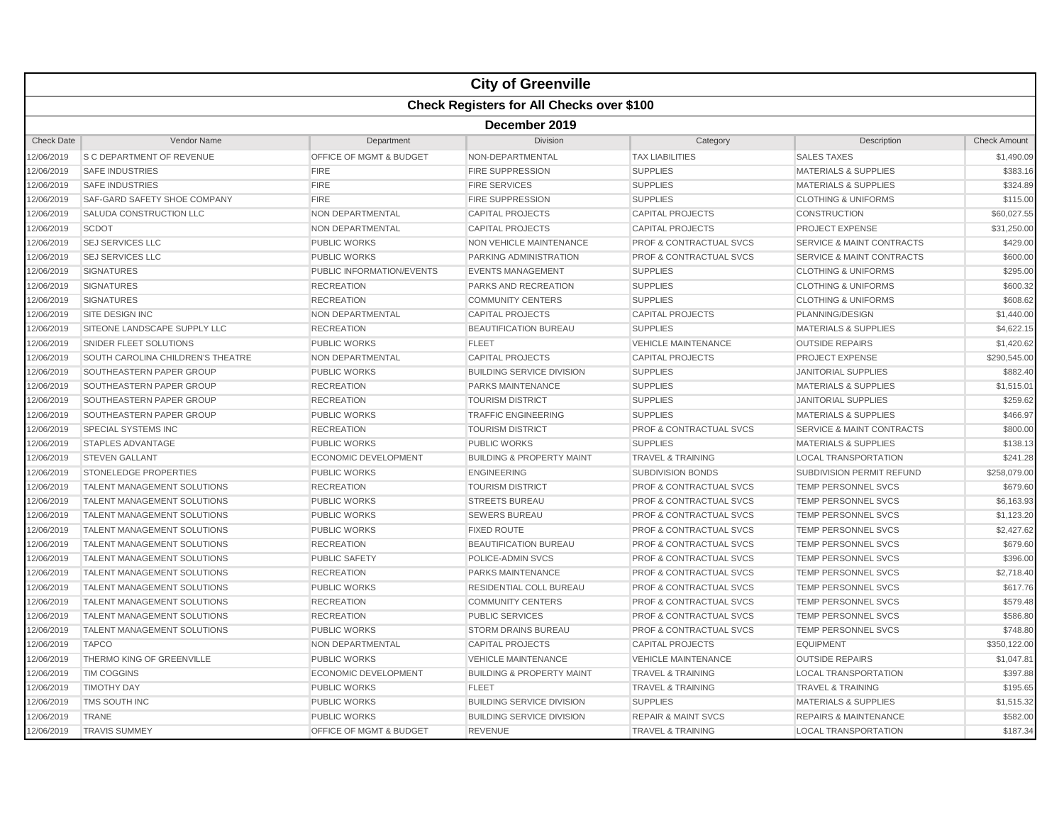|                   |                                                  |                                    | <b>City of Greenville</b>            |                                    |                                      |                     |  |  |  |  |
|-------------------|--------------------------------------------------|------------------------------------|--------------------------------------|------------------------------------|--------------------------------------|---------------------|--|--|--|--|
|                   | <b>Check Registers for All Checks over \$100</b> |                                    |                                      |                                    |                                      |                     |  |  |  |  |
|                   | December 2019                                    |                                    |                                      |                                    |                                      |                     |  |  |  |  |
| <b>Check Date</b> | Vendor Name                                      | Department                         | Division                             | Category                           | Description                          | <b>Check Amount</b> |  |  |  |  |
| 12/06/2019        | <b>S C DEPARTMENT OF REVENUE</b>                 | OFFICE OF MGMT & BUDGET            | NON-DEPARTMENTAL                     | <b>TAX LIABILITIES</b>             | <b>SALES TAXES</b>                   | \$1,490.09          |  |  |  |  |
| 12/06/2019        | <b>SAFE INDUSTRIES</b>                           | <b>FIRE</b>                        | <b>FIRE SUPPRESSION</b>              | <b>SUPPLIES</b>                    | <b>MATERIALS &amp; SUPPLIES</b>      | \$383.16            |  |  |  |  |
| 12/06/2019        | <b>SAFE INDUSTRIES</b>                           | <b>FIRE</b>                        | <b>FIRE SERVICES</b>                 | <b>SUPPLIES</b>                    | <b>MATERIALS &amp; SUPPLIES</b>      | \$324.89            |  |  |  |  |
| 12/06/2019        | <b>SAF-GARD SAFETY SHOE COMPANY</b>              | <b>FIRE</b>                        | <b>FIRE SUPPRESSION</b>              | <b>SUPPLIES</b>                    | <b>CLOTHING &amp; UNIFORMS</b>       | \$115.00            |  |  |  |  |
| 12/06/2019        | SALUDA CONSTRUCTION LLC                          | <b>NON DEPARTMENTAL</b>            | <b>CAPITAL PROJECTS</b>              | <b>CAPITAL PROJECTS</b>            | <b>CONSTRUCTION</b>                  | \$60,027.55         |  |  |  |  |
| 12/06/2019        | <b>SCDOT</b>                                     | <b>NON DEPARTMENTAL</b>            | <b>CAPITAL PROJECTS</b>              | <b>CAPITAL PROJECTS</b>            | <b>PROJECT EXPENSE</b>               | \$31,250.00         |  |  |  |  |
| 12/06/2019        | <b>SEJ SERVICES LLC</b>                          | <b>PUBLIC WORKS</b>                | <b>NON VEHICLE MAINTENANCE</b>       | <b>PROF &amp; CONTRACTUAL SVCS</b> | <b>SERVICE &amp; MAINT CONTRACTS</b> | \$429.00            |  |  |  |  |
| 12/06/2019        | <b>SEJ SERVICES LLC</b>                          | <b>PUBLIC WORKS</b>                | PARKING ADMINISTRATION               | <b>PROF &amp; CONTRACTUAL SVCS</b> | <b>SERVICE &amp; MAINT CONTRACTS</b> | \$600.00            |  |  |  |  |
| 12/06/2019        | <b>SIGNATURES</b>                                | PUBLIC INFORMATION/EVENTS          | <b>EVENTS MANAGEMENT</b>             | <b>SUPPLIES</b>                    | <b>CLOTHING &amp; UNIFORMS</b>       | \$295.00            |  |  |  |  |
| 12/06/2019        | <b>SIGNATURES</b>                                | <b>RECREATION</b>                  | PARKS AND RECREATION                 | <b>SUPPLIES</b>                    | <b>CLOTHING &amp; UNIFORMS</b>       | \$600.32            |  |  |  |  |
| 12/06/2019        | <b>SIGNATURES</b>                                | <b>RECREATION</b>                  | <b>COMMUNITY CENTERS</b>             | <b>SUPPLIES</b>                    | <b>CLOTHING &amp; UNIFORMS</b>       | \$608.62            |  |  |  |  |
| 12/06/2019        | <b>SITE DESIGN INC</b>                           | <b>NON DEPARTMENTAL</b>            | <b>CAPITAL PROJECTS</b>              | <b>CAPITAL PROJECTS</b>            | PLANNING/DESIGN                      | \$1,440.00          |  |  |  |  |
| 12/06/2019        | SITEONE LANDSCAPE SUPPLY LLC                     | <b>RECREATION</b>                  | <b>BEAUTIFICATION BUREAU</b>         | <b>SUPPLIES</b>                    | <b>MATERIALS &amp; SUPPLIES</b>      | \$4,622.15          |  |  |  |  |
| 12/06/2019        | SNIDER FLEET SOLUTIONS                           | <b>PUBLIC WORKS</b>                | <b>FLEET</b>                         | <b>VEHICLE MAINTENANCE</b>         | <b>OUTSIDE REPAIRS</b>               | \$1,420.62          |  |  |  |  |
| 12/06/2019        | SOUTH CAROLINA CHILDREN'S THEATRE                | <b>NON DEPARTMENTAL</b>            | <b>CAPITAL PROJECTS</b>              | <b>CAPITAL PROJECTS</b>            | <b>PROJECT EXPENSE</b>               | \$290,545.00        |  |  |  |  |
| 12/06/2019        | SOUTHEASTERN PAPER GROUP                         | <b>PUBLIC WORKS</b>                | <b>BUILDING SERVICE DIVISION</b>     | <b>SUPPLIES</b>                    | <b>JANITORIAL SUPPLIES</b>           | \$882.40            |  |  |  |  |
| 12/06/2019        | SOUTHEASTERN PAPER GROUP                         | <b>RECREATION</b>                  | PARKS MAINTENANCE                    | <b>SUPPLIES</b>                    | <b>MATERIALS &amp; SUPPLIES</b>      | \$1,515.01          |  |  |  |  |
| 12/06/2019        | SOUTHEASTERN PAPER GROUP                         | <b>RECREATION</b>                  | <b>TOURISM DISTRICT</b>              | <b>SUPPLIES</b>                    | <b>JANITORIAL SUPPLIES</b>           | \$259.62            |  |  |  |  |
| 12/06/2019        | SOUTHEASTERN PAPER GROUP                         | <b>PUBLIC WORKS</b>                | <b>TRAFFIC ENGINEERING</b>           | <b>SUPPLIES</b>                    | <b>MATERIALS &amp; SUPPLIES</b>      | \$466.97            |  |  |  |  |
| 12/06/2019        | <b>SPECIAL SYSTEMS INC</b>                       | <b>RECREATION</b>                  | <b>TOURISM DISTRICT</b>              | <b>PROF &amp; CONTRACTUAL SVCS</b> | <b>SERVICE &amp; MAINT CONTRACTS</b> | \$800.00            |  |  |  |  |
| 12/06/2019        | <b>STAPLES ADVANTAGE</b>                         | <b>PUBLIC WORKS</b>                | <b>PUBLIC WORKS</b>                  | <b>SUPPLIES</b>                    | <b>MATERIALS &amp; SUPPLIES</b>      | \$138.13            |  |  |  |  |
| 12/06/2019        | <b>STEVEN GALLANT</b>                            | ECONOMIC DEVELOPMENT               | <b>BUILDING &amp; PROPERTY MAINT</b> | <b>TRAVEL &amp; TRAINING</b>       | <b>LOCAL TRANSPORTATION</b>          | \$241.28            |  |  |  |  |
| 12/06/2019        | STONELEDGE PROPERTIES                            | <b>PUBLIC WORKS</b>                | <b>ENGINEERING</b>                   | <b>SUBDIVISION BONDS</b>           | SUBDIVISION PERMIT REFUND            | \$258,079.00        |  |  |  |  |
| 12/06/2019        | TALENT MANAGEMENT SOLUTIONS                      | <b>RECREATION</b>                  | <b>TOURISM DISTRICT</b>              | <b>PROF &amp; CONTRACTUAL SVCS</b> | <b>TEMP PERSONNEL SVCS</b>           | \$679.60            |  |  |  |  |
| 12/06/2019        | <b>TALENT MANAGEMENT SOLUTIONS</b>               | <b>PUBLIC WORKS</b>                | <b>STREETS BUREAU</b>                | <b>PROF &amp; CONTRACTUAL SVCS</b> | <b>TEMP PERSONNEL SVCS</b>           | \$6,163.93          |  |  |  |  |
| 12/06/2019        | <b>TALENT MANAGEMENT SOLUTIONS</b>               | <b>PUBLIC WORKS</b>                | <b>SEWERS BUREAU</b>                 | PROF & CONTRACTUAL SVCS            | <b>TEMP PERSONNEL SVCS</b>           | \$1,123.20          |  |  |  |  |
| 12/06/2019        | <b>TALENT MANAGEMENT SOLUTIONS</b>               | <b>PUBLIC WORKS</b>                | <b>FIXED ROUTE</b>                   | <b>PROF &amp; CONTRACTUAL SVCS</b> | <b>TEMP PERSONNEL SVCS</b>           | \$2,427.62          |  |  |  |  |
| 12/06/2019        | <b>TALENT MANAGEMENT SOLUTIONS</b>               | <b>RECREATION</b>                  | BEAUTIFICATION BUREAU                | <b>PROF &amp; CONTRACTUAL SVCS</b> | <b>TEMP PERSONNEL SVCS</b>           | \$679.60            |  |  |  |  |
| 12/06/2019        | <b>TALENT MANAGEMENT SOLUTIONS</b>               | <b>PUBLIC SAFETY</b>               | POLICE-ADMIN SVCS                    | <b>PROF &amp; CONTRACTUAL SVCS</b> | TEMP PERSONNEL SVCS                  | \$396.00            |  |  |  |  |
| 12/06/2019        | <b>TALENT MANAGEMENT SOLUTIONS</b>               | <b>RECREATION</b>                  | PARKS MAINTENANCE                    | <b>PROF &amp; CONTRACTUAL SVCS</b> | <b>TEMP PERSONNEL SVCS</b>           | \$2,718.40          |  |  |  |  |
| 12/06/2019        | <b>TALENT MANAGEMENT SOLUTIONS</b>               | <b>PUBLIC WORKS</b>                | RESIDENTIAL COLL BUREAU              | <b>PROF &amp; CONTRACTUAL SVCS</b> | <b>TEMP PERSONNEL SVCS</b>           | \$617.76            |  |  |  |  |
| 12/06/2019        | TALENT MANAGEMENT SOLUTIONS                      | <b>RECREATION</b>                  | <b>COMMUNITY CENTERS</b>             | <b>PROF &amp; CONTRACTUAL SVCS</b> | <b>TEMP PERSONNEL SVCS</b>           | \$579.48            |  |  |  |  |
| 12/06/2019        | <b>TALENT MANAGEMENT SOLUTIONS</b>               | <b>RECREATION</b>                  | <b>PUBLIC SERVICES</b>               | <b>PROF &amp; CONTRACTUAL SVCS</b> | <b>TEMP PERSONNEL SVCS</b>           | \$586.80            |  |  |  |  |
| 12/06/2019        | <b>TALENT MANAGEMENT SOLUTIONS</b>               | <b>PUBLIC WORKS</b>                | <b>STORM DRAINS BUREAU</b>           | <b>PROF &amp; CONTRACTUAL SVCS</b> | <b>TEMP PERSONNEL SVCS</b>           | \$748.80            |  |  |  |  |
| 12/06/2019        | <b>TAPCO</b>                                     | <b>NON DEPARTMENTAL</b>            | <b>CAPITAL PROJECTS</b>              | <b>CAPITAL PROJECTS</b>            | <b>EQUIPMENT</b>                     | \$350,122.00        |  |  |  |  |
| 12/06/2019        | THERMO KING OF GREENVILLE                        | <b>PUBLIC WORKS</b>                | <b>VEHICLE MAINTENANCE</b>           | <b>VEHICLE MAINTENANCE</b>         | <b>OUTSIDE REPAIRS</b>               | \$1,047.81          |  |  |  |  |
| 12/06/2019        | <b>TIM COGGINS</b>                               | <b>ECONOMIC DEVELOPMENT</b>        | <b>BUILDING &amp; PROPERTY MAINT</b> | <b>TRAVEL &amp; TRAINING</b>       | <b>LOCAL TRANSPORTATION</b>          | \$397.88            |  |  |  |  |
| 12/06/2019        | <b>TIMOTHY DAY</b>                               | <b>PUBLIC WORKS</b>                | <b>FLEET</b>                         | <b>TRAVEL &amp; TRAINING</b>       | <b>TRAVEL &amp; TRAINING</b>         | \$195.65            |  |  |  |  |
| 12/06/2019        | TMS SOUTH INC                                    | <b>PUBLIC WORKS</b>                | <b>BUILDING SERVICE DIVISION</b>     | <b>SUPPLIES</b>                    | <b>MATERIALS &amp; SUPPLIES</b>      | \$1,515.32          |  |  |  |  |
| 12/06/2019        | <b>TRANE</b>                                     | <b>PUBLIC WORKS</b>                | <b>BUILDING SERVICE DIVISION</b>     | <b>REPAIR &amp; MAINT SVCS</b>     | <b>REPAIRS &amp; MAINTENANCE</b>     | \$582.00            |  |  |  |  |
| 12/06/2019        | <b>TRAVIS SUMMEY</b>                             | <b>OFFICE OF MGMT &amp; BUDGET</b> | <b>REVENUE</b>                       | <b>TRAVEL &amp; TRAINING</b>       | <b>LOCAL TRANSPORTATION</b>          | \$187.34            |  |  |  |  |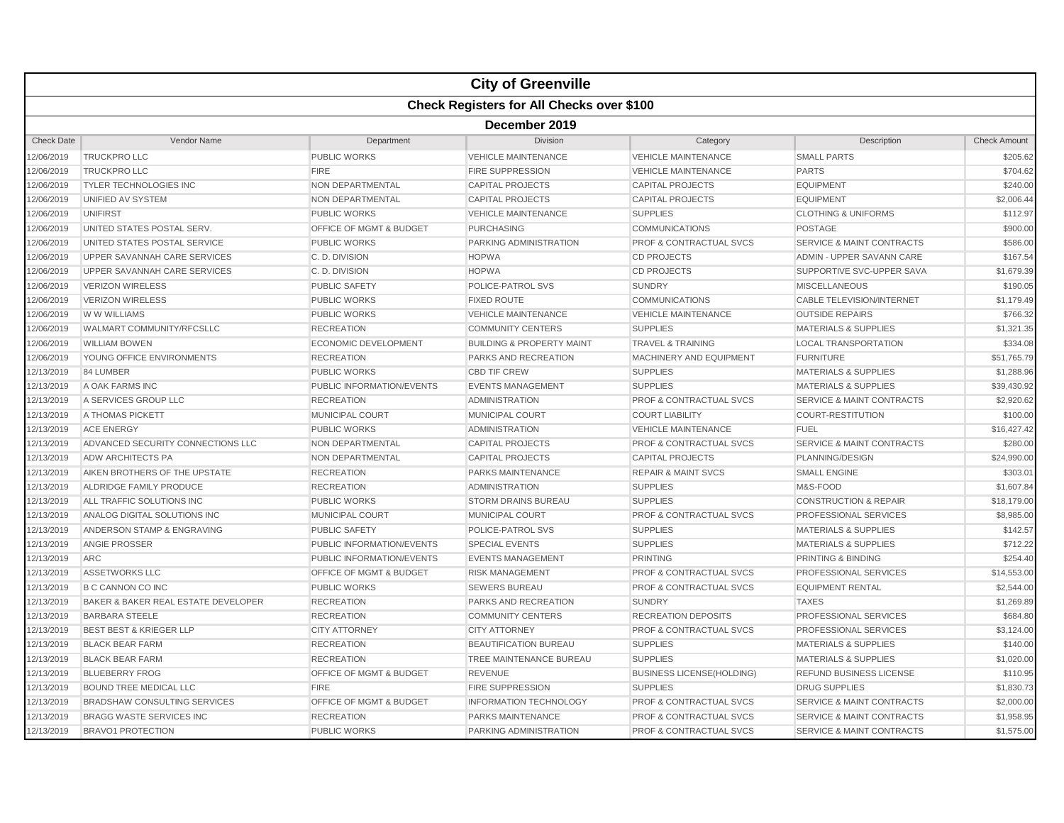|                   |                                                  |                             | <b>City of Greenville</b>            |                                    |                                      |                     |  |  |  |  |
|-------------------|--------------------------------------------------|-----------------------------|--------------------------------------|------------------------------------|--------------------------------------|---------------------|--|--|--|--|
|                   | <b>Check Registers for All Checks over \$100</b> |                             |                                      |                                    |                                      |                     |  |  |  |  |
|                   | December 2019                                    |                             |                                      |                                    |                                      |                     |  |  |  |  |
| <b>Check Date</b> | Vendor Name                                      | Department                  | Division                             | Category                           | Description                          | <b>Check Amount</b> |  |  |  |  |
| 12/06/2019        | <b>TRUCKPRO LLC</b>                              | PUBLIC WORKS                | <b>VEHICLE MAINTENANCE</b>           | <b>VEHICLE MAINTENANCE</b>         | <b>SMALL PARTS</b>                   | \$205.62            |  |  |  |  |
| 12/06/2019        | <b>TRUCKPRO LLC</b>                              | <b>FIRE</b>                 | <b>FIRE SUPPRESSION</b>              | <b>VEHICLE MAINTENANCE</b>         | <b>PARTS</b>                         | \$704.62            |  |  |  |  |
| 12/06/2019        | <b>TYLER TECHNOLOGIES INC</b>                    | NON DEPARTMENTAL            | <b>CAPITAL PROJECTS</b>              | <b>CAPITAL PROJECTS</b>            | <b>EQUIPMENT</b>                     | \$240.00            |  |  |  |  |
| 12/06/2019        | UNIFIED AV SYSTEM                                | <b>NON DEPARTMENTAL</b>     | <b>CAPITAL PROJECTS</b>              | <b>CAPITAL PROJECTS</b>            | <b>EQUIPMENT</b>                     | \$2,006.44          |  |  |  |  |
| 12/06/2019        | <b>UNIFIRST</b>                                  | <b>PUBLIC WORKS</b>         | <b>VEHICLE MAINTENANCE</b>           | <b>SUPPLIES</b>                    | <b>CLOTHING &amp; UNIFORMS</b>       | \$112.97            |  |  |  |  |
| 12/06/2019        | UNITED STATES POSTAL SERV.                       | OFFICE OF MGMT & BUDGET     | <b>PURCHASING</b>                    | <b>COMMUNICATIONS</b>              | <b>POSTAGE</b>                       | \$900.00            |  |  |  |  |
| 12/06/2019        | UNITED STATES POSTAL SERVICE                     | <b>PUBLIC WORKS</b>         | PARKING ADMINISTRATION               | <b>PROF &amp; CONTRACTUAL SVCS</b> | <b>SERVICE &amp; MAINT CONTRACTS</b> | \$586.00            |  |  |  |  |
| 12/06/2019        | UPPER SAVANNAH CARE SERVICES                     | C. D. DIVISION              | <b>HOPWA</b>                         | <b>CD PROJECTS</b>                 | ADMIN - UPPER SAVANN CARE            | \$167.54            |  |  |  |  |
| 12/06/2019        | UPPER SAVANNAH CARE SERVICES                     | C. D. DIVISION              | <b>HOPWA</b>                         | <b>CD PROJECTS</b>                 | SUPPORTIVE SVC-UPPER SAVA            | \$1,679.39          |  |  |  |  |
| 12/06/2019        | <b>VERIZON WIRELESS</b>                          | <b>PUBLIC SAFETY</b>        | POLICE-PATROL SVS                    | <b>SUNDRY</b>                      | <b>MISCELLANEOUS</b>                 | \$190.05            |  |  |  |  |
| 12/06/2019        | <b>VERIZON WIRELESS</b>                          | <b>PUBLIC WORKS</b>         | <b>FIXED ROUTE</b>                   | <b>COMMUNICATIONS</b>              | <b>CABLE TELEVISION/INTERNET</b>     | \$1,179.49          |  |  |  |  |
| 12/06/2019        | <b>WWW WILLIAMS</b>                              | <b>PUBLIC WORKS</b>         | <b>VEHICLE MAINTENANCE</b>           | <b>VEHICLE MAINTENANCE</b>         | <b>OUTSIDE REPAIRS</b>               | \$766.32            |  |  |  |  |
| 12/06/2019        | WALMART COMMUNITY/RFCSLLC                        | <b>RECREATION</b>           | <b>COMMUNITY CENTERS</b>             | <b>SUPPLIES</b>                    | <b>MATERIALS &amp; SUPPLIES</b>      | \$1,321.35          |  |  |  |  |
| 12/06/2019        | <b>WILLIAM BOWEN</b>                             | <b>ECONOMIC DEVELOPMENT</b> | <b>BUILDING &amp; PROPERTY MAINT</b> | <b>TRAVEL &amp; TRAINING</b>       | <b>LOCAL TRANSPORTATION</b>          | \$334.08            |  |  |  |  |
| 12/06/2019        | YOUNG OFFICE ENVIRONMENTS                        | <b>RECREATION</b>           | PARKS AND RECREATION                 | <b>MACHINERY AND EQUIPMENT</b>     | <b>FURNITURE</b>                     | \$51,765.79         |  |  |  |  |
| 12/13/2019        | 84 LUMBER                                        | <b>PUBLIC WORKS</b>         | <b>CBD TIF CREW</b>                  | <b>SUPPLIES</b>                    | <b>MATERIALS &amp; SUPPLIES</b>      | \$1,288.96          |  |  |  |  |
| 12/13/2019        | A OAK FARMS INC                                  | PUBLIC INFORMATION/EVENTS   | <b>EVENTS MANAGEMENT</b>             | <b>SUPPLIES</b>                    | <b>MATERIALS &amp; SUPPLIES</b>      | \$39,430.92         |  |  |  |  |
| 12/13/2019        | A SERVICES GROUP LLC                             | <b>RECREATION</b>           | <b>ADMINISTRATION</b>                | PROF & CONTRACTUAL SVCS            | <b>SERVICE &amp; MAINT CONTRACTS</b> | \$2,920.62          |  |  |  |  |
| 12/13/2019        | A THOMAS PICKETT                                 | <b>MUNICIPAL COURT</b>      | <b>MUNICIPAL COURT</b>               | <b>COURT LIABILITY</b>             | <b>COURT-RESTITUTION</b>             | \$100.00            |  |  |  |  |
| 12/13/2019        | <b>ACE ENERGY</b>                                | <b>PUBLIC WORKS</b>         | <b>ADMINISTRATION</b>                | <b>VEHICLE MAINTENANCE</b>         | <b>FUEL</b>                          | \$16,427.42         |  |  |  |  |
| 12/13/2019        | ADVANCED SECURITY CONNECTIONS LLC                | NON DEPARTMENTAL            | <b>CAPITAL PROJECTS</b>              | <b>PROF &amp; CONTRACTUAL SVCS</b> | <b>SERVICE &amp; MAINT CONTRACTS</b> | \$280.00            |  |  |  |  |
| 12/13/2019        | ADW ARCHITECTS PA                                | NON DEPARTMENTAL            | <b>CAPITAL PROJECTS</b>              | <b>CAPITAL PROJECTS</b>            | PLANNING/DESIGN                      | \$24,990.00         |  |  |  |  |
| 12/13/2019        | AIKEN BROTHERS OF THE UPSTATE                    | <b>RECREATION</b>           | PARKS MAINTENANCE                    | <b>REPAIR &amp; MAINT SVCS</b>     | <b>SMALL ENGINE</b>                  | \$303.01            |  |  |  |  |
| 12/13/2019        | ALDRIDGE FAMILY PRODUCE                          | <b>RECREATION</b>           | <b>ADMINISTRATION</b>                | <b>SUPPLIES</b>                    | M&S-FOOD                             | \$1,607.84          |  |  |  |  |
| 12/13/2019        | ALL TRAFFIC SOLUTIONS INC                        | <b>PUBLIC WORKS</b>         | <b>STORM DRAINS BUREAU</b>           | <b>SUPPLIES</b>                    | <b>CONSTRUCTION &amp; REPAIR</b>     | \$18,179.00         |  |  |  |  |
| 12/13/2019        | ANALOG DIGITAL SOLUTIONS INC                     | MUNICIPAL COURT             | MUNICIPAL COURT                      | PROF & CONTRACTUAL SVCS            | PROFESSIONAL SERVICES                | \$8,985.00          |  |  |  |  |
| 12/13/2019        | ANDERSON STAMP & ENGRAVING                       | <b>PUBLIC SAFETY</b>        | <b>POLICE-PATROL SVS</b>             | <b>SUPPLIES</b>                    | <b>MATERIALS &amp; SUPPLIES</b>      | \$142.57            |  |  |  |  |
| 12/13/2019        | <b>ANGIE PROSSER</b>                             | PUBLIC INFORMATION/EVENTS   | SPECIAL EVENTS                       | <b>SUPPLIES</b>                    | <b>MATERIALS &amp; SUPPLIES</b>      | \$712.22            |  |  |  |  |
| 12/13/2019        | <b>ARC</b>                                       | PUBLIC INFORMATION/EVENTS   | <b>EVENTS MANAGEMENT</b>             | <b>PRINTING</b>                    | PRINTING & BINDING                   | \$254.40            |  |  |  |  |
| 12/13/2019        | <b>ASSETWORKS LLC</b>                            | OFFICE OF MGMT & BUDGET     | <b>RISK MANAGEMENT</b>               | <b>PROF &amp; CONTRACTUAL SVCS</b> | PROFESSIONAL SERVICES                | \$14,553.00         |  |  |  |  |
| 12/13/2019        | <b>B C CANNON CO INC</b>                         | <b>PUBLIC WORKS</b>         | <b>SEWERS BUREAU</b>                 | <b>PROF &amp; CONTRACTUAL SVCS</b> | <b>EQUIPMENT RENTAL</b>              | \$2,544.00          |  |  |  |  |
| 12/13/2019        | BAKER & BAKER REAL ESTATE DEVELOPER              | <b>RECREATION</b>           | PARKS AND RECREATION                 | <b>SUNDRY</b>                      | <b>TAXES</b>                         | \$1,269.89          |  |  |  |  |
| 12/13/2019        | <b>BARBARA STEELE</b>                            | <b>RECREATION</b>           | <b>COMMUNITY CENTERS</b>             | <b>RECREATION DEPOSITS</b>         | PROFESSIONAL SERVICES                | \$684.80            |  |  |  |  |
| 12/13/2019        | <b>BEST BEST &amp; KRIEGER LLP</b>               | <b>CITY ATTORNEY</b>        | <b>CITY ATTORNEY</b>                 | <b>PROF &amp; CONTRACTUAL SVCS</b> | PROFESSIONAL SERVICES                | \$3,124.00          |  |  |  |  |
| 12/13/2019        | <b>BLACK BEAR FARM</b>                           | <b>RECREATION</b>           | <b>BEAUTIFICATION BUREAU</b>         | <b>SUPPLIES</b>                    | <b>MATERIALS &amp; SUPPLIES</b>      | \$140.00            |  |  |  |  |
| 12/13/2019        | <b>BLACK BEAR FARM</b>                           | <b>RECREATION</b>           | TREE MAINTENANCE BUREAU              | <b>SUPPLIES</b>                    | <b>MATERIALS &amp; SUPPLIES</b>      | \$1,020.00          |  |  |  |  |
| 12/13/2019        | <b>BLUEBERRY FROG</b>                            | OFFICE OF MGMT & BUDGET     | <b>REVENUE</b>                       | <b>BUSINESS LICENSE(HOLDING)</b>   | REFUND BUSINESS LICENSE              | \$110.95            |  |  |  |  |
| 12/13/2019        | <b>BOUND TREE MEDICAL LLC</b>                    | <b>FIRE</b>                 | <b>FIRE SUPPRESSION</b>              | <b>SUPPLIES</b>                    | <b>DRUG SUPPLIES</b>                 | \$1,830.73          |  |  |  |  |
| 12/13/2019        | <b>BRADSHAW CONSULTING SERVICES</b>              | OFFICE OF MGMT & BUDGET     | <b>INFORMATION TECHNOLOGY</b>        | <b>PROF &amp; CONTRACTUAL SVCS</b> | <b>SERVICE &amp; MAINT CONTRACTS</b> | \$2,000.00          |  |  |  |  |
| 12/13/2019        | <b>BRAGG WASTE SERVICES INC</b>                  | <b>RECREATION</b>           | PARKS MAINTENANCE                    | PROF & CONTRACTUAL SVCS            | <b>SERVICE &amp; MAINT CONTRACTS</b> | \$1,958.95          |  |  |  |  |
| 12/13/2019        | <b>BRAVO1 PROTECTION</b>                         | <b>PUBLIC WORKS</b>         | <b>PARKING ADMINISTRATION</b>        | <b>PROF &amp; CONTRACTUAL SVCS</b> | <b>SERVICE &amp; MAINT CONTRACTS</b> | \$1,575.00          |  |  |  |  |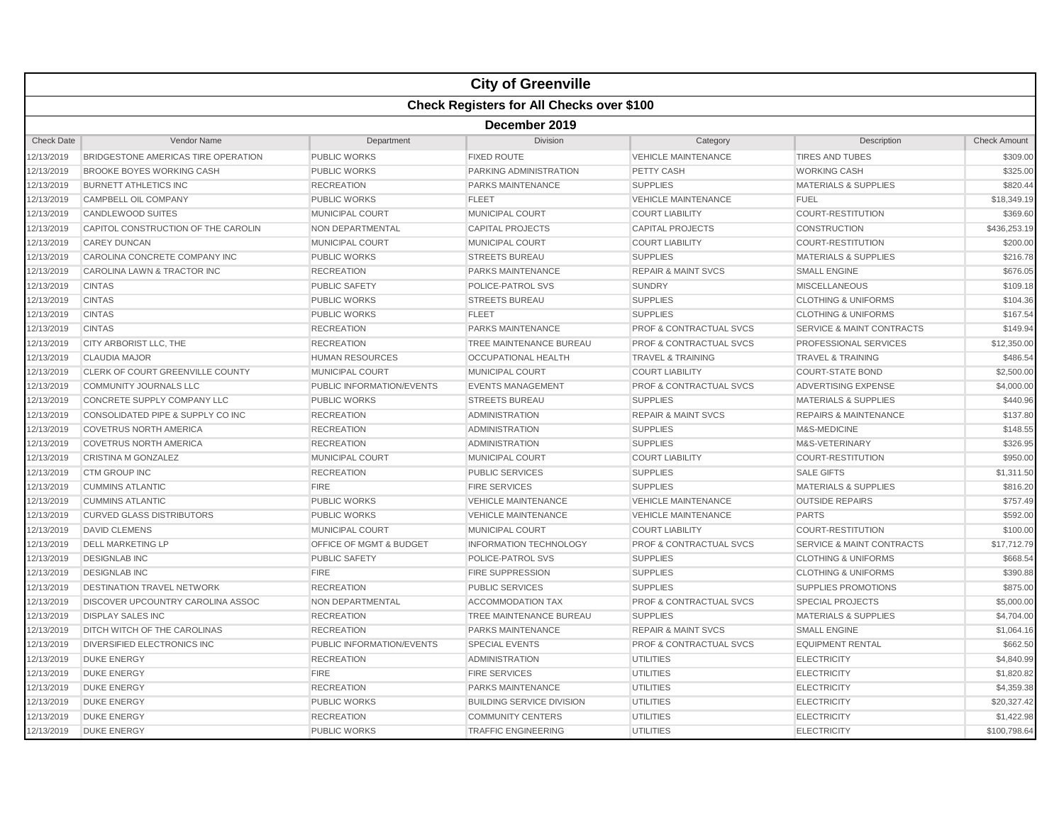|                   |                                                  |                           | <b>City of Greenville</b>        |                                    |                                      |                     |  |  |  |
|-------------------|--------------------------------------------------|---------------------------|----------------------------------|------------------------------------|--------------------------------------|---------------------|--|--|--|
|                   | <b>Check Registers for All Checks over \$100</b> |                           |                                  |                                    |                                      |                     |  |  |  |
|                   | December 2019                                    |                           |                                  |                                    |                                      |                     |  |  |  |
| <b>Check Date</b> | Vendor Name                                      | Department                | Division                         | Category                           | Description                          | <b>Check Amount</b> |  |  |  |
| 2/13/2019         | BRIDGESTONE AMERICAS TIRE OPERATION              | <b>PUBLIC WORKS</b>       | <b>FIXED ROUTE</b>               | <b>VEHICLE MAINTENANCE</b>         | <b>TIRES AND TUBES</b>               | \$309.00            |  |  |  |
| 12/13/2019        | BROOKE BOYES WORKING CASH                        | <b>PUBLIC WORKS</b>       | PARKING ADMINISTRATION           | PETTY CASH                         | <b>WORKING CASH</b>                  | \$325.00            |  |  |  |
| 2/13/2019         | <b>BURNETT ATHLETICS INC</b>                     | <b>RECREATION</b>         | PARKS MAINTENANCE                | <b>SUPPLIES</b>                    | <b>MATERIALS &amp; SUPPLIES</b>      | \$820.44            |  |  |  |
| 12/13/2019        | <b>CAMPBELL OIL COMPANY</b>                      | <b>PUBLIC WORKS</b>       | <b>FLEET</b>                     | <b>VEHICLE MAINTENANCE</b>         | <b>FUEL</b>                          | \$18,349.19         |  |  |  |
| 12/13/2019        | <b>CANDLEWOOD SUITES</b>                         | <b>MUNICIPAL COURT</b>    | <b>MUNICIPAL COURT</b>           | <b>COURT LIABILITY</b>             | <b>COURT-RESTITUTION</b>             | \$369.60            |  |  |  |
| 2/13/2019         | CAPITOL CONSTRUCTION OF THE CAROLIN              | <b>NON DEPARTMENTAL</b>   | <b>CAPITAL PROJECTS</b>          | <b>CAPITAL PROJECTS</b>            | <b>CONSTRUCTION</b>                  | \$436,253.19        |  |  |  |
| 2/13/2019         | <b>CAREY DUNCAN</b>                              | <b>MUNICIPAL COURT</b>    | <b>MUNICIPAL COURT</b>           | <b>COURT LIABILITY</b>             | <b>COURT-RESTITUTION</b>             | \$200.00            |  |  |  |
| 2/13/2019         | CAROLINA CONCRETE COMPANY INC                    | <b>PUBLIC WORKS</b>       | <b>STREETS BUREAU</b>            | <b>SUPPLIES</b>                    | <b>MATERIALS &amp; SUPPLIES</b>      | \$216.78            |  |  |  |
| 2/13/2019         | CAROLINA LAWN & TRACTOR INC                      | <b>RECREATION</b>         | <b>PARKS MAINTENANCE</b>         | <b>REPAIR &amp; MAINT SVCS</b>     | <b>SMALL ENGINE</b>                  | \$676.05            |  |  |  |
| 12/13/2019        | <b>CINTAS</b>                                    | <b>PUBLIC SAFETY</b>      | POLICE-PATROL SVS                | <b>SUNDRY</b>                      | <b>MISCELLANEOUS</b>                 | \$109.18            |  |  |  |
| 2/13/2019         | <b>CINTAS</b>                                    | <b>PUBLIC WORKS</b>       | <b>STREETS BUREAU</b>            | <b>SUPPLIES</b>                    | <b>CLOTHING &amp; UNIFORMS</b>       | \$104.36            |  |  |  |
| 2/13/2019         | <b>CINTAS</b>                                    | <b>PUBLIC WORKS</b>       | <b>FLEET</b>                     | <b>SUPPLIES</b>                    | <b>CLOTHING &amp; UNIFORMS</b>       | \$167.54            |  |  |  |
| 2/13/2019         | <b>CINTAS</b>                                    | <b>RECREATION</b>         | <b>PARKS MAINTENANCE</b>         | <b>PROF &amp; CONTRACTUAL SVCS</b> | <b>SERVICE &amp; MAINT CONTRACTS</b> | \$149.94            |  |  |  |
| 2/13/2019         | CITY ARBORIST LLC, THE                           | <b>RECREATION</b>         | TREE MAINTENANCE BUREAU          | PROF & CONTRACTUAL SVCS            | PROFESSIONAL SERVICES                | \$12,350.00         |  |  |  |
| 12/13/2019        | <b>CLAUDIA MAJOR</b>                             | <b>HUMAN RESOURCES</b>    | <b>OCCUPATIONAL HEALTH</b>       | <b>TRAVEL &amp; TRAINING</b>       | <b>TRAVEL &amp; TRAINING</b>         | \$486.54            |  |  |  |
| 2/13/2019         | CLERK OF COURT GREENVILLE COUNTY                 | <b>MUNICIPAL COURT</b>    | <b>MUNICIPAL COURT</b>           | <b>COURT LIABILITY</b>             | <b>COURT-STATE BOND</b>              | \$2,500.00          |  |  |  |
| 12/13/2019        | <b>COMMUNITY JOURNALS LLC</b>                    | PUBLIC INFORMATION/EVENTS | <b>EVENTS MANAGEMENT</b>         | <b>PROF &amp; CONTRACTUAL SVCS</b> | <b>ADVERTISING EXPENSE</b>           | \$4,000.00          |  |  |  |
| 2/13/2019         | CONCRETE SUPPLY COMPANY LLC                      | <b>PUBLIC WORKS</b>       | <b>STREETS BUREAU</b>            | <b>SUPPLIES</b>                    | <b>MATERIALS &amp; SUPPLIES</b>      | \$440.96            |  |  |  |
| 2/13/2019         | CONSOLIDATED PIPE & SUPPLY CO INC                | <b>RECREATION</b>         | <b>ADMINISTRATION</b>            | <b>REPAIR &amp; MAINT SVCS</b>     | <b>REPAIRS &amp; MAINTENANCE</b>     | \$137.80            |  |  |  |
| 12/13/2019        | <b>COVETRUS NORTH AMERICA</b>                    | <b>RECREATION</b>         | <b>ADMINISTRATION</b>            | <b>SUPPLIES</b>                    | M&S-MEDICINE                         | \$148.55            |  |  |  |
| 2/13/2019         | <b>COVETRUS NORTH AMERICA</b>                    | <b>RECREATION</b>         | <b>ADMINISTRATION</b>            | <b>SUPPLIES</b>                    | M&S-VETERINARY                       | \$326.95            |  |  |  |
| 2/13/2019         | <b>CRISTINA M GONZALEZ</b>                       | <b>MUNICIPAL COURT</b>    | <b>MUNICIPAL COURT</b>           | <b>COURT LIABILITY</b>             | <b>COURT-RESTITUTION</b>             | \$950.00            |  |  |  |
| 2/13/2019         | <b>CTM GROUP INC</b>                             | <b>RECREATION</b>         | PUBLIC SERVICES                  | <b>SUPPLIES</b>                    | <b>SALE GIFTS</b>                    | \$1,311.50          |  |  |  |
| 2/13/2019         | <b>CUMMINS ATLANTIC</b>                          | <b>FIRE</b>               | <b>FIRE SERVICES</b>             | <b>SUPPLIES</b>                    | <b>MATERIALS &amp; SUPPLIES</b>      | \$816.20            |  |  |  |
| 12/13/2019        | <b>CUMMINS ATLANTIC</b>                          | <b>PUBLIC WORKS</b>       | <b>VEHICLE MAINTENANCE</b>       | <b>VEHICLE MAINTENANCE</b>         | <b>OUTSIDE REPAIRS</b>               | \$757.49            |  |  |  |
| 2/13/2019         | <b>CURVED GLASS DISTRIBUTORS</b>                 | <b>PUBLIC WORKS</b>       | <b>VEHICLE MAINTENANCE</b>       | <b>VEHICLE MAINTENANCE</b>         | <b>PARTS</b>                         | \$592.00            |  |  |  |
| 2/13/2019         | <b>DAVID CLEMENS</b>                             | <b>MUNICIPAL COURT</b>    | <b>MUNICIPAL COURT</b>           | <b>COURT LIABILITY</b>             | <b>COURT-RESTITUTION</b>             | \$100.00            |  |  |  |
| 2/13/2019         | <b>DELL MARKETING LP</b>                         | OFFICE OF MGMT & BUDGET   | <b>INFORMATION TECHNOLOGY</b>    | <b>PROF &amp; CONTRACTUAL SVCS</b> | <b>SERVICE &amp; MAINT CONTRACTS</b> | \$17,712.79         |  |  |  |
| 2/13/2019         | <b>DESIGNLAB INC</b>                             | <b>PUBLIC SAFETY</b>      | POLICE-PATROL SVS                | <b>SUPPLIES</b>                    | <b>CLOTHING &amp; UNIFORMS</b>       | \$668.54            |  |  |  |
| 12/13/2019        | <b>DESIGNLAB INC</b>                             | <b>FIRE</b>               | <b>FIRE SUPPRESSION</b>          | <b>SUPPLIES</b>                    | <b>CLOTHING &amp; UNIFORMS</b>       | \$390.88            |  |  |  |
| 2/13/2019         | DESTINATION TRAVEL NETWORK                       | <b>RECREATION</b>         | <b>PUBLIC SERVICES</b>           | <b>SUPPLIES</b>                    | <b>SUPPLIES PROMOTIONS</b>           | \$875.00            |  |  |  |
| 2/13/2019         | DISCOVER UPCOUNTRY CAROLINA ASSOC                | <b>NON DEPARTMENTAL</b>   | <b>ACCOMMODATION TAX</b>         | <b>PROF &amp; CONTRACTUAL SVCS</b> | <b>SPECIAL PROJECTS</b>              | \$5,000.00          |  |  |  |
| 2/13/2019         | <b>DISPLAY SALES INC</b>                         | <b>RECREATION</b>         | TREE MAINTENANCE BUREAU          | <b>SUPPLIES</b>                    | <b>MATERIALS &amp; SUPPLIES</b>      | \$4,704.00          |  |  |  |
| 2/13/2019         | DITCH WITCH OF THE CAROLINAS                     | <b>RECREATION</b>         | <b>PARKS MAINTENANCE</b>         | <b>REPAIR &amp; MAINT SVCS</b>     | <b>SMALL ENGINE</b>                  | \$1,064.16          |  |  |  |
| 12/13/2019        | DIVERSIFIED ELECTRONICS INC                      | PUBLIC INFORMATION/EVENTS | <b>SPECIAL EVENTS</b>            | <b>PROF &amp; CONTRACTUAL SVCS</b> | <b>EQUIPMENT RENTAL</b>              | \$662.50            |  |  |  |
| 2/13/2019         | <b>DUKE ENERGY</b>                               | <b>RECREATION</b>         | <b>ADMINISTRATION</b>            | <b>UTILITIES</b>                   | <b>ELECTRICITY</b>                   | \$4,840.99          |  |  |  |
| 2/13/2019         | <b>DUKE ENERGY</b>                               | <b>FIRE</b>               | <b>FIRE SERVICES</b>             | <b>UTILITIES</b>                   | <b>ELECTRICITY</b>                   | \$1,820.82          |  |  |  |
| 2/13/2019         | <b>DUKE ENERGY</b>                               | <b>RECREATION</b>         | PARKS MAINTENANCE                | <b>UTILITIES</b>                   | <b>ELECTRICITY</b>                   | \$4,359.38          |  |  |  |
| 2/13/2019         | <b>DUKE ENERGY</b>                               | <b>PUBLIC WORKS</b>       | <b>BUILDING SERVICE DIVISION</b> | <b>UTILITIES</b>                   | <b>ELECTRICITY</b>                   | \$20,327.42         |  |  |  |
| 12/13/2019        | <b>DUKE ENERGY</b>                               | <b>RECREATION</b>         | <b>COMMUNITY CENTERS</b>         | <b>UTILITIES</b>                   | <b>ELECTRICITY</b>                   | \$1,422.98          |  |  |  |
| 12/13/2019        | <b>DUKE ENERGY</b>                               | <b>PUBLIC WORKS</b>       | <b>TRAFFIC ENGINEERING</b>       | <b>UTILITIES</b>                   | <b>ELECTRICITY</b>                   | \$100,798.64        |  |  |  |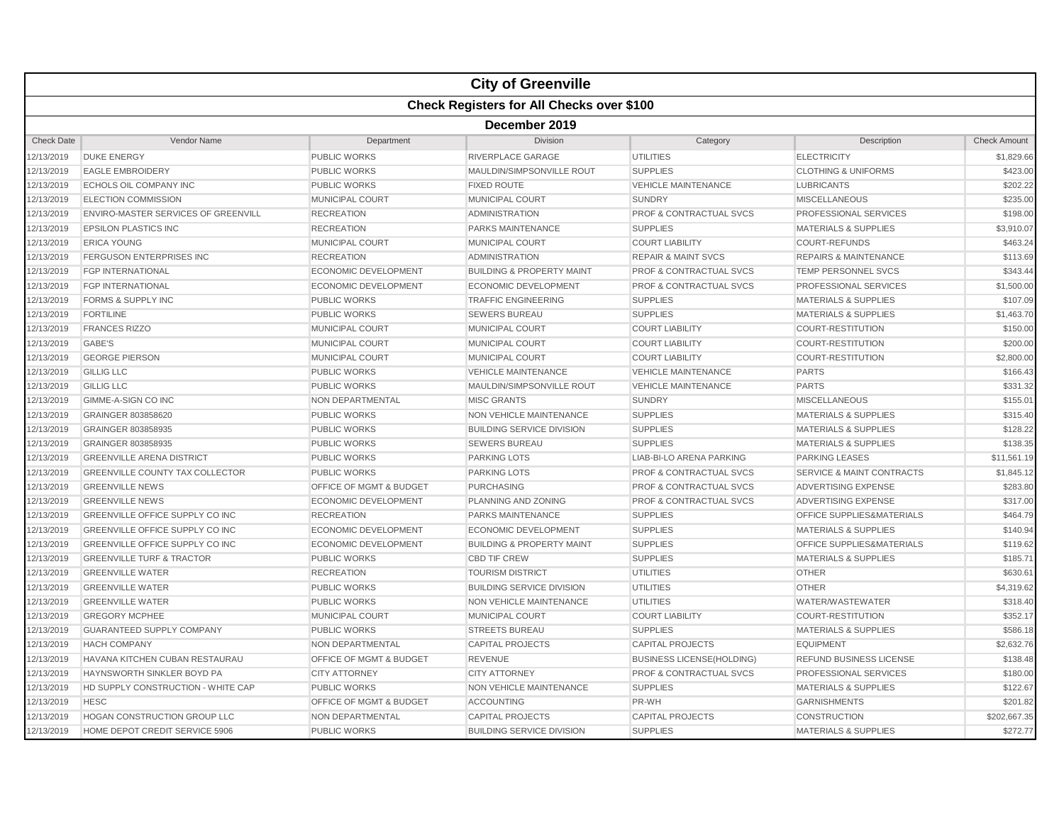|                   |                                                  |                                    | <b>City of Greenville</b>            |                                    |                                      |                     |  |  |  |
|-------------------|--------------------------------------------------|------------------------------------|--------------------------------------|------------------------------------|--------------------------------------|---------------------|--|--|--|
|                   | <b>Check Registers for All Checks over \$100</b> |                                    |                                      |                                    |                                      |                     |  |  |  |
|                   | December 2019                                    |                                    |                                      |                                    |                                      |                     |  |  |  |
| <b>Check Date</b> | Vendor Name                                      | Department                         | <b>Division</b>                      | Category                           | Description                          | <b>Check Amount</b> |  |  |  |
| 12/13/2019        | <b>DUKE ENERGY</b>                               | <b>PUBLIC WORKS</b>                | RIVERPLACE GARAGE                    | <b>UTILITIES</b>                   | <b>ELECTRICITY</b>                   | \$1,829.66          |  |  |  |
| 12/13/2019        | <b>EAGLE EMBROIDERY</b>                          | <b>PUBLIC WORKS</b>                | MAULDIN/SIMPSONVILLE ROUT            | <b>SUPPLIES</b>                    | <b>CLOTHING &amp; UNIFORMS</b>       | \$423.00            |  |  |  |
| 12/13/2019        | ECHOLS OIL COMPANY INC                           | <b>PUBLIC WORKS</b>                | <b>FIXED ROUTE</b>                   | <b>VEHICLE MAINTENANCE</b>         | <b>LUBRICANTS</b>                    | \$202.22            |  |  |  |
| 12/13/2019        | <b>ELECTION COMMISSION</b>                       | MUNICIPAL COURT                    | <b>MUNICIPAL COURT</b>               | <b>SUNDRY</b>                      | <b>MISCELLANEOUS</b>                 | \$235.00            |  |  |  |
| 12/13/2019        | <b>ENVIRO-MASTER SERVICES OF GREENVILL</b>       | <b>RECREATION</b>                  | <b>ADMINISTRATION</b>                | <b>PROF &amp; CONTRACTUAL SVCS</b> | PROFESSIONAL SERVICES                | \$198.00            |  |  |  |
| 12/13/2019        | <b>EPSILON PLASTICS INC</b>                      | <b>RECREATION</b>                  | <b>PARKS MAINTENANCE</b>             | <b>SUPPLIES</b>                    | <b>MATERIALS &amp; SUPPLIES</b>      | \$3,910.07          |  |  |  |
| 12/13/2019        | <b>ERICA YOUNG</b>                               | <b>MUNICIPAL COURT</b>             | <b>MUNICIPAL COURT</b>               | <b>COURT LIABILITY</b>             | <b>COURT-REFUNDS</b>                 | \$463.24            |  |  |  |
| 12/13/2019        | <b>FERGUSON ENTERPRISES INC</b>                  | <b>RECREATION</b>                  | <b>ADMINISTRATION</b>                | <b>REPAIR &amp; MAINT SVCS</b>     | <b>REPAIRS &amp; MAINTENANCE</b>     | \$113.69            |  |  |  |
| 12/13/2019        | <b>FGP INTERNATIONAL</b>                         | <b>ECONOMIC DEVELOPMENT</b>        | <b>BUILDING &amp; PROPERTY MAINT</b> | <b>PROF &amp; CONTRACTUAL SVCS</b> | <b>TEMP PERSONNEL SVCS</b>           | \$343.44            |  |  |  |
| 12/13/2019        | <b>FGP INTERNATIONAL</b>                         | <b>ECONOMIC DEVELOPMENT</b>        | <b>ECONOMIC DEVELOPMENT</b>          | <b>PROF &amp; CONTRACTUAL SVCS</b> | PROFESSIONAL SERVICES                | \$1,500.00          |  |  |  |
| 12/13/2019        | <b>FORMS &amp; SUPPLY INC</b>                    | <b>PUBLIC WORKS</b>                | <b>TRAFFIC ENGINEERING</b>           | <b>SUPPLIES</b>                    | <b>MATERIALS &amp; SUPPLIES</b>      | \$107.09            |  |  |  |
| 12/13/2019        | <b>FORTILINE</b>                                 | <b>PUBLIC WORKS</b>                | <b>SEWERS BUREAU</b>                 | <b>SUPPLIES</b>                    | <b>MATERIALS &amp; SUPPLIES</b>      | \$1,463.70          |  |  |  |
| 12/13/2019        | <b>FRANCES RIZZO</b>                             | <b>MUNICIPAL COURT</b>             | MUNICIPAL COURT                      | <b>COURT LIABILITY</b>             | <b>COURT-RESTITUTION</b>             | \$150.00            |  |  |  |
| 12/13/2019        | <b>GABE'S</b>                                    | MUNICIPAL COURT                    | <b>MUNICIPAL COURT</b>               | <b>COURT LIABILITY</b>             | <b>COURT-RESTITUTION</b>             | \$200.00            |  |  |  |
| 12/13/2019        | <b>GEORGE PIERSON</b>                            | MUNICIPAL COURT                    | <b>MUNICIPAL COURT</b>               | <b>COURT LIABILITY</b>             | <b>COURT-RESTITUTION</b>             | \$2,800.00          |  |  |  |
| 12/13/2019        | <b>GILLIG LLC</b>                                | <b>PUBLIC WORKS</b>                | <b>VEHICLE MAINTENANCE</b>           | <b>VEHICLE MAINTENANCE</b>         | <b>PARTS</b>                         | \$166.43            |  |  |  |
| 12/13/2019        | <b>GILLIG LLC</b>                                | <b>PUBLIC WORKS</b>                | MAULDIN/SIMPSONVILLE ROUT            | <b>VEHICLE MAINTENANCE</b>         | <b>PARTS</b>                         | \$331.32            |  |  |  |
| 12/13/2019        | GIMME-A-SIGN CO INC                              | NON DEPARTMENTAL                   | <b>MISC GRANTS</b>                   | <b>SUNDRY</b>                      | <b>MISCELLANEOUS</b>                 | \$155.01            |  |  |  |
| 12/13/2019        | GRAINGER 803858620                               | <b>PUBLIC WORKS</b>                | <b>NON VEHICLE MAINTENANCE</b>       | <b>SUPPLIES</b>                    | <b>MATERIALS &amp; SUPPLIES</b>      | \$315.40            |  |  |  |
| 12/13/2019        | GRAINGER 803858935                               | <b>PUBLIC WORKS</b>                | <b>BUILDING SERVICE DIVISION</b>     | <b>SUPPLIES</b>                    | <b>MATERIALS &amp; SUPPLIES</b>      | \$128.22            |  |  |  |
| 12/13/2019        | GRAINGER 803858935                               | <b>PUBLIC WORKS</b>                | <b>SEWERS BUREAU</b>                 | <b>SUPPLIES</b>                    | <b>MATERIALS &amp; SUPPLIES</b>      | \$138.35            |  |  |  |
| 12/13/2019        | <b>GREENVILLE ARENA DISTRICT</b>                 | <b>PUBLIC WORKS</b>                | <b>PARKING LOTS</b>                  | <b>LIAB-BI-LO ARENA PARKING</b>    | <b>PARKING LEASES</b>                | \$11.561.19         |  |  |  |
| 12/13/2019        | <b>GREENVILLE COUNTY TAX COLLECTOR</b>           | <b>PUBLIC WORKS</b>                | <b>PARKING LOTS</b>                  | <b>PROF &amp; CONTRACTUAL SVCS</b> | <b>SERVICE &amp; MAINT CONTRACTS</b> | \$1,845.12          |  |  |  |
| 12/13/2019        | <b>GREENVILLE NEWS</b>                           | OFFICE OF MGMT & BUDGET            | <b>PURCHASING</b>                    | <b>PROF &amp; CONTRACTUAL SVCS</b> | ADVERTISING EXPENSE                  | \$283.80            |  |  |  |
| 12/13/2019        | <b>GREENVILLE NEWS</b>                           | <b>ECONOMIC DEVELOPMENT</b>        | PLANNING AND ZONING                  | <b>PROF &amp; CONTRACTUAL SVCS</b> | ADVERTISING EXPENSE                  | \$317.00            |  |  |  |
| 12/13/2019        | <b>GREENVILLE OFFICE SUPPLY CO INC</b>           | <b>RECREATION</b>                  | PARKS MAINTENANCE                    | <b>SUPPLIES</b>                    | OFFICE SUPPLIES&MATERIALS            | \$464.79            |  |  |  |
| 12/13/2019        | GREENVILLE OFFICE SUPPLY CO INC                  | <b>ECONOMIC DEVELOPMENT</b>        | ECONOMIC DEVELOPMENT                 | <b>SUPPLIES</b>                    | <b>MATERIALS &amp; SUPPLIES</b>      | \$140.94            |  |  |  |
| 12/13/2019        | GREENVILLE OFFICE SUPPLY CO INC                  | <b>ECONOMIC DEVELOPMENT</b>        | <b>BUILDING &amp; PROPERTY MAINT</b> | <b>SUPPLIES</b>                    | OFFICE SUPPLIES&MATERIALS            | \$119.62            |  |  |  |
| 12/13/2019        | <b>GREENVILLE TURF &amp; TRACTOR</b>             | <b>PUBLIC WORKS</b>                | <b>CBD TIF CREW</b>                  | <b>SUPPLIES</b>                    | <b>MATERIALS &amp; SUPPLIES</b>      | \$185.71            |  |  |  |
| 12/13/2019        | <b>GREENVILLE WATER</b>                          | <b>RECREATION</b>                  | <b>TOURISM DISTRICT</b>              | <b>UTILITIES</b>                   | <b>OTHER</b>                         | \$630.61            |  |  |  |
| 12/13/2019        | <b>GREENVILLE WATER</b>                          | <b>PUBLIC WORKS</b>                | <b>BUILDING SERVICE DIVISION</b>     | <b>UTILITIES</b>                   | <b>OTHER</b>                         | \$4,319.62          |  |  |  |
| 12/13/2019        | <b>GREENVILLE WATER</b>                          | <b>PUBLIC WORKS</b>                | <b>NON VEHICLE MAINTENANCE</b>       | <b>UTILITIES</b>                   | <b>WATER/WASTEWATER</b>              | \$318.40            |  |  |  |
| 12/13/2019        | <b>GREGORY MCPHEE</b>                            | MUNICIPAL COURT                    | <b>MUNICIPAL COURT</b>               | <b>COURT LIABILITY</b>             | <b>COURT-RESTITUTION</b>             | \$352.17            |  |  |  |
| 12/13/2019        | <b>GUARANTEED SUPPLY COMPANY</b>                 | <b>PUBLIC WORKS</b>                | <b>STREETS BUREAU</b>                | <b>SUPPLIES</b>                    | <b>MATERIALS &amp; SUPPLIES</b>      | \$586.18            |  |  |  |
| 12/13/2019        | <b>HACH COMPANY</b>                              | <b>NON DEPARTMENTAL</b>            | <b>CAPITAL PROJECTS</b>              | <b>CAPITAL PROJECTS</b>            | <b>EQUIPMENT</b>                     | \$2,632.76          |  |  |  |
| 12/13/2019        | HAVANA KITCHEN CUBAN RESTAURAU                   | OFFICE OF MGMT & BUDGET            | <b>REVENUE</b>                       | <b>BUSINESS LICENSE(HOLDING)</b>   | REFUND BUSINESS LICENSE              | \$138.48            |  |  |  |
| 12/13/2019        | HAYNSWORTH SINKLER BOYD PA                       | <b>CITY ATTORNEY</b>               | <b>CITY ATTORNEY</b>                 | <b>PROF &amp; CONTRACTUAL SVCS</b> | PROFESSIONAL SERVICES                | \$180.00            |  |  |  |
| 12/13/2019        | HD SUPPLY CONSTRUCTION - WHITE CAP               | <b>PUBLIC WORKS</b>                | <b>NON VEHICLE MAINTENANCE</b>       | <b>SUPPLIES</b>                    | <b>MATERIALS &amp; SUPPLIES</b>      | \$122.67            |  |  |  |
| 12/13/2019        | <b>HESC</b>                                      | <b>OFFICE OF MGMT &amp; BUDGET</b> | <b>ACCOUNTING</b>                    | PR-WH                              | <b>GARNISHMENTS</b>                  | \$201.82            |  |  |  |
| 12/13/2019        | <b>HOGAN CONSTRUCTION GROUP LLC</b>              | <b>NON DEPARTMENTAL</b>            | <b>CAPITAL PROJECTS</b>              | <b>CAPITAL PROJECTS</b>            | <b>CONSTRUCTION</b>                  | \$202,667.35        |  |  |  |
| 12/13/2019        | HOME DEPOT CREDIT SERVICE 5906                   | <b>PUBLIC WORKS</b>                | <b>BUILDING SERVICE DIVISION</b>     | <b>SUPPLIES</b>                    | <b>MATERIALS &amp; SUPPLIES</b>      | \$272.77            |  |  |  |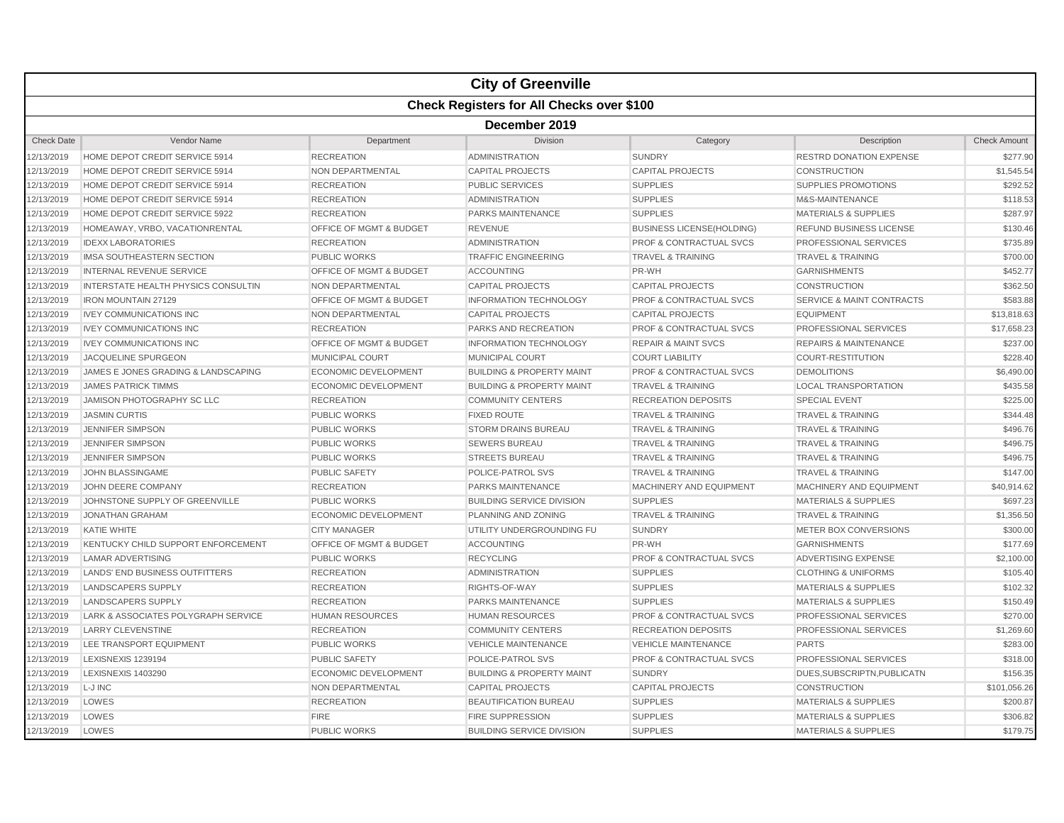|                   |                                            |                                    | <b>City of Greenville</b>                        |                                    |                                      |                     |  |  |  |
|-------------------|--------------------------------------------|------------------------------------|--------------------------------------------------|------------------------------------|--------------------------------------|---------------------|--|--|--|
|                   |                                            |                                    | <b>Check Registers for All Checks over \$100</b> |                                    |                                      |                     |  |  |  |
|                   | December 2019                              |                                    |                                                  |                                    |                                      |                     |  |  |  |
| <b>Check Date</b> | Vendor Name                                | Department                         | Division                                         | Category                           | Description                          | <b>Check Amount</b> |  |  |  |
| 12/13/2019        | HOME DEPOT CREDIT SERVICE 5914             | <b>RECREATION</b>                  | <b>ADMINISTRATION</b>                            | <b>SUNDRY</b>                      | <b>RESTRD DONATION EXPENSE</b>       | \$277.90            |  |  |  |
| 12/13/2019        | HOME DEPOT CREDIT SERVICE 5914             | NON DEPARTMENTAL                   | <b>CAPITAL PROJECTS</b>                          | <b>CAPITAL PROJECTS</b>            | <b>CONSTRUCTION</b>                  | \$1,545.54          |  |  |  |
| 12/13/2019        | HOME DEPOT CREDIT SERVICE 5914             | <b>RECREATION</b>                  | <b>PUBLIC SERVICES</b>                           | <b>SUPPLIES</b>                    | SUPPLIES PROMOTIONS                  | \$292.52            |  |  |  |
| 12/13/2019        | HOME DEPOT CREDIT SERVICE 5914             | <b>RECREATION</b>                  | <b>ADMINISTRATION</b>                            | <b>SUPPLIES</b>                    | M&S-MAINTENANCE                      | \$118.53            |  |  |  |
| 12/13/2019        | HOME DEPOT CREDIT SERVICE 5922             | <b>RECREATION</b>                  | <b>PARKS MAINTENANCE</b>                         | <b>SUPPLIES</b>                    | <b>MATERIALS &amp; SUPPLIES</b>      | \$287.97            |  |  |  |
| 12/13/2019        | HOMEAWAY, VRBO, VACATIONRENTAL             | OFFICE OF MGMT & BUDGET            | <b>REVENUE</b>                                   | <b>BUSINESS LICENSE(HOLDING)</b>   | <b>REFUND BUSINESS LICENSE</b>       | \$130.46            |  |  |  |
| 12/13/2019        | <b>IDEXX LABORATORIES</b>                  | <b>RECREATION</b>                  | <b>ADMINISTRATION</b>                            | <b>PROF &amp; CONTRACTUAL SVCS</b> | <b>PROFESSIONAL SERVICES</b>         | \$735.89            |  |  |  |
| 12/13/2019        | IMSA SOUTHEASTERN SECTION                  | <b>PUBLIC WORKS</b>                | <b>TRAFFIC ENGINEERING</b>                       | <b>TRAVEL &amp; TRAINING</b>       | <b>TRAVEL &amp; TRAINING</b>         | \$700.00            |  |  |  |
| 12/13/2019        | <b>INTERNAL REVENUE SERVICE</b>            | OFFICE OF MGMT & BUDGET            | <b>ACCOUNTING</b>                                | PR-WH                              | <b>GARNISHMENTS</b>                  | \$452.77            |  |  |  |
| 12/13/2019        | <b>INTERSTATE HEALTH PHYSICS CONSULTIN</b> | NON DEPARTMENTAL                   | <b>CAPITAL PROJECTS</b>                          | <b>CAPITAL PROJECTS</b>            | <b>CONSTRUCTION</b>                  | \$362.50            |  |  |  |
| 12/13/2019        | <b>IRON MOUNTAIN 27129</b>                 | OFFICE OF MGMT & BUDGET            | <b>INFORMATION TECHNOLOGY</b>                    | <b>PROF &amp; CONTRACTUAL SVCS</b> | <b>SERVICE &amp; MAINT CONTRACTS</b> | \$583.88            |  |  |  |
| 12/13/2019        | <b>IVEY COMMUNICATIONS INC</b>             | <b>NON DEPARTMENTAL</b>            | <b>CAPITAL PROJECTS</b>                          | <b>CAPITAL PROJECTS</b>            | <b>EQUIPMENT</b>                     | \$13,818.63         |  |  |  |
| 12/13/2019        | <b>IVEY COMMUNICATIONS INC</b>             | <b>RECREATION</b>                  | PARKS AND RECREATION                             | <b>PROF &amp; CONTRACTUAL SVCS</b> | <b>PROFESSIONAL SERVICES</b>         | \$17,658.23         |  |  |  |
| 12/13/2019        | <b>IVEY COMMUNICATIONS INC</b>             | <b>OFFICE OF MGMT &amp; BUDGET</b> | <b>INFORMATION TECHNOLOGY</b>                    | <b>REPAIR &amp; MAINT SVCS</b>     | <b>REPAIRS &amp; MAINTENANCE</b>     | \$237.00            |  |  |  |
| 12/13/2019        | JACQUELINE SPURGEON                        | MUNICIPAL COURT                    | <b>MUNICIPAL COURT</b>                           | <b>COURT LIABILITY</b>             | <b>COURT-RESTITUTION</b>             | \$228.40            |  |  |  |
| 12/13/2019        | JAMES E JONES GRADING & LANDSCAPING        | <b>ECONOMIC DEVELOPMENT</b>        | <b>BUILDING &amp; PROPERTY MAINT</b>             | <b>PROF &amp; CONTRACTUAL SVCS</b> | <b>DEMOLITIONS</b>                   | \$6,490.00          |  |  |  |
| 12/13/2019        | <b>JAMES PATRICK TIMMS</b>                 | <b>ECONOMIC DEVELOPMENT</b>        | <b>BUILDING &amp; PROPERTY MAINT</b>             | <b>TRAVEL &amp; TRAINING</b>       | <b>LOCAL TRANSPORTATION</b>          | \$435.58            |  |  |  |
| 12/13/2019        | JAMISON PHOTOGRAPHY SC LLC                 | <b>RECREATION</b>                  | <b>COMMUNITY CENTERS</b>                         | <b>RECREATION DEPOSITS</b>         | <b>SPECIAL EVENT</b>                 | \$225.00            |  |  |  |
| 12/13/2019        | <b>JASMIN CURTIS</b>                       | <b>PUBLIC WORKS</b>                | <b>FIXED ROUTE</b>                               | <b>TRAVEL &amp; TRAINING</b>       | <b>TRAVEL &amp; TRAINING</b>         | \$344.48            |  |  |  |
| 12/13/2019        | <b>JENNIFER SIMPSON</b>                    | <b>PUBLIC WORKS</b>                | <b>STORM DRAINS BUREAU</b>                       | <b>TRAVEL &amp; TRAINING</b>       | <b>TRAVEL &amp; TRAINING</b>         | \$496.76            |  |  |  |
| 12/13/2019        | <b>JENNIFER SIMPSON</b>                    | <b>PUBLIC WORKS</b>                | <b>SEWERS BUREAU</b>                             | <b>TRAVEL &amp; TRAINING</b>       | <b>TRAVEL &amp; TRAINING</b>         | \$496.75            |  |  |  |
| 12/13/2019        | <b>JENNIFER SIMPSON</b>                    | <b>PUBLIC WORKS</b>                | <b>STREETS BUREAU</b>                            | <b>TRAVEL &amp; TRAINING</b>       | <b>TRAVEL &amp; TRAINING</b>         | \$496.75            |  |  |  |
| 12/13/2019        | JOHN BLASSINGAME                           | <b>PUBLIC SAFETY</b>               | POLICE-PATROL SVS                                | <b>TRAVEL &amp; TRAINING</b>       | <b>TRAVEL &amp; TRAINING</b>         | \$147.00            |  |  |  |
| 12/13/2019        | JOHN DEERE COMPANY                         | <b>RECREATION</b>                  | <b>PARKS MAINTENANCE</b>                         | MACHINERY AND EQUIPMENT            | MACHINERY AND EQUIPMENT              | \$40,914.62         |  |  |  |
| 12/13/2019        | JOHNSTONE SUPPLY OF GREENVILLE             | <b>PUBLIC WORKS</b>                | <b>BUILDING SERVICE DIVISION</b>                 | <b>SUPPLIES</b>                    | <b>MATERIALS &amp; SUPPLIES</b>      | \$697.23            |  |  |  |
| 12/13/2019        | <b>JONATHAN GRAHAM</b>                     | <b>ECONOMIC DEVELOPMENT</b>        | PLANNING AND ZONING                              | <b>TRAVEL &amp; TRAINING</b>       | <b>TRAVEL &amp; TRAINING</b>         | \$1,356.50          |  |  |  |
| 12/13/2019        | <b>KATIE WHITE</b>                         | <b>CITY MANAGER</b>                | UTILITY UNDERGROUNDING FU                        | <b>SUNDRY</b>                      | METER BOX CONVERSIONS                | \$300.00            |  |  |  |
| 12/13/2019        | KENTUCKY CHILD SUPPORT ENFORCEMENT         | OFFICE OF MGMT & BUDGET            | <b>ACCOUNTING</b>                                | PR-WH                              | <b>GARNISHMENTS</b>                  | \$177.69            |  |  |  |
| 12/13/2019        | <b>LAMAR ADVERTISING</b>                   | <b>PUBLIC WORKS</b>                | <b>RECYCLING</b>                                 | <b>PROF &amp; CONTRACTUAL SVCS</b> | ADVERTISING EXPENSE                  | \$2,100.00          |  |  |  |
| 12/13/2019        | LANDS' END BUSINESS OUTFITTERS             | <b>RECREATION</b>                  | <b>ADMINISTRATION</b>                            | <b>SUPPLIES</b>                    | <b>CLOTHING &amp; UNIFORMS</b>       | \$105.40            |  |  |  |
| 12/13/2019        | <b>LANDSCAPERS SUPPLY</b>                  | <b>RECREATION</b>                  | RIGHTS-OF-WAY                                    | <b>SUPPLIES</b>                    | <b>MATERIALS &amp; SUPPLIES</b>      | \$102.32            |  |  |  |
| 12/13/2019        | <b>LANDSCAPERS SUPPLY</b>                  | <b>RECREATION</b>                  | PARKS MAINTENANCE                                | <b>SUPPLIES</b>                    | <b>MATERIALS &amp; SUPPLIES</b>      | \$150.49            |  |  |  |
| 12/13/2019        | LARK & ASSOCIATES POLYGRAPH SERVICE        | <b>HUMAN RESOURCES</b>             | <b>HUMAN RESOURCES</b>                           | <b>PROF &amp; CONTRACTUAL SVCS</b> | <b>PROFESSIONAL SERVICES</b>         | \$270.00            |  |  |  |
| 12/13/2019        | <b>LARRY CLEVENSTINE</b>                   | <b>RECREATION</b>                  | <b>COMMUNITY CENTERS</b>                         | <b>RECREATION DEPOSITS</b>         | <b>PROFESSIONAL SERVICES</b>         | \$1,269.60          |  |  |  |
| 12/13/2019        | LEE TRANSPORT EQUIPMENT                    | <b>PUBLIC WORKS</b>                | <b>VEHICLE MAINTENANCE</b>                       | <b>VEHICLE MAINTENANCE</b>         | <b>PARTS</b>                         | \$283.00            |  |  |  |
| 12/13/2019        | LEXISNEXIS 1239194                         | <b>PUBLIC SAFETY</b>               | POLICE-PATROL SVS                                | <b>PROF &amp; CONTRACTUAL SVCS</b> | PROFESSIONAL SERVICES                | \$318.00            |  |  |  |
| 12/13/2019        | LEXISNEXIS 1403290                         | <b>ECONOMIC DEVELOPMENT</b>        | <b>BUILDING &amp; PROPERTY MAINT</b>             | <b>SUNDRY</b>                      | DUES, SUBSCRIPTN, PUBLICATN          | \$156.35            |  |  |  |
| 12/13/2019        | L-J INC                                    | NON DEPARTMENTAL                   | <b>CAPITAL PROJECTS</b>                          | <b>CAPITAL PROJECTS</b>            | <b>CONSTRUCTION</b>                  | \$101,056.26        |  |  |  |
| 12/13/2019        | LOWES                                      | <b>RECREATION</b>                  | <b>BEAUTIFICATION BUREAU</b>                     | <b>SUPPLIES</b>                    | <b>MATERIALS &amp; SUPPLIES</b>      | \$200.87            |  |  |  |
| 12/13/2019        | LOWES                                      | <b>FIRE</b>                        | FIRE SUPPRESSION                                 | <b>SUPPLIES</b>                    | <b>MATERIALS &amp; SUPPLIES</b>      | \$306.82            |  |  |  |
| 12/13/2019        | LOWES                                      | <b>PUBLIC WORKS</b>                | <b>BUILDING SERVICE DIVISION</b>                 | <b>SUPPLIES</b>                    | <b>MATERIALS &amp; SUPPLIES</b>      | \$179.75            |  |  |  |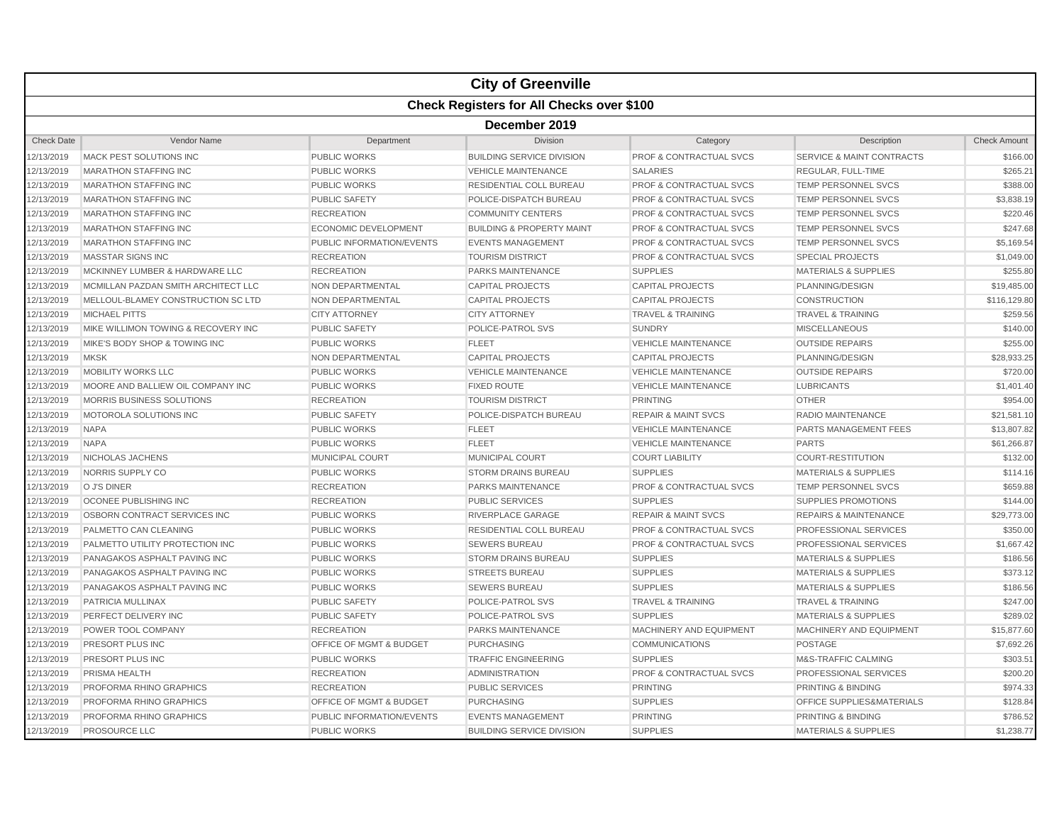| <b>Check Registers for All Checks over \$100</b><br>December 2019<br><b>Check Date</b><br>Vendor Name<br>Department<br>Division<br>Category<br>Description<br>12/13/2019<br>MACK PEST SOLUTIONS INC<br>PUBLIC WORKS<br><b>BUILDING SERVICE DIVISION</b><br>PROF & CONTRACTUAL SVCS<br><b>SERVICE &amp; MAINT CONTRACTS</b><br>12/13/2019<br><b>VEHICLE MAINTENANCE</b><br><b>SALARIES</b><br>REGULAR, FULL-TIME<br><b>MARATHON STAFFING INC</b><br><b>PUBLIC WORKS</b><br>12/13/2019<br><b>MARATHON STAFFING INC</b><br><b>PUBLIC WORKS</b><br>RESIDENTIAL COLL BUREAU<br><b>PROF &amp; CONTRACTUAL SVCS</b><br><b>TEMP PERSONNEL SVCS</b><br>12/13/2019<br><b>MARATHON STAFFING INC</b><br><b>PUBLIC SAFETY</b><br>POLICE-DISPATCH BUREAU<br><b>PROF &amp; CONTRACTUAL SVCS</b><br><b>TEMP PERSONNEL SVCS</b><br>12/13/2019<br><b>MARATHON STAFFING INC</b><br><b>RECREATION</b><br><b>COMMUNITY CENTERS</b><br><b>PROF &amp; CONTRACTUAL SVCS</b><br><b>TEMP PERSONNEL SVCS</b><br>12/13/2019<br><b>MARATHON STAFFING INC</b><br><b>ECONOMIC DEVELOPMENT</b><br><b>BUILDING &amp; PROPERTY MAINT</b><br><b>PROF &amp; CONTRACTUAL SVCS</b><br>TEMP PERSONNEL SVCS<br>12/13/2019<br><b>MARATHON STAFFING INC</b><br>PUBLIC INFORMATION/EVENTS<br><b>EVENTS MANAGEMENT</b><br><b>PROF &amp; CONTRACTUAL SVCS</b><br><b>TEMP PERSONNEL SVCS</b><br><b>MASSTAR SIGNS INC</b><br>12/13/2019<br><b>RECREATION</b><br><b>TOURISM DISTRICT</b><br><b>PROF &amp; CONTRACTUAL SVCS</b><br><b>SPECIAL PROJECTS</b><br><b>SUPPLIES</b><br><b>MATERIALS &amp; SUPPLIES</b><br>12/13/2019<br>MCKINNEY LUMBER & HARDWARE LLC<br><b>RECREATION</b><br><b>PARKS MAINTENANCE</b><br>12/13/2019<br>MCMILLAN PAZDAN SMITH ARCHITECT LLC<br>NON DEPARTMENTAL<br><b>CAPITAL PROJECTS</b><br><b>CAPITAL PROJECTS</b><br>PLANNING/DESIGN<br>12/13/2019<br>MELLOUL-BLAMEY CONSTRUCTION SC LTD<br>NON DEPARTMENTAL<br><b>CAPITAL PROJECTS</b><br><b>CAPITAL PROJECTS</b><br>CONSTRUCTION<br>12/13/2019<br><b>MICHAEL PITTS</b><br><b>CITY ATTORNEY</b><br><b>CITY ATTORNEY</b><br><b>TRAVEL &amp; TRAINING</b><br><b>TRAVEL &amp; TRAINING</b><br>12/13/2019<br>MIKE WILLIMON TOWING & RECOVERY INC<br><b>PUBLIC SAFETY</b><br>POLICE-PATROL SVS<br><b>SUNDRY</b><br><b>MISCELLANEOUS</b><br>12/13/2019<br>MIKE'S BODY SHOP & TOWING INC<br><b>PUBLIC WORKS</b><br><b>FLEET</b><br><b>VEHICLE MAINTENANCE</b><br><b>OUTSIDE REPAIRS</b><br>NON DEPARTMENTAL<br><b>CAPITAL PROJECTS</b><br><b>CAPITAL PROJECTS</b><br>12/13/2019<br><b>MKSK</b><br>PLANNING/DESIGN<br>MOBILITY WORKS LLC<br>12/13/2019<br><b>PUBLIC WORKS</b><br><b>VEHICLE MAINTENANCE</b><br><b>VEHICLE MAINTENANCE</b><br><b>OUTSIDE REPAIRS</b><br>12/13/2019<br>MOORE AND BALLIEW OIL COMPANY INC<br><b>PUBLIC WORKS</b><br><b>FIXED ROUTE</b><br><b>VEHICLE MAINTENANCE</b><br><b>LUBRICANTS</b><br>12/13/2019<br>MORRIS BUSINESS SOLUTIONS<br><b>RECREATION</b><br><b>TOURISM DISTRICT</b><br><b>PRINTING</b><br><b>OTHER</b><br>12/13/2019<br>MOTOROLA SOLUTIONS INC<br><b>PUBLIC SAFETY</b><br>POLICE-DISPATCH BUREAU<br><b>REPAIR &amp; MAINT SVCS</b><br><b>RADIO MAINTENANCE</b><br>12/13/2019<br><b>NAPA</b><br><b>PUBLIC WORKS</b><br><b>FLEET</b><br><b>VEHICLE MAINTENANCE</b><br><b>PARTS MANAGEMENT FEES</b><br><b>NAPA</b><br><b>PARTS</b><br>12/13/2019<br><b>PUBLIC WORKS</b><br><b>FLEET</b><br><b>VEHICLE MAINTENANCE</b><br>MUNICIPAL COURT<br>12/13/2019<br>NICHOLAS JACHENS<br><b>MUNICIPAL COURT</b><br><b>COURT LIABILITY</b><br><b>COURT-RESTITUTION</b><br>NORRIS SUPPLY CO<br><b>SUPPLIES</b><br>12/13/2019<br><b>PUBLIC WORKS</b><br><b>STORM DRAINS BUREAU</b><br><b>MATERIALS &amp; SUPPLIES</b><br>O J'S DINER<br>12/13/2019<br><b>RECREATION</b><br><b>PARKS MAINTENANCE</b><br><b>PROF &amp; CONTRACTUAL SVCS</b><br>TEMP PERSONNEL SVCS<br>12/13/2019<br>OCONEE PUBLISHING INC<br><b>RECREATION</b><br><b>PUBLIC SERVICES</b><br><b>SUPPLIES</b><br>SUPPLIES PROMOTIONS<br>12/13/2019<br>OSBORN CONTRACT SERVICES INC<br><b>RIVERPLACE GARAGE</b><br><b>REPAIR &amp; MAINT SVCS</b><br><b>PUBLIC WORKS</b><br><b>REPAIRS &amp; MAINTENANCE</b><br>12/13/2019<br>PALMETTO CAN CLEANING<br><b>PUBLIC WORKS</b><br>RESIDENTIAL COLL BUREAU<br><b>PROF &amp; CONTRACTUAL SVCS</b><br><b>PROFESSIONAL SERVICES</b><br>12/13/2019<br>PALMETTO UTILITY PROTECTION INC<br><b>PUBLIC WORKS</b><br><b>SEWERS BUREAU</b><br><b>PROF &amp; CONTRACTUAL SVCS</b><br><b>PROFESSIONAL SERVICES</b><br>PANAGAKOS ASPHALT PAVING INC<br><b>SUPPLIES</b><br><b>MATERIALS &amp; SUPPLIES</b><br>12/13/2019<br><b>PUBLIC WORKS</b><br><b>STORM DRAINS BUREAU</b><br><b>SUPPLIES</b><br>12/13/2019<br>PANAGAKOS ASPHALT PAVING INC<br><b>PUBLIC WORKS</b><br><b>STREETS BUREAU</b><br><b>MATERIALS &amp; SUPPLIES</b><br>12/13/2019<br>PANAGAKOS ASPHALT PAVING INC<br><b>PUBLIC WORKS</b><br><b>SEWERS BUREAU</b><br><b>SUPPLIES</b><br><b>MATERIALS &amp; SUPPLIES</b><br>12/13/2019<br>PATRICIA MULLINAX<br><b>PUBLIC SAFETY</b><br>POLICE-PATROL SVS<br><b>TRAVEL &amp; TRAINING</b><br><b>TRAVEL &amp; TRAINING</b><br>12/13/2019<br>PERFECT DELIVERY INC<br><b>PUBLIC SAFETY</b><br>POLICE-PATROL SVS<br><b>SUPPLIES</b><br><b>MATERIALS &amp; SUPPLIES</b><br>12/13/2019<br>POWER TOOL COMPANY<br><b>PARKS MAINTENANCE</b><br><b>MACHINERY AND EQUIPMENT</b><br>MACHINERY AND EQUIPMENT<br><b>RECREATION</b><br>12/13/2019<br>PRESORT PLUS INC<br><b>OFFICE OF MGMT &amp; BUDGET</b><br><b>COMMUNICATIONS</b><br><b>PURCHASING</b><br><b>POSTAGE</b><br>M&S-TRAFFIC CALMING<br>12/13/2019<br>PRESORT PLUS INC<br><b>PUBLIC WORKS</b><br><b>TRAFFIC ENGINEERING</b><br><b>SUPPLIES</b><br>12/13/2019<br>PRISMA HEALTH<br><b>RECREATION</b><br><b>ADMINISTRATION</b><br><b>PROF &amp; CONTRACTUAL SVCS</b><br><b>PROFESSIONAL SERVICES</b><br><b>PUBLIC SERVICES</b><br><b>PRINTING</b><br><b>PRINTING &amp; BINDING</b><br>12/13/2019<br>PROFORMA RHINO GRAPHICS<br><b>RECREATION</b><br>12/13/2019<br>PROFORMA RHINO GRAPHICS<br><b>PURCHASING</b><br><b>SUPPLIES</b><br>OFFICE SUPPLIES&MATERIALS<br><b>OFFICE OF MGMT &amp; BUDGET</b><br>12/13/2019<br>PROFORMA RHINO GRAPHICS<br>PUBLIC INFORMATION/EVENTS<br><b>EVENTS MANAGEMENT</b><br><b>PRINTING</b><br>PRINTING & BINDING |            |                      |                     | <b>City of Greenville</b>        |                 |                                 |                     |  |  |  |
|----------------------------------------------------------------------------------------------------------------------------------------------------------------------------------------------------------------------------------------------------------------------------------------------------------------------------------------------------------------------------------------------------------------------------------------------------------------------------------------------------------------------------------------------------------------------------------------------------------------------------------------------------------------------------------------------------------------------------------------------------------------------------------------------------------------------------------------------------------------------------------------------------------------------------------------------------------------------------------------------------------------------------------------------------------------------------------------------------------------------------------------------------------------------------------------------------------------------------------------------------------------------------------------------------------------------------------------------------------------------------------------------------------------------------------------------------------------------------------------------------------------------------------------------------------------------------------------------------------------------------------------------------------------------------------------------------------------------------------------------------------------------------------------------------------------------------------------------------------------------------------------------------------------------------------------------------------------------------------------------------------------------------------------------------------------------------------------------------------------------------------------------------------------------------------------------------------------------------------------------------------------------------------------------------------------------------------------------------------------------------------------------------------------------------------------------------------------------------------------------------------------------------------------------------------------------------------------------------------------------------------------------------------------------------------------------------------------------------------------------------------------------------------------------------------------------------------------------------------------------------------------------------------------------------------------------------------------------------------------------------------------------------------------------------------------------------------------------------------------------------------------------------------------------------------------------------------------------------------------------------------------------------------------------------------------------------------------------------------------------------------------------------------------------------------------------------------------------------------------------------------------------------------------------------------------------------------------------------------------------------------------------------------------------------------------------------------------------------------------------------------------------------------------------------------------------------------------------------------------------------------------------------------------------------------------------------------------------------------------------------------------------------------------------------------------------------------------------------------------------------------------------------------------------------------------------------------------------------------------------------------------------------------------------------------------------------------------------------------------------------------------------------------------------------------------------------------------------------------------------------------------------------------------------------------------------------------------------------------------------------------------------------------------------------------------------------------------------------------------------------------------------------------------------------------------------------------------------------------------------------------------------------------------------------------------------------------------------------------------------------------------------------------------------------------------------------------------------------------------------------------------------------------------------------------------------------------------------------------------------------------------------------------------------------------------------------------------------------------------------------------------------------------------------------------------------------------------------------------------------------------------------------------------------------------------------------------------------------------------------------------------------------------------------------------------------------------------------------------------------------------------------------------------------------------------------------------------------------------------------------------------------------------------------------------------------------------------------------------------------------------------------------------------------------------------------------------------------------------------------------------------------------------------------------------------------------------------------------------------------------|------------|----------------------|---------------------|----------------------------------|-----------------|---------------------------------|---------------------|--|--|--|
|                                                                                                                                                                                                                                                                                                                                                                                                                                                                                                                                                                                                                                                                                                                                                                                                                                                                                                                                                                                                                                                                                                                                                                                                                                                                                                                                                                                                                                                                                                                                                                                                                                                                                                                                                                                                                                                                                                                                                                                                                                                                                                                                                                                                                                                                                                                                                                                                                                                                                                                                                                                                                                                                                                                                                                                                                                                                                                                                                                                                                                                                                                                                                                                                                                                                                                                                                                                                                                                                                                                                                                                                                                                                                                                                                                                                                                                                                                                                                                                                                                                                                                                                                                                                                                                                                                                                                                                                                                                                                                                                                                                                                                                                                                                                                                                                                                                                                                                                                                                                                                                                                                                                                                                                                                                                                                                                                                                                                                                                                                                                                                                                                                                                                                                                                                                                                                                                                                                                                                                                                                                                                                                                                                                                                                                    |            |                      |                     |                                  |                 |                                 |                     |  |  |  |
|                                                                                                                                                                                                                                                                                                                                                                                                                                                                                                                                                                                                                                                                                                                                                                                                                                                                                                                                                                                                                                                                                                                                                                                                                                                                                                                                                                                                                                                                                                                                                                                                                                                                                                                                                                                                                                                                                                                                                                                                                                                                                                                                                                                                                                                                                                                                                                                                                                                                                                                                                                                                                                                                                                                                                                                                                                                                                                                                                                                                                                                                                                                                                                                                                                                                                                                                                                                                                                                                                                                                                                                                                                                                                                                                                                                                                                                                                                                                                                                                                                                                                                                                                                                                                                                                                                                                                                                                                                                                                                                                                                                                                                                                                                                                                                                                                                                                                                                                                                                                                                                                                                                                                                                                                                                                                                                                                                                                                                                                                                                                                                                                                                                                                                                                                                                                                                                                                                                                                                                                                                                                                                                                                                                                                                                    |            |                      |                     |                                  |                 |                                 |                     |  |  |  |
|                                                                                                                                                                                                                                                                                                                                                                                                                                                                                                                                                                                                                                                                                                                                                                                                                                                                                                                                                                                                                                                                                                                                                                                                                                                                                                                                                                                                                                                                                                                                                                                                                                                                                                                                                                                                                                                                                                                                                                                                                                                                                                                                                                                                                                                                                                                                                                                                                                                                                                                                                                                                                                                                                                                                                                                                                                                                                                                                                                                                                                                                                                                                                                                                                                                                                                                                                                                                                                                                                                                                                                                                                                                                                                                                                                                                                                                                                                                                                                                                                                                                                                                                                                                                                                                                                                                                                                                                                                                                                                                                                                                                                                                                                                                                                                                                                                                                                                                                                                                                                                                                                                                                                                                                                                                                                                                                                                                                                                                                                                                                                                                                                                                                                                                                                                                                                                                                                                                                                                                                                                                                                                                                                                                                                                                    |            |                      |                     |                                  |                 |                                 | <b>Check Amount</b> |  |  |  |
|                                                                                                                                                                                                                                                                                                                                                                                                                                                                                                                                                                                                                                                                                                                                                                                                                                                                                                                                                                                                                                                                                                                                                                                                                                                                                                                                                                                                                                                                                                                                                                                                                                                                                                                                                                                                                                                                                                                                                                                                                                                                                                                                                                                                                                                                                                                                                                                                                                                                                                                                                                                                                                                                                                                                                                                                                                                                                                                                                                                                                                                                                                                                                                                                                                                                                                                                                                                                                                                                                                                                                                                                                                                                                                                                                                                                                                                                                                                                                                                                                                                                                                                                                                                                                                                                                                                                                                                                                                                                                                                                                                                                                                                                                                                                                                                                                                                                                                                                                                                                                                                                                                                                                                                                                                                                                                                                                                                                                                                                                                                                                                                                                                                                                                                                                                                                                                                                                                                                                                                                                                                                                                                                                                                                                                                    |            |                      |                     |                                  |                 |                                 | \$166.00            |  |  |  |
|                                                                                                                                                                                                                                                                                                                                                                                                                                                                                                                                                                                                                                                                                                                                                                                                                                                                                                                                                                                                                                                                                                                                                                                                                                                                                                                                                                                                                                                                                                                                                                                                                                                                                                                                                                                                                                                                                                                                                                                                                                                                                                                                                                                                                                                                                                                                                                                                                                                                                                                                                                                                                                                                                                                                                                                                                                                                                                                                                                                                                                                                                                                                                                                                                                                                                                                                                                                                                                                                                                                                                                                                                                                                                                                                                                                                                                                                                                                                                                                                                                                                                                                                                                                                                                                                                                                                                                                                                                                                                                                                                                                                                                                                                                                                                                                                                                                                                                                                                                                                                                                                                                                                                                                                                                                                                                                                                                                                                                                                                                                                                                                                                                                                                                                                                                                                                                                                                                                                                                                                                                                                                                                                                                                                                                                    |            |                      |                     |                                  |                 |                                 | \$265.21            |  |  |  |
|                                                                                                                                                                                                                                                                                                                                                                                                                                                                                                                                                                                                                                                                                                                                                                                                                                                                                                                                                                                                                                                                                                                                                                                                                                                                                                                                                                                                                                                                                                                                                                                                                                                                                                                                                                                                                                                                                                                                                                                                                                                                                                                                                                                                                                                                                                                                                                                                                                                                                                                                                                                                                                                                                                                                                                                                                                                                                                                                                                                                                                                                                                                                                                                                                                                                                                                                                                                                                                                                                                                                                                                                                                                                                                                                                                                                                                                                                                                                                                                                                                                                                                                                                                                                                                                                                                                                                                                                                                                                                                                                                                                                                                                                                                                                                                                                                                                                                                                                                                                                                                                                                                                                                                                                                                                                                                                                                                                                                                                                                                                                                                                                                                                                                                                                                                                                                                                                                                                                                                                                                                                                                                                                                                                                                                                    |            |                      |                     |                                  |                 |                                 | \$388.00            |  |  |  |
|                                                                                                                                                                                                                                                                                                                                                                                                                                                                                                                                                                                                                                                                                                                                                                                                                                                                                                                                                                                                                                                                                                                                                                                                                                                                                                                                                                                                                                                                                                                                                                                                                                                                                                                                                                                                                                                                                                                                                                                                                                                                                                                                                                                                                                                                                                                                                                                                                                                                                                                                                                                                                                                                                                                                                                                                                                                                                                                                                                                                                                                                                                                                                                                                                                                                                                                                                                                                                                                                                                                                                                                                                                                                                                                                                                                                                                                                                                                                                                                                                                                                                                                                                                                                                                                                                                                                                                                                                                                                                                                                                                                                                                                                                                                                                                                                                                                                                                                                                                                                                                                                                                                                                                                                                                                                                                                                                                                                                                                                                                                                                                                                                                                                                                                                                                                                                                                                                                                                                                                                                                                                                                                                                                                                                                                    |            |                      |                     |                                  |                 |                                 | \$3,838.19          |  |  |  |
|                                                                                                                                                                                                                                                                                                                                                                                                                                                                                                                                                                                                                                                                                                                                                                                                                                                                                                                                                                                                                                                                                                                                                                                                                                                                                                                                                                                                                                                                                                                                                                                                                                                                                                                                                                                                                                                                                                                                                                                                                                                                                                                                                                                                                                                                                                                                                                                                                                                                                                                                                                                                                                                                                                                                                                                                                                                                                                                                                                                                                                                                                                                                                                                                                                                                                                                                                                                                                                                                                                                                                                                                                                                                                                                                                                                                                                                                                                                                                                                                                                                                                                                                                                                                                                                                                                                                                                                                                                                                                                                                                                                                                                                                                                                                                                                                                                                                                                                                                                                                                                                                                                                                                                                                                                                                                                                                                                                                                                                                                                                                                                                                                                                                                                                                                                                                                                                                                                                                                                                                                                                                                                                                                                                                                                                    |            |                      |                     |                                  |                 |                                 | \$220.46            |  |  |  |
|                                                                                                                                                                                                                                                                                                                                                                                                                                                                                                                                                                                                                                                                                                                                                                                                                                                                                                                                                                                                                                                                                                                                                                                                                                                                                                                                                                                                                                                                                                                                                                                                                                                                                                                                                                                                                                                                                                                                                                                                                                                                                                                                                                                                                                                                                                                                                                                                                                                                                                                                                                                                                                                                                                                                                                                                                                                                                                                                                                                                                                                                                                                                                                                                                                                                                                                                                                                                                                                                                                                                                                                                                                                                                                                                                                                                                                                                                                                                                                                                                                                                                                                                                                                                                                                                                                                                                                                                                                                                                                                                                                                                                                                                                                                                                                                                                                                                                                                                                                                                                                                                                                                                                                                                                                                                                                                                                                                                                                                                                                                                                                                                                                                                                                                                                                                                                                                                                                                                                                                                                                                                                                                                                                                                                                                    |            |                      |                     |                                  |                 |                                 | \$247.68            |  |  |  |
|                                                                                                                                                                                                                                                                                                                                                                                                                                                                                                                                                                                                                                                                                                                                                                                                                                                                                                                                                                                                                                                                                                                                                                                                                                                                                                                                                                                                                                                                                                                                                                                                                                                                                                                                                                                                                                                                                                                                                                                                                                                                                                                                                                                                                                                                                                                                                                                                                                                                                                                                                                                                                                                                                                                                                                                                                                                                                                                                                                                                                                                                                                                                                                                                                                                                                                                                                                                                                                                                                                                                                                                                                                                                                                                                                                                                                                                                                                                                                                                                                                                                                                                                                                                                                                                                                                                                                                                                                                                                                                                                                                                                                                                                                                                                                                                                                                                                                                                                                                                                                                                                                                                                                                                                                                                                                                                                                                                                                                                                                                                                                                                                                                                                                                                                                                                                                                                                                                                                                                                                                                                                                                                                                                                                                                                    |            |                      |                     |                                  |                 |                                 | \$5,169.54          |  |  |  |
|                                                                                                                                                                                                                                                                                                                                                                                                                                                                                                                                                                                                                                                                                                                                                                                                                                                                                                                                                                                                                                                                                                                                                                                                                                                                                                                                                                                                                                                                                                                                                                                                                                                                                                                                                                                                                                                                                                                                                                                                                                                                                                                                                                                                                                                                                                                                                                                                                                                                                                                                                                                                                                                                                                                                                                                                                                                                                                                                                                                                                                                                                                                                                                                                                                                                                                                                                                                                                                                                                                                                                                                                                                                                                                                                                                                                                                                                                                                                                                                                                                                                                                                                                                                                                                                                                                                                                                                                                                                                                                                                                                                                                                                                                                                                                                                                                                                                                                                                                                                                                                                                                                                                                                                                                                                                                                                                                                                                                                                                                                                                                                                                                                                                                                                                                                                                                                                                                                                                                                                                                                                                                                                                                                                                                                                    |            |                      |                     |                                  |                 |                                 | \$1,049.00          |  |  |  |
|                                                                                                                                                                                                                                                                                                                                                                                                                                                                                                                                                                                                                                                                                                                                                                                                                                                                                                                                                                                                                                                                                                                                                                                                                                                                                                                                                                                                                                                                                                                                                                                                                                                                                                                                                                                                                                                                                                                                                                                                                                                                                                                                                                                                                                                                                                                                                                                                                                                                                                                                                                                                                                                                                                                                                                                                                                                                                                                                                                                                                                                                                                                                                                                                                                                                                                                                                                                                                                                                                                                                                                                                                                                                                                                                                                                                                                                                                                                                                                                                                                                                                                                                                                                                                                                                                                                                                                                                                                                                                                                                                                                                                                                                                                                                                                                                                                                                                                                                                                                                                                                                                                                                                                                                                                                                                                                                                                                                                                                                                                                                                                                                                                                                                                                                                                                                                                                                                                                                                                                                                                                                                                                                                                                                                                                    |            |                      |                     |                                  |                 |                                 | \$255.80            |  |  |  |
|                                                                                                                                                                                                                                                                                                                                                                                                                                                                                                                                                                                                                                                                                                                                                                                                                                                                                                                                                                                                                                                                                                                                                                                                                                                                                                                                                                                                                                                                                                                                                                                                                                                                                                                                                                                                                                                                                                                                                                                                                                                                                                                                                                                                                                                                                                                                                                                                                                                                                                                                                                                                                                                                                                                                                                                                                                                                                                                                                                                                                                                                                                                                                                                                                                                                                                                                                                                                                                                                                                                                                                                                                                                                                                                                                                                                                                                                                                                                                                                                                                                                                                                                                                                                                                                                                                                                                                                                                                                                                                                                                                                                                                                                                                                                                                                                                                                                                                                                                                                                                                                                                                                                                                                                                                                                                                                                                                                                                                                                                                                                                                                                                                                                                                                                                                                                                                                                                                                                                                                                                                                                                                                                                                                                                                                    |            |                      |                     |                                  |                 |                                 | \$19,485.00         |  |  |  |
|                                                                                                                                                                                                                                                                                                                                                                                                                                                                                                                                                                                                                                                                                                                                                                                                                                                                                                                                                                                                                                                                                                                                                                                                                                                                                                                                                                                                                                                                                                                                                                                                                                                                                                                                                                                                                                                                                                                                                                                                                                                                                                                                                                                                                                                                                                                                                                                                                                                                                                                                                                                                                                                                                                                                                                                                                                                                                                                                                                                                                                                                                                                                                                                                                                                                                                                                                                                                                                                                                                                                                                                                                                                                                                                                                                                                                                                                                                                                                                                                                                                                                                                                                                                                                                                                                                                                                                                                                                                                                                                                                                                                                                                                                                                                                                                                                                                                                                                                                                                                                                                                                                                                                                                                                                                                                                                                                                                                                                                                                                                                                                                                                                                                                                                                                                                                                                                                                                                                                                                                                                                                                                                                                                                                                                                    |            |                      |                     |                                  |                 |                                 | \$116,129.80        |  |  |  |
|                                                                                                                                                                                                                                                                                                                                                                                                                                                                                                                                                                                                                                                                                                                                                                                                                                                                                                                                                                                                                                                                                                                                                                                                                                                                                                                                                                                                                                                                                                                                                                                                                                                                                                                                                                                                                                                                                                                                                                                                                                                                                                                                                                                                                                                                                                                                                                                                                                                                                                                                                                                                                                                                                                                                                                                                                                                                                                                                                                                                                                                                                                                                                                                                                                                                                                                                                                                                                                                                                                                                                                                                                                                                                                                                                                                                                                                                                                                                                                                                                                                                                                                                                                                                                                                                                                                                                                                                                                                                                                                                                                                                                                                                                                                                                                                                                                                                                                                                                                                                                                                                                                                                                                                                                                                                                                                                                                                                                                                                                                                                                                                                                                                                                                                                                                                                                                                                                                                                                                                                                                                                                                                                                                                                                                                    |            |                      |                     |                                  |                 |                                 | \$259.56            |  |  |  |
|                                                                                                                                                                                                                                                                                                                                                                                                                                                                                                                                                                                                                                                                                                                                                                                                                                                                                                                                                                                                                                                                                                                                                                                                                                                                                                                                                                                                                                                                                                                                                                                                                                                                                                                                                                                                                                                                                                                                                                                                                                                                                                                                                                                                                                                                                                                                                                                                                                                                                                                                                                                                                                                                                                                                                                                                                                                                                                                                                                                                                                                                                                                                                                                                                                                                                                                                                                                                                                                                                                                                                                                                                                                                                                                                                                                                                                                                                                                                                                                                                                                                                                                                                                                                                                                                                                                                                                                                                                                                                                                                                                                                                                                                                                                                                                                                                                                                                                                                                                                                                                                                                                                                                                                                                                                                                                                                                                                                                                                                                                                                                                                                                                                                                                                                                                                                                                                                                                                                                                                                                                                                                                                                                                                                                                                    |            |                      |                     |                                  |                 |                                 | \$140.00            |  |  |  |
|                                                                                                                                                                                                                                                                                                                                                                                                                                                                                                                                                                                                                                                                                                                                                                                                                                                                                                                                                                                                                                                                                                                                                                                                                                                                                                                                                                                                                                                                                                                                                                                                                                                                                                                                                                                                                                                                                                                                                                                                                                                                                                                                                                                                                                                                                                                                                                                                                                                                                                                                                                                                                                                                                                                                                                                                                                                                                                                                                                                                                                                                                                                                                                                                                                                                                                                                                                                                                                                                                                                                                                                                                                                                                                                                                                                                                                                                                                                                                                                                                                                                                                                                                                                                                                                                                                                                                                                                                                                                                                                                                                                                                                                                                                                                                                                                                                                                                                                                                                                                                                                                                                                                                                                                                                                                                                                                                                                                                                                                                                                                                                                                                                                                                                                                                                                                                                                                                                                                                                                                                                                                                                                                                                                                                                                    |            |                      |                     |                                  |                 |                                 | \$255.00            |  |  |  |
|                                                                                                                                                                                                                                                                                                                                                                                                                                                                                                                                                                                                                                                                                                                                                                                                                                                                                                                                                                                                                                                                                                                                                                                                                                                                                                                                                                                                                                                                                                                                                                                                                                                                                                                                                                                                                                                                                                                                                                                                                                                                                                                                                                                                                                                                                                                                                                                                                                                                                                                                                                                                                                                                                                                                                                                                                                                                                                                                                                                                                                                                                                                                                                                                                                                                                                                                                                                                                                                                                                                                                                                                                                                                                                                                                                                                                                                                                                                                                                                                                                                                                                                                                                                                                                                                                                                                                                                                                                                                                                                                                                                                                                                                                                                                                                                                                                                                                                                                                                                                                                                                                                                                                                                                                                                                                                                                                                                                                                                                                                                                                                                                                                                                                                                                                                                                                                                                                                                                                                                                                                                                                                                                                                                                                                                    |            |                      |                     |                                  |                 |                                 | \$28,933.25         |  |  |  |
|                                                                                                                                                                                                                                                                                                                                                                                                                                                                                                                                                                                                                                                                                                                                                                                                                                                                                                                                                                                                                                                                                                                                                                                                                                                                                                                                                                                                                                                                                                                                                                                                                                                                                                                                                                                                                                                                                                                                                                                                                                                                                                                                                                                                                                                                                                                                                                                                                                                                                                                                                                                                                                                                                                                                                                                                                                                                                                                                                                                                                                                                                                                                                                                                                                                                                                                                                                                                                                                                                                                                                                                                                                                                                                                                                                                                                                                                                                                                                                                                                                                                                                                                                                                                                                                                                                                                                                                                                                                                                                                                                                                                                                                                                                                                                                                                                                                                                                                                                                                                                                                                                                                                                                                                                                                                                                                                                                                                                                                                                                                                                                                                                                                                                                                                                                                                                                                                                                                                                                                                                                                                                                                                                                                                                                                    |            |                      |                     |                                  |                 |                                 | \$720.00            |  |  |  |
|                                                                                                                                                                                                                                                                                                                                                                                                                                                                                                                                                                                                                                                                                                                                                                                                                                                                                                                                                                                                                                                                                                                                                                                                                                                                                                                                                                                                                                                                                                                                                                                                                                                                                                                                                                                                                                                                                                                                                                                                                                                                                                                                                                                                                                                                                                                                                                                                                                                                                                                                                                                                                                                                                                                                                                                                                                                                                                                                                                                                                                                                                                                                                                                                                                                                                                                                                                                                                                                                                                                                                                                                                                                                                                                                                                                                                                                                                                                                                                                                                                                                                                                                                                                                                                                                                                                                                                                                                                                                                                                                                                                                                                                                                                                                                                                                                                                                                                                                                                                                                                                                                                                                                                                                                                                                                                                                                                                                                                                                                                                                                                                                                                                                                                                                                                                                                                                                                                                                                                                                                                                                                                                                                                                                                                                    |            |                      |                     |                                  |                 |                                 | \$1,401.40          |  |  |  |
|                                                                                                                                                                                                                                                                                                                                                                                                                                                                                                                                                                                                                                                                                                                                                                                                                                                                                                                                                                                                                                                                                                                                                                                                                                                                                                                                                                                                                                                                                                                                                                                                                                                                                                                                                                                                                                                                                                                                                                                                                                                                                                                                                                                                                                                                                                                                                                                                                                                                                                                                                                                                                                                                                                                                                                                                                                                                                                                                                                                                                                                                                                                                                                                                                                                                                                                                                                                                                                                                                                                                                                                                                                                                                                                                                                                                                                                                                                                                                                                                                                                                                                                                                                                                                                                                                                                                                                                                                                                                                                                                                                                                                                                                                                                                                                                                                                                                                                                                                                                                                                                                                                                                                                                                                                                                                                                                                                                                                                                                                                                                                                                                                                                                                                                                                                                                                                                                                                                                                                                                                                                                                                                                                                                                                                                    |            |                      |                     |                                  |                 |                                 | \$954.00            |  |  |  |
|                                                                                                                                                                                                                                                                                                                                                                                                                                                                                                                                                                                                                                                                                                                                                                                                                                                                                                                                                                                                                                                                                                                                                                                                                                                                                                                                                                                                                                                                                                                                                                                                                                                                                                                                                                                                                                                                                                                                                                                                                                                                                                                                                                                                                                                                                                                                                                                                                                                                                                                                                                                                                                                                                                                                                                                                                                                                                                                                                                                                                                                                                                                                                                                                                                                                                                                                                                                                                                                                                                                                                                                                                                                                                                                                                                                                                                                                                                                                                                                                                                                                                                                                                                                                                                                                                                                                                                                                                                                                                                                                                                                                                                                                                                                                                                                                                                                                                                                                                                                                                                                                                                                                                                                                                                                                                                                                                                                                                                                                                                                                                                                                                                                                                                                                                                                                                                                                                                                                                                                                                                                                                                                                                                                                                                                    |            |                      |                     |                                  |                 |                                 | \$21.581.10         |  |  |  |
|                                                                                                                                                                                                                                                                                                                                                                                                                                                                                                                                                                                                                                                                                                                                                                                                                                                                                                                                                                                                                                                                                                                                                                                                                                                                                                                                                                                                                                                                                                                                                                                                                                                                                                                                                                                                                                                                                                                                                                                                                                                                                                                                                                                                                                                                                                                                                                                                                                                                                                                                                                                                                                                                                                                                                                                                                                                                                                                                                                                                                                                                                                                                                                                                                                                                                                                                                                                                                                                                                                                                                                                                                                                                                                                                                                                                                                                                                                                                                                                                                                                                                                                                                                                                                                                                                                                                                                                                                                                                                                                                                                                                                                                                                                                                                                                                                                                                                                                                                                                                                                                                                                                                                                                                                                                                                                                                                                                                                                                                                                                                                                                                                                                                                                                                                                                                                                                                                                                                                                                                                                                                                                                                                                                                                                                    |            |                      |                     |                                  |                 |                                 | \$13,807.82         |  |  |  |
|                                                                                                                                                                                                                                                                                                                                                                                                                                                                                                                                                                                                                                                                                                                                                                                                                                                                                                                                                                                                                                                                                                                                                                                                                                                                                                                                                                                                                                                                                                                                                                                                                                                                                                                                                                                                                                                                                                                                                                                                                                                                                                                                                                                                                                                                                                                                                                                                                                                                                                                                                                                                                                                                                                                                                                                                                                                                                                                                                                                                                                                                                                                                                                                                                                                                                                                                                                                                                                                                                                                                                                                                                                                                                                                                                                                                                                                                                                                                                                                                                                                                                                                                                                                                                                                                                                                                                                                                                                                                                                                                                                                                                                                                                                                                                                                                                                                                                                                                                                                                                                                                                                                                                                                                                                                                                                                                                                                                                                                                                                                                                                                                                                                                                                                                                                                                                                                                                                                                                                                                                                                                                                                                                                                                                                                    |            |                      |                     |                                  |                 |                                 | \$61,266.87         |  |  |  |
|                                                                                                                                                                                                                                                                                                                                                                                                                                                                                                                                                                                                                                                                                                                                                                                                                                                                                                                                                                                                                                                                                                                                                                                                                                                                                                                                                                                                                                                                                                                                                                                                                                                                                                                                                                                                                                                                                                                                                                                                                                                                                                                                                                                                                                                                                                                                                                                                                                                                                                                                                                                                                                                                                                                                                                                                                                                                                                                                                                                                                                                                                                                                                                                                                                                                                                                                                                                                                                                                                                                                                                                                                                                                                                                                                                                                                                                                                                                                                                                                                                                                                                                                                                                                                                                                                                                                                                                                                                                                                                                                                                                                                                                                                                                                                                                                                                                                                                                                                                                                                                                                                                                                                                                                                                                                                                                                                                                                                                                                                                                                                                                                                                                                                                                                                                                                                                                                                                                                                                                                                                                                                                                                                                                                                                                    |            |                      |                     |                                  |                 |                                 | \$132.00            |  |  |  |
|                                                                                                                                                                                                                                                                                                                                                                                                                                                                                                                                                                                                                                                                                                                                                                                                                                                                                                                                                                                                                                                                                                                                                                                                                                                                                                                                                                                                                                                                                                                                                                                                                                                                                                                                                                                                                                                                                                                                                                                                                                                                                                                                                                                                                                                                                                                                                                                                                                                                                                                                                                                                                                                                                                                                                                                                                                                                                                                                                                                                                                                                                                                                                                                                                                                                                                                                                                                                                                                                                                                                                                                                                                                                                                                                                                                                                                                                                                                                                                                                                                                                                                                                                                                                                                                                                                                                                                                                                                                                                                                                                                                                                                                                                                                                                                                                                                                                                                                                                                                                                                                                                                                                                                                                                                                                                                                                                                                                                                                                                                                                                                                                                                                                                                                                                                                                                                                                                                                                                                                                                                                                                                                                                                                                                                                    |            |                      |                     |                                  |                 |                                 | \$114.16            |  |  |  |
|                                                                                                                                                                                                                                                                                                                                                                                                                                                                                                                                                                                                                                                                                                                                                                                                                                                                                                                                                                                                                                                                                                                                                                                                                                                                                                                                                                                                                                                                                                                                                                                                                                                                                                                                                                                                                                                                                                                                                                                                                                                                                                                                                                                                                                                                                                                                                                                                                                                                                                                                                                                                                                                                                                                                                                                                                                                                                                                                                                                                                                                                                                                                                                                                                                                                                                                                                                                                                                                                                                                                                                                                                                                                                                                                                                                                                                                                                                                                                                                                                                                                                                                                                                                                                                                                                                                                                                                                                                                                                                                                                                                                                                                                                                                                                                                                                                                                                                                                                                                                                                                                                                                                                                                                                                                                                                                                                                                                                                                                                                                                                                                                                                                                                                                                                                                                                                                                                                                                                                                                                                                                                                                                                                                                                                                    |            |                      |                     |                                  |                 |                                 | \$659.88            |  |  |  |
|                                                                                                                                                                                                                                                                                                                                                                                                                                                                                                                                                                                                                                                                                                                                                                                                                                                                                                                                                                                                                                                                                                                                                                                                                                                                                                                                                                                                                                                                                                                                                                                                                                                                                                                                                                                                                                                                                                                                                                                                                                                                                                                                                                                                                                                                                                                                                                                                                                                                                                                                                                                                                                                                                                                                                                                                                                                                                                                                                                                                                                                                                                                                                                                                                                                                                                                                                                                                                                                                                                                                                                                                                                                                                                                                                                                                                                                                                                                                                                                                                                                                                                                                                                                                                                                                                                                                                                                                                                                                                                                                                                                                                                                                                                                                                                                                                                                                                                                                                                                                                                                                                                                                                                                                                                                                                                                                                                                                                                                                                                                                                                                                                                                                                                                                                                                                                                                                                                                                                                                                                                                                                                                                                                                                                                                    |            |                      |                     |                                  |                 |                                 | \$144.00            |  |  |  |
|                                                                                                                                                                                                                                                                                                                                                                                                                                                                                                                                                                                                                                                                                                                                                                                                                                                                                                                                                                                                                                                                                                                                                                                                                                                                                                                                                                                                                                                                                                                                                                                                                                                                                                                                                                                                                                                                                                                                                                                                                                                                                                                                                                                                                                                                                                                                                                                                                                                                                                                                                                                                                                                                                                                                                                                                                                                                                                                                                                                                                                                                                                                                                                                                                                                                                                                                                                                                                                                                                                                                                                                                                                                                                                                                                                                                                                                                                                                                                                                                                                                                                                                                                                                                                                                                                                                                                                                                                                                                                                                                                                                                                                                                                                                                                                                                                                                                                                                                                                                                                                                                                                                                                                                                                                                                                                                                                                                                                                                                                                                                                                                                                                                                                                                                                                                                                                                                                                                                                                                                                                                                                                                                                                                                                                                    |            |                      |                     |                                  |                 |                                 | \$29,773.00         |  |  |  |
|                                                                                                                                                                                                                                                                                                                                                                                                                                                                                                                                                                                                                                                                                                                                                                                                                                                                                                                                                                                                                                                                                                                                                                                                                                                                                                                                                                                                                                                                                                                                                                                                                                                                                                                                                                                                                                                                                                                                                                                                                                                                                                                                                                                                                                                                                                                                                                                                                                                                                                                                                                                                                                                                                                                                                                                                                                                                                                                                                                                                                                                                                                                                                                                                                                                                                                                                                                                                                                                                                                                                                                                                                                                                                                                                                                                                                                                                                                                                                                                                                                                                                                                                                                                                                                                                                                                                                                                                                                                                                                                                                                                                                                                                                                                                                                                                                                                                                                                                                                                                                                                                                                                                                                                                                                                                                                                                                                                                                                                                                                                                                                                                                                                                                                                                                                                                                                                                                                                                                                                                                                                                                                                                                                                                                                                    |            |                      |                     |                                  |                 |                                 | \$350.00            |  |  |  |
|                                                                                                                                                                                                                                                                                                                                                                                                                                                                                                                                                                                                                                                                                                                                                                                                                                                                                                                                                                                                                                                                                                                                                                                                                                                                                                                                                                                                                                                                                                                                                                                                                                                                                                                                                                                                                                                                                                                                                                                                                                                                                                                                                                                                                                                                                                                                                                                                                                                                                                                                                                                                                                                                                                                                                                                                                                                                                                                                                                                                                                                                                                                                                                                                                                                                                                                                                                                                                                                                                                                                                                                                                                                                                                                                                                                                                                                                                                                                                                                                                                                                                                                                                                                                                                                                                                                                                                                                                                                                                                                                                                                                                                                                                                                                                                                                                                                                                                                                                                                                                                                                                                                                                                                                                                                                                                                                                                                                                                                                                                                                                                                                                                                                                                                                                                                                                                                                                                                                                                                                                                                                                                                                                                                                                                                    |            |                      |                     |                                  |                 |                                 | \$1,667.42          |  |  |  |
|                                                                                                                                                                                                                                                                                                                                                                                                                                                                                                                                                                                                                                                                                                                                                                                                                                                                                                                                                                                                                                                                                                                                                                                                                                                                                                                                                                                                                                                                                                                                                                                                                                                                                                                                                                                                                                                                                                                                                                                                                                                                                                                                                                                                                                                                                                                                                                                                                                                                                                                                                                                                                                                                                                                                                                                                                                                                                                                                                                                                                                                                                                                                                                                                                                                                                                                                                                                                                                                                                                                                                                                                                                                                                                                                                                                                                                                                                                                                                                                                                                                                                                                                                                                                                                                                                                                                                                                                                                                                                                                                                                                                                                                                                                                                                                                                                                                                                                                                                                                                                                                                                                                                                                                                                                                                                                                                                                                                                                                                                                                                                                                                                                                                                                                                                                                                                                                                                                                                                                                                                                                                                                                                                                                                                                                    |            |                      |                     |                                  |                 |                                 | \$186.56            |  |  |  |
|                                                                                                                                                                                                                                                                                                                                                                                                                                                                                                                                                                                                                                                                                                                                                                                                                                                                                                                                                                                                                                                                                                                                                                                                                                                                                                                                                                                                                                                                                                                                                                                                                                                                                                                                                                                                                                                                                                                                                                                                                                                                                                                                                                                                                                                                                                                                                                                                                                                                                                                                                                                                                                                                                                                                                                                                                                                                                                                                                                                                                                                                                                                                                                                                                                                                                                                                                                                                                                                                                                                                                                                                                                                                                                                                                                                                                                                                                                                                                                                                                                                                                                                                                                                                                                                                                                                                                                                                                                                                                                                                                                                                                                                                                                                                                                                                                                                                                                                                                                                                                                                                                                                                                                                                                                                                                                                                                                                                                                                                                                                                                                                                                                                                                                                                                                                                                                                                                                                                                                                                                                                                                                                                                                                                                                                    |            |                      |                     |                                  |                 |                                 | \$373.12            |  |  |  |
|                                                                                                                                                                                                                                                                                                                                                                                                                                                                                                                                                                                                                                                                                                                                                                                                                                                                                                                                                                                                                                                                                                                                                                                                                                                                                                                                                                                                                                                                                                                                                                                                                                                                                                                                                                                                                                                                                                                                                                                                                                                                                                                                                                                                                                                                                                                                                                                                                                                                                                                                                                                                                                                                                                                                                                                                                                                                                                                                                                                                                                                                                                                                                                                                                                                                                                                                                                                                                                                                                                                                                                                                                                                                                                                                                                                                                                                                                                                                                                                                                                                                                                                                                                                                                                                                                                                                                                                                                                                                                                                                                                                                                                                                                                                                                                                                                                                                                                                                                                                                                                                                                                                                                                                                                                                                                                                                                                                                                                                                                                                                                                                                                                                                                                                                                                                                                                                                                                                                                                                                                                                                                                                                                                                                                                                    |            |                      |                     |                                  |                 |                                 | \$186.56            |  |  |  |
|                                                                                                                                                                                                                                                                                                                                                                                                                                                                                                                                                                                                                                                                                                                                                                                                                                                                                                                                                                                                                                                                                                                                                                                                                                                                                                                                                                                                                                                                                                                                                                                                                                                                                                                                                                                                                                                                                                                                                                                                                                                                                                                                                                                                                                                                                                                                                                                                                                                                                                                                                                                                                                                                                                                                                                                                                                                                                                                                                                                                                                                                                                                                                                                                                                                                                                                                                                                                                                                                                                                                                                                                                                                                                                                                                                                                                                                                                                                                                                                                                                                                                                                                                                                                                                                                                                                                                                                                                                                                                                                                                                                                                                                                                                                                                                                                                                                                                                                                                                                                                                                                                                                                                                                                                                                                                                                                                                                                                                                                                                                                                                                                                                                                                                                                                                                                                                                                                                                                                                                                                                                                                                                                                                                                                                                    |            |                      |                     |                                  |                 |                                 | \$247.00            |  |  |  |
|                                                                                                                                                                                                                                                                                                                                                                                                                                                                                                                                                                                                                                                                                                                                                                                                                                                                                                                                                                                                                                                                                                                                                                                                                                                                                                                                                                                                                                                                                                                                                                                                                                                                                                                                                                                                                                                                                                                                                                                                                                                                                                                                                                                                                                                                                                                                                                                                                                                                                                                                                                                                                                                                                                                                                                                                                                                                                                                                                                                                                                                                                                                                                                                                                                                                                                                                                                                                                                                                                                                                                                                                                                                                                                                                                                                                                                                                                                                                                                                                                                                                                                                                                                                                                                                                                                                                                                                                                                                                                                                                                                                                                                                                                                                                                                                                                                                                                                                                                                                                                                                                                                                                                                                                                                                                                                                                                                                                                                                                                                                                                                                                                                                                                                                                                                                                                                                                                                                                                                                                                                                                                                                                                                                                                                                    |            |                      |                     |                                  |                 |                                 | \$289.02            |  |  |  |
|                                                                                                                                                                                                                                                                                                                                                                                                                                                                                                                                                                                                                                                                                                                                                                                                                                                                                                                                                                                                                                                                                                                                                                                                                                                                                                                                                                                                                                                                                                                                                                                                                                                                                                                                                                                                                                                                                                                                                                                                                                                                                                                                                                                                                                                                                                                                                                                                                                                                                                                                                                                                                                                                                                                                                                                                                                                                                                                                                                                                                                                                                                                                                                                                                                                                                                                                                                                                                                                                                                                                                                                                                                                                                                                                                                                                                                                                                                                                                                                                                                                                                                                                                                                                                                                                                                                                                                                                                                                                                                                                                                                                                                                                                                                                                                                                                                                                                                                                                                                                                                                                                                                                                                                                                                                                                                                                                                                                                                                                                                                                                                                                                                                                                                                                                                                                                                                                                                                                                                                                                                                                                                                                                                                                                                                    |            |                      |                     |                                  |                 |                                 | \$15,877.60         |  |  |  |
|                                                                                                                                                                                                                                                                                                                                                                                                                                                                                                                                                                                                                                                                                                                                                                                                                                                                                                                                                                                                                                                                                                                                                                                                                                                                                                                                                                                                                                                                                                                                                                                                                                                                                                                                                                                                                                                                                                                                                                                                                                                                                                                                                                                                                                                                                                                                                                                                                                                                                                                                                                                                                                                                                                                                                                                                                                                                                                                                                                                                                                                                                                                                                                                                                                                                                                                                                                                                                                                                                                                                                                                                                                                                                                                                                                                                                                                                                                                                                                                                                                                                                                                                                                                                                                                                                                                                                                                                                                                                                                                                                                                                                                                                                                                                                                                                                                                                                                                                                                                                                                                                                                                                                                                                                                                                                                                                                                                                                                                                                                                                                                                                                                                                                                                                                                                                                                                                                                                                                                                                                                                                                                                                                                                                                                                    |            |                      |                     |                                  |                 |                                 | \$7,692.26          |  |  |  |
|                                                                                                                                                                                                                                                                                                                                                                                                                                                                                                                                                                                                                                                                                                                                                                                                                                                                                                                                                                                                                                                                                                                                                                                                                                                                                                                                                                                                                                                                                                                                                                                                                                                                                                                                                                                                                                                                                                                                                                                                                                                                                                                                                                                                                                                                                                                                                                                                                                                                                                                                                                                                                                                                                                                                                                                                                                                                                                                                                                                                                                                                                                                                                                                                                                                                                                                                                                                                                                                                                                                                                                                                                                                                                                                                                                                                                                                                                                                                                                                                                                                                                                                                                                                                                                                                                                                                                                                                                                                                                                                                                                                                                                                                                                                                                                                                                                                                                                                                                                                                                                                                                                                                                                                                                                                                                                                                                                                                                                                                                                                                                                                                                                                                                                                                                                                                                                                                                                                                                                                                                                                                                                                                                                                                                                                    |            |                      |                     |                                  |                 |                                 | \$303.51            |  |  |  |
|                                                                                                                                                                                                                                                                                                                                                                                                                                                                                                                                                                                                                                                                                                                                                                                                                                                                                                                                                                                                                                                                                                                                                                                                                                                                                                                                                                                                                                                                                                                                                                                                                                                                                                                                                                                                                                                                                                                                                                                                                                                                                                                                                                                                                                                                                                                                                                                                                                                                                                                                                                                                                                                                                                                                                                                                                                                                                                                                                                                                                                                                                                                                                                                                                                                                                                                                                                                                                                                                                                                                                                                                                                                                                                                                                                                                                                                                                                                                                                                                                                                                                                                                                                                                                                                                                                                                                                                                                                                                                                                                                                                                                                                                                                                                                                                                                                                                                                                                                                                                                                                                                                                                                                                                                                                                                                                                                                                                                                                                                                                                                                                                                                                                                                                                                                                                                                                                                                                                                                                                                                                                                                                                                                                                                                                    |            |                      |                     |                                  |                 |                                 | \$200.20            |  |  |  |
|                                                                                                                                                                                                                                                                                                                                                                                                                                                                                                                                                                                                                                                                                                                                                                                                                                                                                                                                                                                                                                                                                                                                                                                                                                                                                                                                                                                                                                                                                                                                                                                                                                                                                                                                                                                                                                                                                                                                                                                                                                                                                                                                                                                                                                                                                                                                                                                                                                                                                                                                                                                                                                                                                                                                                                                                                                                                                                                                                                                                                                                                                                                                                                                                                                                                                                                                                                                                                                                                                                                                                                                                                                                                                                                                                                                                                                                                                                                                                                                                                                                                                                                                                                                                                                                                                                                                                                                                                                                                                                                                                                                                                                                                                                                                                                                                                                                                                                                                                                                                                                                                                                                                                                                                                                                                                                                                                                                                                                                                                                                                                                                                                                                                                                                                                                                                                                                                                                                                                                                                                                                                                                                                                                                                                                                    |            |                      |                     |                                  |                 |                                 | \$974.33            |  |  |  |
|                                                                                                                                                                                                                                                                                                                                                                                                                                                                                                                                                                                                                                                                                                                                                                                                                                                                                                                                                                                                                                                                                                                                                                                                                                                                                                                                                                                                                                                                                                                                                                                                                                                                                                                                                                                                                                                                                                                                                                                                                                                                                                                                                                                                                                                                                                                                                                                                                                                                                                                                                                                                                                                                                                                                                                                                                                                                                                                                                                                                                                                                                                                                                                                                                                                                                                                                                                                                                                                                                                                                                                                                                                                                                                                                                                                                                                                                                                                                                                                                                                                                                                                                                                                                                                                                                                                                                                                                                                                                                                                                                                                                                                                                                                                                                                                                                                                                                                                                                                                                                                                                                                                                                                                                                                                                                                                                                                                                                                                                                                                                                                                                                                                                                                                                                                                                                                                                                                                                                                                                                                                                                                                                                                                                                                                    |            |                      |                     |                                  |                 |                                 | \$128.84            |  |  |  |
|                                                                                                                                                                                                                                                                                                                                                                                                                                                                                                                                                                                                                                                                                                                                                                                                                                                                                                                                                                                                                                                                                                                                                                                                                                                                                                                                                                                                                                                                                                                                                                                                                                                                                                                                                                                                                                                                                                                                                                                                                                                                                                                                                                                                                                                                                                                                                                                                                                                                                                                                                                                                                                                                                                                                                                                                                                                                                                                                                                                                                                                                                                                                                                                                                                                                                                                                                                                                                                                                                                                                                                                                                                                                                                                                                                                                                                                                                                                                                                                                                                                                                                                                                                                                                                                                                                                                                                                                                                                                                                                                                                                                                                                                                                                                                                                                                                                                                                                                                                                                                                                                                                                                                                                                                                                                                                                                                                                                                                                                                                                                                                                                                                                                                                                                                                                                                                                                                                                                                                                                                                                                                                                                                                                                                                                    |            |                      |                     |                                  |                 |                                 | \$786.52            |  |  |  |
|                                                                                                                                                                                                                                                                                                                                                                                                                                                                                                                                                                                                                                                                                                                                                                                                                                                                                                                                                                                                                                                                                                                                                                                                                                                                                                                                                                                                                                                                                                                                                                                                                                                                                                                                                                                                                                                                                                                                                                                                                                                                                                                                                                                                                                                                                                                                                                                                                                                                                                                                                                                                                                                                                                                                                                                                                                                                                                                                                                                                                                                                                                                                                                                                                                                                                                                                                                                                                                                                                                                                                                                                                                                                                                                                                                                                                                                                                                                                                                                                                                                                                                                                                                                                                                                                                                                                                                                                                                                                                                                                                                                                                                                                                                                                                                                                                                                                                                                                                                                                                                                                                                                                                                                                                                                                                                                                                                                                                                                                                                                                                                                                                                                                                                                                                                                                                                                                                                                                                                                                                                                                                                                                                                                                                                                    | 12/13/2019 | <b>PROSOURCE LLC</b> | <b>PUBLIC WORKS</b> | <b>BUILDING SERVICE DIVISION</b> | <b>SUPPLIES</b> | <b>MATERIALS &amp; SUPPLIES</b> | \$1.238.77          |  |  |  |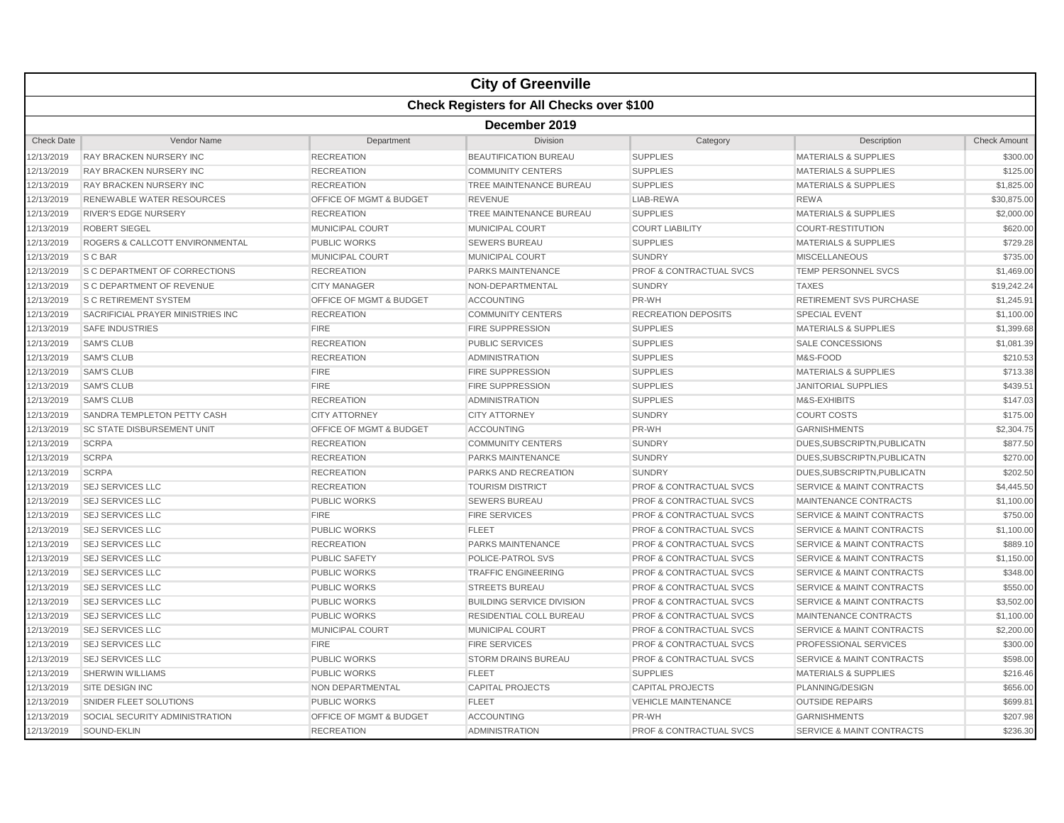|                   |                                                  |                                    | <b>City of Greenville</b>        |                                    |                                      |                     |  |  |  |
|-------------------|--------------------------------------------------|------------------------------------|----------------------------------|------------------------------------|--------------------------------------|---------------------|--|--|--|
|                   | <b>Check Registers for All Checks over \$100</b> |                                    |                                  |                                    |                                      |                     |  |  |  |
|                   | December 2019                                    |                                    |                                  |                                    |                                      |                     |  |  |  |
| <b>Check Date</b> | Vendor Name                                      | Department                         | Division                         | Category                           | Description                          | <b>Check Amount</b> |  |  |  |
| 12/13/2019        | <b>RAY BRACKEN NURSERY INC</b>                   | <b>RECREATION</b>                  | <b>BEAUTIFICATION BUREAU</b>     | <b>SUPPLIES</b>                    | <b>MATERIALS &amp; SUPPLIES</b>      | \$300.00            |  |  |  |
| 12/13/2019        | <b>RAY BRACKEN NURSERY INC</b>                   | <b>RECREATION</b>                  | <b>COMMUNITY CENTERS</b>         | <b>SUPPLIES</b>                    | <b>MATERIALS &amp; SUPPLIES</b>      | \$125.00            |  |  |  |
| 12/13/2019        | <b>RAY BRACKEN NURSERY INC</b>                   | <b>RECREATION</b>                  | TREE MAINTENANCE BUREAU          | <b>SUPPLIES</b>                    | <b>MATERIALS &amp; SUPPLIES</b>      | \$1,825.00          |  |  |  |
| 12/13/2019        | <b>RENEWABLE WATER RESOURCES</b>                 | <b>OFFICE OF MGMT &amp; BUDGET</b> | <b>REVENUE</b>                   | LIAB-REWA                          | <b>REWA</b>                          | \$30,875.00         |  |  |  |
| 12/13/2019        | <b>RIVER'S EDGE NURSERY</b>                      | <b>RECREATION</b>                  | TREE MAINTENANCE BUREAU          | <b>SUPPLIES</b>                    | <b>MATERIALS &amp; SUPPLIES</b>      | \$2,000.00          |  |  |  |
| 12/13/2019        | <b>ROBERT SIEGEL</b>                             | <b>MUNICIPAL COURT</b>             | MUNICIPAL COURT                  | <b>COURT LIABILITY</b>             | <b>COURT-RESTITUTION</b>             | \$620.00            |  |  |  |
| 12/13/2019        | ROGERS & CALLCOTT ENVIRONMENTAL                  | <b>PUBLIC WORKS</b>                | <b>SEWERS BUREAU</b>             | <b>SUPPLIES</b>                    | <b>MATERIALS &amp; SUPPLIES</b>      | \$729.28            |  |  |  |
| 12/13/2019        | S C BAR                                          | <b>MUNICIPAL COURT</b>             | <b>MUNICIPAL COURT</b>           | <b>SUNDRY</b>                      | <b>MISCELLANEOUS</b>                 | \$735.00            |  |  |  |
| 12/13/2019        | <b>S C DEPARTMENT OF CORRECTIONS</b>             | <b>RECREATION</b>                  | PARKS MAINTENANCE                | <b>PROF &amp; CONTRACTUAL SVCS</b> | TEMP PERSONNEL SVCS                  | \$1,469.00          |  |  |  |
| 12/13/2019        | <b>S C DEPARTMENT OF REVENUE</b>                 | <b>CITY MANAGER</b>                | NON-DEPARTMENTAL                 | <b>SUNDRY</b>                      | <b>TAXES</b>                         | \$19,242.24         |  |  |  |
| 12/13/2019        | <b>S C RETIREMENT SYSTEM</b>                     | OFFICE OF MGMT & BUDGET            | <b>ACCOUNTING</b>                | PR-WH                              | <b>RETIREMENT SVS PURCHASE</b>       | \$1,245.91          |  |  |  |
| 12/13/2019        | SACRIFICIAL PRAYER MINISTRIES INC                | <b>RECREATION</b>                  | <b>COMMUNITY CENTERS</b>         | <b>RECREATION DEPOSITS</b>         | <b>SPECIAL EVENT</b>                 | \$1,100.00          |  |  |  |
| 12/13/2019        | <b>SAFE INDUSTRIES</b>                           | <b>FIRE</b>                        | <b>FIRE SUPPRESSION</b>          | <b>SUPPLIES</b>                    | <b>MATERIALS &amp; SUPPLIES</b>      | \$1,399.68          |  |  |  |
| 12/13/2019        | <b>SAM'S CLUB</b>                                | <b>RECREATION</b>                  | <b>PUBLIC SERVICES</b>           | <b>SUPPLIES</b>                    | <b>SALE CONCESSIONS</b>              | \$1,081.39          |  |  |  |
| 12/13/2019        | <b>SAM'S CLUB</b>                                | <b>RECREATION</b>                  | <b>ADMINISTRATION</b>            | <b>SUPPLIES</b>                    | M&S-FOOD                             | \$210.53            |  |  |  |
| 12/13/2019        | <b>SAM'S CLUB</b>                                | <b>FIRE</b>                        | <b>FIRE SUPPRESSION</b>          | <b>SUPPLIES</b>                    | <b>MATERIALS &amp; SUPPLIES</b>      | \$713.38            |  |  |  |
| 12/13/2019        | <b>SAM'S CLUB</b>                                | <b>FIRE</b>                        | <b>FIRE SUPPRESSION</b>          | <b>SUPPLIES</b>                    | <b>JANITORIAL SUPPLIES</b>           | \$439.51            |  |  |  |
| 12/13/2019        | <b>SAM'S CLUB</b>                                | <b>RECREATION</b>                  | <b>ADMINISTRATION</b>            | <b>SUPPLIES</b>                    | M&S-EXHIBITS                         | \$147.03            |  |  |  |
| 12/13/2019        | SANDRA TEMPLETON PETTY CASH                      | <b>CITY ATTORNEY</b>               | <b>CITY ATTORNEY</b>             | <b>SUNDRY</b>                      | <b>COURT COSTS</b>                   | \$175.00            |  |  |  |
| 12/13/2019        | <b>SC STATE DISBURSEMENT UNIT</b>                | OFFICE OF MGMT & BUDGET            | <b>ACCOUNTING</b>                | PR-WH                              | <b>GARNISHMENTS</b>                  | \$2,304.75          |  |  |  |
| 12/13/2019        | <b>SCRPA</b>                                     | <b>RECREATION</b>                  | <b>COMMUNITY CENTERS</b>         | <b>SUNDRY</b>                      | DUES, SUBSCRIPTN, PUBLICATN          | \$877.50            |  |  |  |
| 12/13/2019        | <b>SCRPA</b>                                     | <b>RECREATION</b>                  | <b>PARKS MAINTENANCE</b>         | <b>SUNDRY</b>                      | DUES, SUBSCRIPTN, PUBLICATN          | \$270.00            |  |  |  |
| 12/13/2019        | <b>SCRPA</b>                                     | <b>RECREATION</b>                  | PARKS AND RECREATION             | <b>SUNDRY</b>                      | DUES, SUBSCRIPTN, PUBLICATN          | \$202.50            |  |  |  |
| 12/13/2019        | <b>SEJ SERVICES LLC</b>                          | <b>RECREATION</b>                  | <b>TOURISM DISTRICT</b>          | <b>PROF &amp; CONTRACTUAL SVCS</b> | <b>SERVICE &amp; MAINT CONTRACTS</b> | \$4,445.50          |  |  |  |
| 12/13/2019        | <b>SEJ SERVICES LLC</b>                          | <b>PUBLIC WORKS</b>                | <b>SEWERS BUREAU</b>             | <b>PROF &amp; CONTRACTUAL SVCS</b> | MAINTENANCE CONTRACTS                | \$1,100.00          |  |  |  |
| 12/13/2019        | <b>SEJ SERVICES LLC</b>                          | <b>FIRE</b>                        | <b>FIRE SERVICES</b>             | PROF & CONTRACTUAL SVCS            | <b>SERVICE &amp; MAINT CONTRACTS</b> | \$750.00            |  |  |  |
| 12/13/2019        | <b>SEJ SERVICES LLC</b>                          | <b>PUBLIC WORKS</b>                | <b>FLEET</b>                     | <b>PROF &amp; CONTRACTUAL SVCS</b> | <b>SERVICE &amp; MAINT CONTRACTS</b> | \$1,100.00          |  |  |  |
| 12/13/2019        | <b>SEJ SERVICES LLC</b>                          | <b>RECREATION</b>                  | PARKS MAINTENANCE                | <b>PROF &amp; CONTRACTUAL SVCS</b> | <b>SERVICE &amp; MAINT CONTRACTS</b> | \$889.10            |  |  |  |
| 12/13/2019        | <b>SEJ SERVICES LLC</b>                          | <b>PUBLIC SAFETY</b>               | POLICE-PATROL SVS                | <b>PROF &amp; CONTRACTUAL SVCS</b> | <b>SERVICE &amp; MAINT CONTRACTS</b> | \$1,150.00          |  |  |  |
| 12/13/2019        | <b>SEJ SERVICES LLC</b>                          | <b>PUBLIC WORKS</b>                | <b>TRAFFIC ENGINEERING</b>       | <b>PROF &amp; CONTRACTUAL SVCS</b> | <b>SERVICE &amp; MAINT CONTRACTS</b> | \$348.00            |  |  |  |
| 12/13/2019        | <b>SEJ SERVICES LLC</b>                          | <b>PUBLIC WORKS</b>                | <b>STREETS BUREAU</b>            | <b>PROF &amp; CONTRACTUAL SVCS</b> | <b>SERVICE &amp; MAINT CONTRACTS</b> | \$550.00            |  |  |  |
| 12/13/2019        | <b>SEJ SERVICES LLC</b>                          | <b>PUBLIC WORKS</b>                | <b>BUILDING SERVICE DIVISION</b> | <b>PROF &amp; CONTRACTUAL SVCS</b> | <b>SERVICE &amp; MAINT CONTRACTS</b> | \$3,502.00          |  |  |  |
| 12/13/2019        | <b>SEJ SERVICES LLC</b>                          | <b>PUBLIC WORKS</b>                | RESIDENTIAL COLL BUREAU          | <b>PROF &amp; CONTRACTUAL SVCS</b> | <b>MAINTENANCE CONTRACTS</b>         | \$1,100.00          |  |  |  |
| 12/13/2019        | <b>SEJ SERVICES LLC</b>                          | MUNICIPAL COURT                    | <b>MUNICIPAL COURT</b>           | <b>PROF &amp; CONTRACTUAL SVCS</b> | <b>SERVICE &amp; MAINT CONTRACTS</b> | \$2,200.00          |  |  |  |
| 12/13/2019        | <b>SEJ SERVICES LLC</b>                          | <b>FIRE</b>                        | <b>FIRE SERVICES</b>             | <b>PROF &amp; CONTRACTUAL SVCS</b> | PROFESSIONAL SERVICES                | \$300.00            |  |  |  |
| 12/13/2019        | <b>SEJ SERVICES LLC</b>                          | <b>PUBLIC WORKS</b>                | <b>STORM DRAINS BUREAU</b>       | <b>PROF &amp; CONTRACTUAL SVCS</b> | <b>SERVICE &amp; MAINT CONTRACTS</b> | \$598.00            |  |  |  |
| 12/13/2019        | <b>SHERWIN WILLIAMS</b>                          | <b>PUBLIC WORKS</b>                | <b>FLEET</b>                     | <b>SUPPLIES</b>                    | <b>MATERIALS &amp; SUPPLIES</b>      | \$216.46            |  |  |  |
| 12/13/2019        | SITE DESIGN INC                                  | NON DEPARTMENTAL                   | <b>CAPITAL PROJECTS</b>          | <b>CAPITAL PROJECTS</b>            | PLANNING/DESIGN                      | \$656.00            |  |  |  |
| 12/13/2019        | SNIDER FLEET SOLUTIONS                           | <b>PUBLIC WORKS</b>                | <b>FLEET</b>                     | <b>VEHICLE MAINTENANCE</b>         | <b>OUTSIDE REPAIRS</b>               | \$699.81            |  |  |  |
| 12/13/2019        | SOCIAL SECURITY ADMINISTRATION                   | OFFICE OF MGMT & BUDGET            | <b>ACCOUNTING</b>                | PR-WH                              | <b>GARNISHMENTS</b>                  | \$207.98            |  |  |  |
| 12/13/2019        | SOUND-EKLIN                                      | <b>RECREATION</b>                  | <b>ADMINISTRATION</b>            | <b>PROF &amp; CONTRACTUAL SVCS</b> | <b>SERVICE &amp; MAINT CONTRACTS</b> | \$236.30            |  |  |  |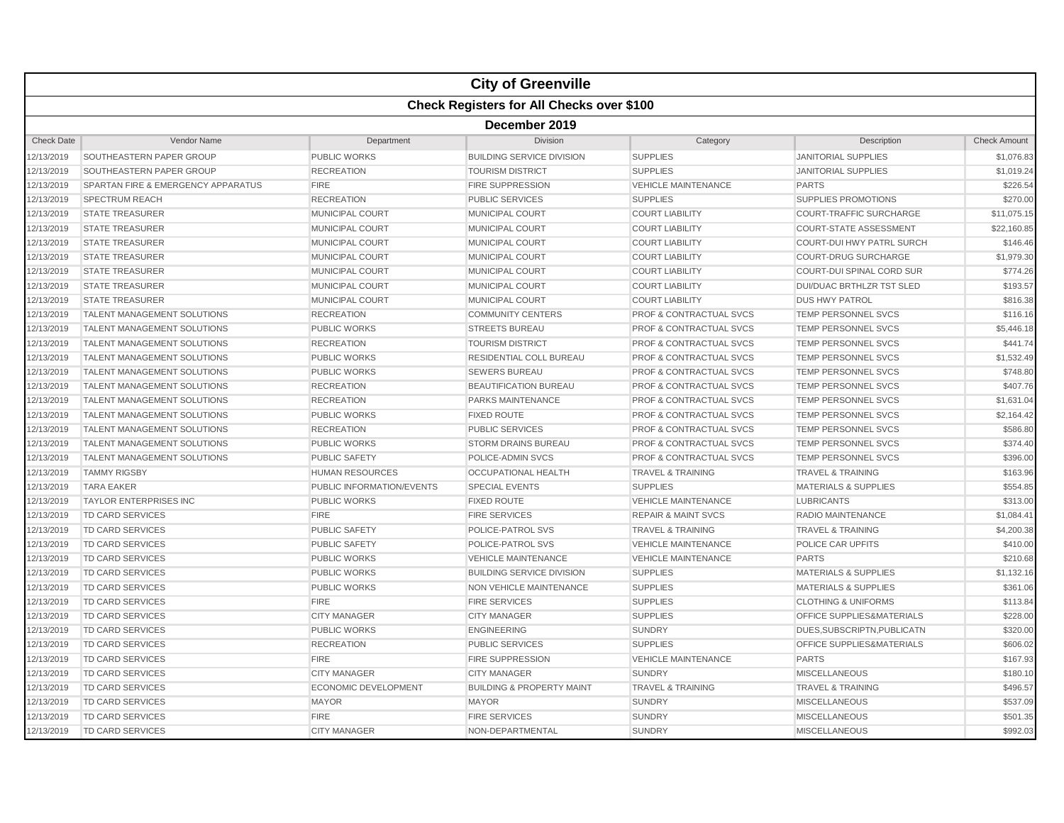|                   |                                                  |                           | <b>City of Greenville</b>            |                                    |                                  |                     |  |  |  |  |
|-------------------|--------------------------------------------------|---------------------------|--------------------------------------|------------------------------------|----------------------------------|---------------------|--|--|--|--|
|                   | <b>Check Registers for All Checks over \$100</b> |                           |                                      |                                    |                                  |                     |  |  |  |  |
|                   | December 2019                                    |                           |                                      |                                    |                                  |                     |  |  |  |  |
| <b>Check Date</b> | Vendor Name                                      | Department                | Division                             | Category                           | Description                      | <b>Check Amount</b> |  |  |  |  |
| 12/13/2019        | SOUTHEASTERN PAPER GROUP                         | <b>PUBLIC WORKS</b>       | <b>BUILDING SERVICE DIVISION</b>     | <b>SUPPLIES</b>                    | <b>JANITORIAL SUPPLIES</b>       | \$1,076.83          |  |  |  |  |
| 12/13/2019        | SOUTHEASTERN PAPER GROUP                         | <b>RECREATION</b>         | <b>TOURISM DISTRICT</b>              | <b>SUPPLIES</b>                    | <b>JANITORIAL SUPPLIES</b>       | \$1,019.24          |  |  |  |  |
| 12/13/2019        | SPARTAN FIRE & EMERGENCY APPARATUS               | <b>FIRE</b>               | <b>FIRE SUPPRESSION</b>              | <b>VEHICLE MAINTENANCE</b>         | <b>PARTS</b>                     | \$226.54            |  |  |  |  |
| 12/13/2019        | SPECTRUM REACH                                   | <b>RECREATION</b>         | <b>PUBLIC SERVICES</b>               | <b>SUPPLIES</b>                    | <b>SUPPLIES PROMOTIONS</b>       | \$270.00            |  |  |  |  |
| 12/13/2019        | <b>STATE TREASURER</b>                           | MUNICIPAL COURT           | MUNICIPAL COURT                      | <b>COURT LIABILITY</b>             | COURT-TRAFFIC SURCHARGE          | \$11,075.15         |  |  |  |  |
| 12/13/2019        | <b>STATE TREASURER</b>                           | MUNICIPAL COURT           | MUNICIPAL COURT                      | <b>COURT LIABILITY</b>             | <b>COURT-STATE ASSESSMENT</b>    | \$22,160.85         |  |  |  |  |
| 12/13/2019        | <b>STATE TREASURER</b>                           | <b>MUNICIPAL COURT</b>    | <b>MUNICIPAL COURT</b>               | <b>COURT LIABILITY</b>             | <b>COURT-DUI HWY PATRL SURCH</b> | \$146.46            |  |  |  |  |
| 12/13/2019        | <b>STATE TREASURER</b>                           | <b>MUNICIPAL COURT</b>    | <b>MUNICIPAL COURT</b>               | <b>COURT LIABILITY</b>             | <b>COURT-DRUG SURCHARGE</b>      | \$1,979.30          |  |  |  |  |
| 12/13/2019        | <b>STATE TREASURER</b>                           | <b>MUNICIPAL COURT</b>    | <b>MUNICIPAL COURT</b>               | <b>COURT LIABILITY</b>             | <b>COURT-DUI SPINAL CORD SUR</b> | \$774.26            |  |  |  |  |
| 12/13/2019        | <b>STATE TREASURER</b>                           | <b>MUNICIPAL COURT</b>    | MUNICIPAL COURT                      | <b>COURT LIABILITY</b>             | <b>DUI/DUAC BRTHLZR TST SLED</b> | \$193.57            |  |  |  |  |
| 12/13/2019        | <b>STATE TREASURER</b>                           | <b>MUNICIPAL COURT</b>    | <b>MUNICIPAL COURT</b>               | <b>COURT LIABILITY</b>             | <b>DUS HWY PATROL</b>            | \$816.38            |  |  |  |  |
| 12/13/2019        | TALENT MANAGEMENT SOLUTIONS                      | <b>RECREATION</b>         | <b>COMMUNITY CENTERS</b>             | <b>PROF &amp; CONTRACTUAL SVCS</b> | TEMP PERSONNEL SVCS              | \$116.16            |  |  |  |  |
| 12/13/2019        | TALENT MANAGEMENT SOLUTIONS                      | <b>PUBLIC WORKS</b>       | <b>STREETS BUREAU</b>                | <b>PROF &amp; CONTRACTUAL SVCS</b> | TEMP PERSONNEL SVCS              | \$5,446.18          |  |  |  |  |
| 12/13/2019        | TALENT MANAGEMENT SOLUTIONS                      | <b>RECREATION</b>         | <b>TOURISM DISTRICT</b>              | <b>PROF &amp; CONTRACTUAL SVCS</b> | TEMP PERSONNEL SVCS              | \$441.74            |  |  |  |  |
| 12/13/2019        | TALENT MANAGEMENT SOLUTIONS                      | <b>PUBLIC WORKS</b>       | <b>RESIDENTIAL COLL BUREAU</b>       | PROF & CONTRACTUAL SVCS            | <b>TEMP PERSONNEL SVCS</b>       | \$1,532.49          |  |  |  |  |
| 12/13/2019        | TALENT MANAGEMENT SOLUTIONS                      | <b>PUBLIC WORKS</b>       | <b>SEWERS BUREAU</b>                 | <b>PROF &amp; CONTRACTUAL SVCS</b> | TEMP PERSONNEL SVCS              | \$748.80            |  |  |  |  |
| 12/13/2019        | <b>TALENT MANAGEMENT SOLUTIONS</b>               | <b>RECREATION</b>         | <b>BEAUTIFICATION BUREAU</b>         | <b>PROF &amp; CONTRACTUAL SVCS</b> | <b>TEMP PERSONNEL SVCS</b>       | \$407.76            |  |  |  |  |
| 12/13/2019        | TALENT MANAGEMENT SOLUTIONS                      | <b>RECREATION</b>         | PARKS MAINTENANCE                    | <b>PROF &amp; CONTRACTUAL SVCS</b> | TEMP PERSONNEL SVCS              | \$1,631.04          |  |  |  |  |
| 12/13/2019        | <b>TALENT MANAGEMENT SOLUTIONS</b>               | <b>PUBLIC WORKS</b>       | <b>FIXED ROUTE</b>                   | <b>PROF &amp; CONTRACTUAL SVCS</b> | <b>TEMP PERSONNEL SVCS</b>       | \$2,164.42          |  |  |  |  |
| 12/13/2019        | TALENT MANAGEMENT SOLUTIONS                      | <b>RECREATION</b>         | <b>PUBLIC SERVICES</b>               | <b>PROF &amp; CONTRACTUAL SVCS</b> | TEMP PERSONNEL SVCS              | \$586.80            |  |  |  |  |
| 12/13/2019        | TALENT MANAGEMENT SOLUTIONS                      | <b>PUBLIC WORKS</b>       | <b>STORM DRAINS BUREAU</b>           | <b>PROF &amp; CONTRACTUAL SVCS</b> | TEMP PERSONNEL SVCS              | \$374.40            |  |  |  |  |
| 12/13/2019        | TALENT MANAGEMENT SOLUTIONS                      | <b>PUBLIC SAFETY</b>      | POLICE-ADMIN SVCS                    | <b>PROF &amp; CONTRACTUAL SVCS</b> | TEMP PERSONNEL SVCS              | \$396.00            |  |  |  |  |
| 12/13/2019        | <b>TAMMY RIGSBY</b>                              | <b>HUMAN RESOURCES</b>    | <b>OCCUPATIONAL HEALTH</b>           | <b>TRAVEL &amp; TRAINING</b>       | <b>TRAVEL &amp; TRAINING</b>     | \$163.96            |  |  |  |  |
| 12/13/2019        | <b>TARA EAKER</b>                                | PUBLIC INFORMATION/EVENTS | <b>SPECIAL EVENTS</b>                | <b>SUPPLIES</b>                    | <b>MATERIALS &amp; SUPPLIES</b>  | \$554.85            |  |  |  |  |
| 12/13/2019        | <b>TAYLOR ENTERPRISES INC</b>                    | <b>PUBLIC WORKS</b>       | <b>FIXED ROUTE</b>                   | <b>VEHICLE MAINTENANCE</b>         | <b>LUBRICANTS</b>                | \$313.00            |  |  |  |  |
| 12/13/2019        | TD CARD SERVICES                                 | <b>FIRE</b>               | <b>FIRE SERVICES</b>                 | <b>REPAIR &amp; MAINT SVCS</b>     | RADIO MAINTENANCE                | \$1,084.41          |  |  |  |  |
| 12/13/2019        | TD CARD SERVICES                                 | <b>PUBLIC SAFETY</b>      | POLICE-PATROL SVS                    | <b>TRAVEL &amp; TRAINING</b>       | <b>TRAVEL &amp; TRAINING</b>     | \$4,200.38          |  |  |  |  |
| 12/13/2019        | TD CARD SERVICES                                 | <b>PUBLIC SAFETY</b>      | POLICE-PATROL SVS                    | <b>VEHICLE MAINTENANCE</b>         | POLICE CAR UPFITS                | \$410.00            |  |  |  |  |
| 12/13/2019        | <b>TD CARD SERVICES</b>                          | <b>PUBLIC WORKS</b>       | <b>VEHICLE MAINTENANCE</b>           | <b>VEHICLE MAINTENANCE</b>         | <b>PARTS</b>                     | \$210.68            |  |  |  |  |
| 12/13/2019        | TD CARD SERVICES                                 | <b>PUBLIC WORKS</b>       | <b>BUILDING SERVICE DIVISION</b>     | <b>SUPPLIES</b>                    | <b>MATERIALS &amp; SUPPLIES</b>  | \$1,132.16          |  |  |  |  |
| 12/13/2019        | TD CARD SERVICES                                 | PUBLIC WORKS              | NON VEHICLE MAINTENANCE              | <b>SUPPLIES</b>                    | MATERIALS & SUPPLIES             | \$361.06            |  |  |  |  |
| 12/13/2019        | <b>TD CARD SERVICES</b>                          | <b>FIRE</b>               | <b>FIRE SERVICES</b>                 | <b>SUPPLIES</b>                    | <b>CLOTHING &amp; UNIFORMS</b>   | \$113.84            |  |  |  |  |
| 12/13/2019        | <b>TD CARD SERVICES</b>                          | <b>CITY MANAGER</b>       | <b>CITY MANAGER</b>                  | <b>SUPPLIES</b>                    | OFFICE SUPPLIES&MATERIALS        | \$228.00            |  |  |  |  |
| 12/13/2019        | <b>TD CARD SERVICES</b>                          | <b>PUBLIC WORKS</b>       | <b>ENGINEERING</b>                   | <b>SUNDRY</b>                      | DUES.SUBSCRIPTN.PUBLICATN        | \$320.00            |  |  |  |  |
| 12/13/2019        | <b>TD CARD SERVICES</b>                          | <b>RECREATION</b>         | <b>PUBLIC SERVICES</b>               | <b>SUPPLIES</b>                    | OFFICE SUPPLIES&MATERIALS        | \$606.02            |  |  |  |  |
| 12/13/2019        | <b>TD CARD SERVICES</b>                          | <b>FIRE</b>               | <b>FIRE SUPPRESSION</b>              | <b>VEHICLE MAINTENANCE</b>         | <b>PARTS</b>                     | \$167.93            |  |  |  |  |
| 12/13/2019        | <b>TD CARD SERVICES</b>                          | <b>CITY MANAGER</b>       | <b>CITY MANAGER</b>                  | <b>SUNDRY</b>                      | <b>MISCELLANEOUS</b>             | \$180.10            |  |  |  |  |
| 12/13/2019        | <b>TD CARD SERVICES</b>                          | ECONOMIC DEVELOPMENT      | <b>BUILDING &amp; PROPERTY MAINT</b> | <b>TRAVEL &amp; TRAINING</b>       | <b>TRAVEL &amp; TRAINING</b>     | \$496.57            |  |  |  |  |
| 12/13/2019        | <b>TD CARD SERVICES</b>                          | <b>MAYOR</b>              | <b>MAYOR</b>                         | <b>SUNDRY</b>                      | <b>MISCELLANEOUS</b>             | \$537.09            |  |  |  |  |
| 12/13/2019        | TD CARD SERVICES                                 | <b>FIRE</b>               | <b>FIRE SERVICES</b>                 | <b>SUNDRY</b>                      | <b>MISCELLANEOUS</b>             | \$501.35            |  |  |  |  |
| 12/13/2019        | <b>TD CARD SERVICES</b>                          | <b>CITY MANAGER</b>       | NON-DEPARTMENTAL                     | <b>SUNDRY</b>                      | <b>MISCELLANEOUS</b>             | \$992.03            |  |  |  |  |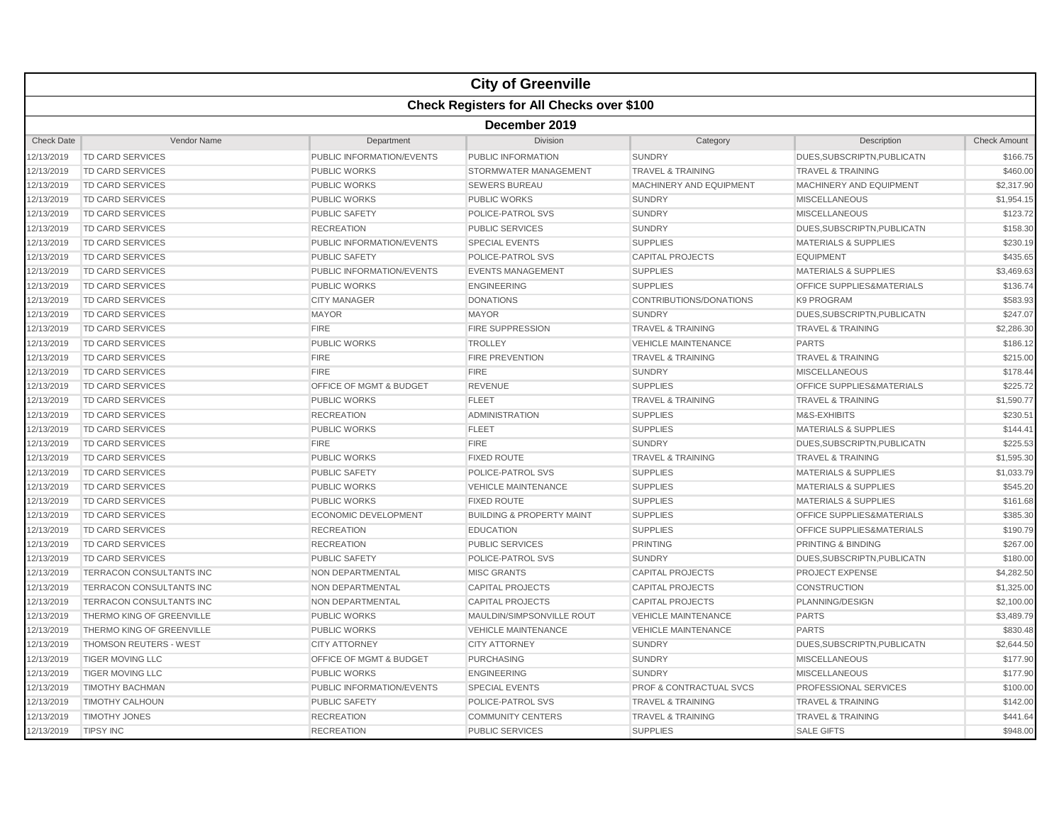|                   |                                                  |                                    | <b>City of Greenville</b>            |                                    |                                      |                     |  |  |  |
|-------------------|--------------------------------------------------|------------------------------------|--------------------------------------|------------------------------------|--------------------------------------|---------------------|--|--|--|
|                   | <b>Check Registers for All Checks over \$100</b> |                                    |                                      |                                    |                                      |                     |  |  |  |
|                   | December 2019                                    |                                    |                                      |                                    |                                      |                     |  |  |  |
| <b>Check Date</b> | Vendor Name                                      | Department                         | Division                             | Category                           | Description                          | <b>Check Amount</b> |  |  |  |
| 12/13/2019        | TD CARD SERVICES                                 | PUBLIC INFORMATION/EVENTS          | PUBLIC INFORMATION                   | <b>SUNDRY</b>                      | DUES, SUBSCRIPTN, PUBLICATN          | \$166.75            |  |  |  |
| 12/13/2019        | TD CARD SERVICES                                 | <b>PUBLIC WORKS</b>                | STORMWATER MANAGEMENT                | <b>TRAVEL &amp; TRAINING</b>       | <b>TRAVEL &amp; TRAINING</b>         | \$460.00            |  |  |  |
| 12/13/2019        | <b>TD CARD SERVICES</b>                          | <b>PUBLIC WORKS</b>                | <b>SEWERS BUREAU</b>                 | MACHINERY AND EQUIPMENT            | MACHINERY AND EQUIPMENT              | \$2,317.90          |  |  |  |
| 12/13/2019        | TD CARD SERVICES                                 | <b>PUBLIC WORKS</b>                | PUBLIC WORKS                         | <b>SUNDRY</b>                      | <b>MISCELLANEOUS</b>                 | \$1,954.15          |  |  |  |
| 12/13/2019        | TD CARD SERVICES                                 | <b>PUBLIC SAFETY</b>               | POLICE-PATROL SVS                    | <b>SUNDRY</b>                      | <b>MISCELLANEOUS</b>                 | \$123.72            |  |  |  |
| 12/13/2019        | <b>TD CARD SERVICES</b>                          | <b>RECREATION</b>                  | <b>PUBLIC SERVICES</b>               | <b>SUNDRY</b>                      | DUES, SUBSCRIPTN, PUBLICATN          | \$158.30            |  |  |  |
| 12/13/2019        | <b>TD CARD SERVICES</b>                          | PUBLIC INFORMATION/EVENTS          | <b>SPECIAL EVENTS</b>                | <b>SUPPLIES</b>                    | <b>MATERIALS &amp; SUPPLIES</b>      | \$230.19            |  |  |  |
| 12/13/2019        | <b>TD CARD SERVICES</b>                          | <b>PUBLIC SAFETY</b>               | POLICE-PATROL SVS                    | <b>CAPITAL PROJECTS</b>            | <b>EQUIPMENT</b>                     | \$435.65            |  |  |  |
| 12/13/2019        | <b>TD CARD SERVICES</b>                          | PUBLIC INFORMATION/EVENTS          | <b>EVENTS MANAGEMENT</b>             | <b>SUPPLIES</b>                    | <b>MATERIALS &amp; SUPPLIES</b>      | \$3,469.63          |  |  |  |
| 12/13/2019        | TD CARD SERVICES                                 | <b>PUBLIC WORKS</b>                | <b>ENGINEERING</b>                   | <b>SUPPLIES</b>                    | OFFICE SUPPLIES&MATERIALS            | \$136.74            |  |  |  |
| 12/13/2019        | <b>TD CARD SERVICES</b>                          | <b>CITY MANAGER</b>                | <b>DONATIONS</b>                     | CONTRIBUTIONS/DONATIONS            | <b>K9 PROGRAM</b>                    | \$583.93            |  |  |  |
| 12/13/2019        | TD CARD SERVICES                                 | <b>MAYOR</b>                       | <b>MAYOR</b>                         | <b>SUNDRY</b>                      | DUES, SUBSCRIPTN, PUBLICATN          | \$247.07            |  |  |  |
| 12/13/2019        | <b>TD CARD SERVICES</b>                          | <b>FIRE</b>                        | <b>FIRE SUPPRESSION</b>              | <b>TRAVEL &amp; TRAINING</b>       | <b>TRAVEL &amp; TRAINING</b>         | \$2,286.30          |  |  |  |
| 12/13/2019        | TD CARD SERVICES                                 | <b>PUBLIC WORKS</b>                | <b>TROLLEY</b>                       | <b>VEHICLE MAINTENANCE</b>         | <b>PARTS</b>                         | \$186.12            |  |  |  |
| 12/13/2019        | <b>TD CARD SERVICES</b>                          | <b>FIRE</b>                        | <b>FIRE PREVENTION</b>               | <b>TRAVEL &amp; TRAINING</b>       | <b>TRAVEL &amp; TRAINING</b>         | \$215.00            |  |  |  |
| 12/13/2019        | <b>TD CARD SERVICES</b>                          | <b>FIRE</b>                        | <b>FIRE</b>                          | <b>SUNDRY</b>                      | <b>MISCELLANEOUS</b>                 | \$178.44            |  |  |  |
| 12/13/2019        | <b>TD CARD SERVICES</b>                          | <b>OFFICE OF MGMT &amp; BUDGET</b> | <b>REVENUE</b>                       | <b>SUPPLIES</b>                    | <b>OFFICE SUPPLIES&amp;MATERIALS</b> | \$225.72            |  |  |  |
| 12/13/2019        | TD CARD SERVICES                                 | PUBLIC WORKS                       | <b>FLEET</b>                         | <b>TRAVEL &amp; TRAINING</b>       | <b>TRAVEL &amp; TRAINING</b>         | \$1,590.77          |  |  |  |
| 12/13/2019        | <b>TD CARD SERVICES</b>                          | <b>RECREATION</b>                  | <b>ADMINISTRATION</b>                | <b>SUPPLIES</b>                    | M&S-EXHIBITS                         | \$230.51            |  |  |  |
| 12/13/2019        | TD CARD SERVICES                                 | <b>PUBLIC WORKS</b>                | <b>FLEET</b>                         | <b>SUPPLIES</b>                    | <b>MATERIALS &amp; SUPPLIES</b>      | \$144.41            |  |  |  |
| 12/13/2019        | <b>TD CARD SERVICES</b>                          | <b>FIRE</b>                        | <b>FIRE</b>                          | <b>SUNDRY</b>                      | DUES, SUBSCRIPTN, PUBLICATN          | \$225.53            |  |  |  |
| 12/13/2019        | <b>TD CARD SERVICES</b>                          | <b>PUBLIC WORKS</b>                | <b>FIXED ROUTE</b>                   | <b>TRAVEL &amp; TRAINING</b>       | <b>TRAVEL &amp; TRAINING</b>         | \$1,595.30          |  |  |  |
| 12/13/2019        | TD CARD SERVICES                                 | <b>PUBLIC SAFETY</b>               | POLICE-PATROL SVS                    | <b>SUPPLIES</b>                    | <b>MATERIALS &amp; SUPPLIES</b>      | \$1,033.79          |  |  |  |
| 12/13/2019        | <b>TD CARD SERVICES</b>                          | <b>PUBLIC WORKS</b>                | <b>VEHICLE MAINTENANCE</b>           | <b>SUPPLIES</b>                    | <b>MATERIALS &amp; SUPPLIES</b>      | \$545.20            |  |  |  |
| 12/13/2019        | <b>TD CARD SERVICES</b>                          | <b>PUBLIC WORKS</b>                | <b>FIXED ROUTE</b>                   | <b>SUPPLIES</b>                    | <b>MATERIALS &amp; SUPPLIES</b>      | \$161.68            |  |  |  |
| 12/13/2019        | <b>TD CARD SERVICES</b>                          | <b>ECONOMIC DEVELOPMENT</b>        | <b>BUILDING &amp; PROPERTY MAINT</b> | <b>SUPPLIES</b>                    | OFFICE SUPPLIES&MATERIALS            | \$385.30            |  |  |  |
| 12/13/2019        | TD CARD SERVICES                                 | <b>RECREATION</b>                  | <b>EDUCATION</b>                     | <b>SUPPLIES</b>                    | OFFICE SUPPLIES&MATERIALS            | \$190.79            |  |  |  |
| 12/13/2019        | <b>TD CARD SERVICES</b>                          | <b>RECREATION</b>                  | <b>PUBLIC SERVICES</b>               | <b>PRINTING</b>                    | PRINTING & BINDING                   | \$267.00            |  |  |  |
| 12/13/2019        | <b>TD CARD SERVICES</b>                          | <b>PUBLIC SAFETY</b>               | POLICE-PATROL SVS                    | <b>SUNDRY</b>                      | DUES, SUBSCRIPTN, PUBLICATN          | \$180.00            |  |  |  |
| 12/13/2019        | TERRACON CONSULTANTS INC                         | NON DEPARTMENTAL                   | <b>MISC GRANTS</b>                   | <b>CAPITAL PROJECTS</b>            | <b>PROJECT EXPENSE</b>               | \$4,282.50          |  |  |  |
| 12/13/2019        | <b>TERRACON CONSULTANTS INC</b>                  | <b>NON DEPARTMENTAL</b>            | <b>CAPITAL PROJECTS</b>              | <b>CAPITAL PROJECTS</b>            | CONSTRUCTION                         | \$1,325.00          |  |  |  |
| 12/13/2019        | <b>TERRACON CONSULTANTS INC</b>                  | <b>NON DEPARTMENTAL</b>            | <b>CAPITAL PROJECTS</b>              | <b>CAPITAL PROJECTS</b>            | PLANNING/DESIGN                      | \$2,100.00          |  |  |  |
| 12/13/2019        | THERMO KING OF GREENVILLE                        | <b>PUBLIC WORKS</b>                | MAULDIN/SIMPSONVILLE ROUT            | <b>VEHICLE MAINTENANCE</b>         | <b>PARTS</b>                         | \$3,489.79          |  |  |  |
| 12/13/2019        | THERMO KING OF GREENVILLE                        | <b>PUBLIC WORKS</b>                | <b>VEHICLE MAINTENANCE</b>           | <b>VEHICLE MAINTENANCE</b>         | <b>PARTS</b>                         | \$830.48            |  |  |  |
| 12/13/2019        | <b>THOMSON REUTERS - WEST</b>                    | <b>CITY ATTORNEY</b>               | <b>CITY ATTORNEY</b>                 | <b>SUNDRY</b>                      | DUES, SUBSCRIPTN, PUBLICATN          | \$2,644.50          |  |  |  |
| 12/13/2019        | <b>TIGER MOVING LLC</b>                          | OFFICE OF MGMT & BUDGET            | <b>PURCHASING</b>                    | <b>SUNDRY</b>                      | <b>MISCELLANEOUS</b>                 | \$177.90            |  |  |  |
| 12/13/2019        | <b>TIGER MOVING LLC</b>                          | <b>PUBLIC WORKS</b>                | <b>ENGINEERING</b>                   | <b>SUNDRY</b>                      | <b>MISCELLANEOUS</b>                 | \$177.90            |  |  |  |
| 12/13/2019        | <b>TIMOTHY BACHMAN</b>                           | PUBLIC INFORMATION/EVENTS          | <b>SPECIAL EVENTS</b>                | <b>PROF &amp; CONTRACTUAL SVCS</b> | PROFESSIONAL SERVICES                | \$100.00            |  |  |  |
| 12/13/2019        | <b>TIMOTHY CALHOUN</b>                           | <b>PUBLIC SAFETY</b>               | POLICE-PATROL SVS                    | <b>TRAVEL &amp; TRAINING</b>       | <b>TRAVEL &amp; TRAINING</b>         | \$142.00            |  |  |  |
| 12/13/2019        | <b>TIMOTHY JONES</b>                             | <b>RECREATION</b>                  | <b>COMMUNITY CENTERS</b>             | <b>TRAVEL &amp; TRAINING</b>       | <b>TRAVEL &amp; TRAINING</b>         | \$441.64            |  |  |  |
| 12/13/2019        | <b>TIPSY INC</b>                                 | <b>RECREATION</b>                  | <b>PUBLIC SERVICES</b>               | <b>SUPPLIES</b>                    | <b>SALE GIFTS</b>                    | \$948.00            |  |  |  |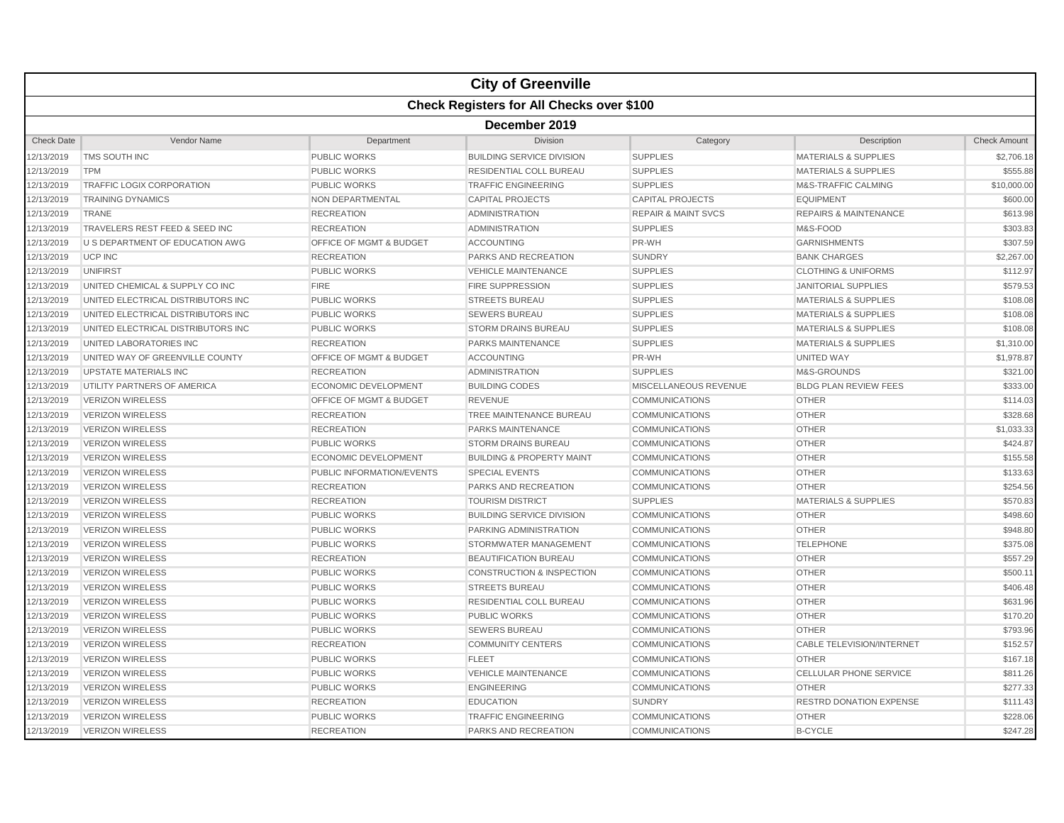|                   |                                                  |                                    | <b>City of Greenville</b>            |                                |                                  |                     |  |  |  |  |
|-------------------|--------------------------------------------------|------------------------------------|--------------------------------------|--------------------------------|----------------------------------|---------------------|--|--|--|--|
|                   | <b>Check Registers for All Checks over \$100</b> |                                    |                                      |                                |                                  |                     |  |  |  |  |
|                   | December 2019                                    |                                    |                                      |                                |                                  |                     |  |  |  |  |
| <b>Check Date</b> | Vendor Name                                      | Department                         | Division                             | Category                       | Description                      | <b>Check Amount</b> |  |  |  |  |
| 12/13/2019        | TMS SOUTH INC                                    | PUBLIC WORKS                       | <b>BUILDING SERVICE DIVISION</b>     | <b>SUPPLIES</b>                | <b>MATERIALS &amp; SUPPLIES</b>  | \$2,706.18          |  |  |  |  |
| 12/13/2019        | <b>TPM</b>                                       | <b>PUBLIC WORKS</b>                | RESIDENTIAL COLL BUREAU              | <b>SUPPLIES</b>                | <b>MATERIALS &amp; SUPPLIES</b>  | \$555.88            |  |  |  |  |
| 12/13/2019        | <b>TRAFFIC LOGIX CORPORATION</b>                 | <b>PUBLIC WORKS</b>                | <b>TRAFFIC ENGINEERING</b>           | <b>SUPPLIES</b>                | M&S-TRAFFIC CALMING              | \$10,000.00         |  |  |  |  |
| 12/13/2019        | <b>TRAINING DYNAMICS</b>                         | NON DEPARTMENTAL                   | <b>CAPITAL PROJECTS</b>              | <b>CAPITAL PROJECTS</b>        | <b>EQUIPMENT</b>                 | \$600.00            |  |  |  |  |
| 12/13/2019        | TRANE                                            | <b>RECREATION</b>                  | <b>ADMINISTRATION</b>                | <b>REPAIR &amp; MAINT SVCS</b> | <b>REPAIRS &amp; MAINTENANCE</b> | \$613.98            |  |  |  |  |
| 12/13/2019        | TRAVELERS REST FEED & SEED INC                   | <b>RECREATION</b>                  | <b>ADMINISTRATION</b>                | <b>SUPPLIES</b>                | M&S-FOOD                         | \$303.83            |  |  |  |  |
| 12/13/2019        | U S DEPARTMENT OF EDUCATION AWG                  | <b>OFFICE OF MGMT &amp; BUDGET</b> | <b>ACCOUNTING</b>                    | PR-WH                          | <b>GARNISHMENTS</b>              | \$307.59            |  |  |  |  |
| 12/13/2019        | <b>UCP INC</b>                                   | <b>RECREATION</b>                  | PARKS AND RECREATION                 | <b>SUNDRY</b>                  | <b>BANK CHARGES</b>              | \$2,267.00          |  |  |  |  |
| 12/13/2019        | UNIFIRST                                         | <b>PUBLIC WORKS</b>                | <b>VEHICLE MAINTENANCE</b>           | <b>SUPPLIES</b>                | <b>CLOTHING &amp; UNIFORMS</b>   | \$112.97            |  |  |  |  |
| 12/13/2019        | UNITED CHEMICAL & SUPPLY CO INC                  | <b>FIRE</b>                        | <b>FIRE SUPPRESSION</b>              | <b>SUPPLIES</b>                | <b>JANITORIAL SUPPLIES</b>       | \$579.53            |  |  |  |  |
| 12/13/2019        | UNITED ELECTRICAL DISTRIBUTORS INC               | PUBLIC WORKS                       | <b>STREETS BUREAU</b>                | <b>SUPPLIES</b>                | <b>MATERIALS &amp; SUPPLIES</b>  | \$108.08            |  |  |  |  |
| 12/13/2019        | UNITED ELECTRICAL DISTRIBUTORS INC               | <b>PUBLIC WORKS</b>                | <b>SEWERS BUREAU</b>                 | <b>SUPPLIES</b>                | <b>MATERIALS &amp; SUPPLIES</b>  | \$108.08            |  |  |  |  |
| 12/13/2019        | UNITED ELECTRICAL DISTRIBUTORS INC               | <b>PUBLIC WORKS</b>                | <b>STORM DRAINS BUREAU</b>           | <b>SUPPLIES</b>                | <b>MATERIALS &amp; SUPPLIES</b>  | \$108.08            |  |  |  |  |
| 12/13/2019        | UNITED LABORATORIES INC                          | <b>RECREATION</b>                  | <b>PARKS MAINTENANCE</b>             | <b>SUPPLIES</b>                | <b>MATERIALS &amp; SUPPLIES</b>  | \$1,310.00          |  |  |  |  |
| 12/13/2019        | UNITED WAY OF GREENVILLE COUNTY                  | OFFICE OF MGMT & BUDGET            | <b>ACCOUNTING</b>                    | PR-WH                          | <b>UNITED WAY</b>                | \$1,978.87          |  |  |  |  |
| 12/13/2019        | <b>UPSTATE MATERIALS INC</b>                     | <b>RECREATION</b>                  | <b>ADMINISTRATION</b>                | <b>SUPPLIES</b>                | M&S-GROUNDS                      | \$321.00            |  |  |  |  |
| 12/13/2019        | UTILITY PARTNERS OF AMERICA                      | <b>ECONOMIC DEVELOPMENT</b>        | <b>BUILDING CODES</b>                | MISCELLANEOUS REVENUE          | <b>BLDG PLAN REVIEW FEES</b>     | \$333.00            |  |  |  |  |
| 12/13/2019        | <b>VERIZON WIRELESS</b>                          | <b>OFFICE OF MGMT &amp; BUDGET</b> | <b>REVENUE</b>                       | <b>COMMUNICATIONS</b>          | <b>OTHER</b>                     | \$114.03            |  |  |  |  |
| 12/13/2019        | <b>VERIZON WIRELESS</b>                          | <b>RECREATION</b>                  | TREE MAINTENANCE BUREAU              | <b>COMMUNICATIONS</b>          | <b>OTHER</b>                     | \$328.68            |  |  |  |  |
| 12/13/2019        | <b>VERIZON WIRELESS</b>                          | <b>RECREATION</b>                  | <b>PARKS MAINTENANCE</b>             | <b>COMMUNICATIONS</b>          | <b>OTHER</b>                     | \$1,033.33          |  |  |  |  |
| 12/13/2019        | <b>VERIZON WIRELESS</b>                          | <b>PUBLIC WORKS</b>                | <b>STORM DRAINS BUREAU</b>           | <b>COMMUNICATIONS</b>          | <b>OTHER</b>                     | \$424.87            |  |  |  |  |
| 12/13/2019        | <b>VERIZON WIRELESS</b>                          | <b>ECONOMIC DEVELOPMENT</b>        | <b>BUILDING &amp; PROPERTY MAINT</b> | <b>COMMUNICATIONS</b>          | <b>OTHER</b>                     | \$155.58            |  |  |  |  |
| 12/13/2019        | <b>VERIZON WIRELESS</b>                          | PUBLIC INFORMATION/EVENTS          | <b>SPECIAL EVENTS</b>                | <b>COMMUNICATIONS</b>          | <b>OTHER</b>                     | \$133.63            |  |  |  |  |
| 12/13/2019        | <b>VERIZON WIRELESS</b>                          | <b>RECREATION</b>                  | PARKS AND RECREATION                 | <b>COMMUNICATIONS</b>          | <b>OTHER</b>                     | \$254.56            |  |  |  |  |
| 12/13/2019        | <b>VERIZON WIRELESS</b>                          | <b>RECREATION</b>                  | <b>TOURISM DISTRICT</b>              | <b>SUPPLIES</b>                | <b>MATERIALS &amp; SUPPLIES</b>  | \$570.83            |  |  |  |  |
| 12/13/2019        | <b>VERIZON WIRELESS</b>                          | <b>PUBLIC WORKS</b>                | <b>BUILDING SERVICE DIVISION</b>     | COMMUNICATIONS                 | <b>OTHER</b>                     | \$498.60            |  |  |  |  |
| 12/13/2019        | <b>VERIZON WIRELESS</b>                          | <b>PUBLIC WORKS</b>                | <b>PARKING ADMINISTRATION</b>        | <b>COMMUNICATIONS</b>          | <b>OTHER</b>                     | \$948.80            |  |  |  |  |
| 12/13/2019        | <b>VERIZON WIRELESS</b>                          | <b>PUBLIC WORKS</b>                | STORMWATER MANAGEMENT                | <b>COMMUNICATIONS</b>          | <b>TELEPHONE</b>                 | \$375.08            |  |  |  |  |
| 12/13/2019        | <b>VERIZON WIRELESS</b>                          | <b>RECREATION</b>                  | <b>BEAUTIFICATION BUREAU</b>         | <b>COMMUNICATIONS</b>          | <b>OTHER</b>                     | \$557.29            |  |  |  |  |
| 12/13/2019        | <b>VERIZON WIRELESS</b>                          | <b>PUBLIC WORKS</b>                | <b>CONSTRUCTION &amp; INSPECTION</b> | <b>COMMUNICATIONS</b>          | <b>OTHER</b>                     | \$500.11            |  |  |  |  |
| 12/13/2019        | <b>VERIZON WIRELESS</b>                          | <b>PUBLIC WORKS</b>                | <b>STREETS BUREAU</b>                | <b>COMMUNICATIONS</b>          | <b>OTHER</b>                     | \$406.48            |  |  |  |  |
| 12/13/2019        | <b>VERIZON WIRELESS</b>                          | <b>PUBLIC WORKS</b>                | RESIDENTIAL COLL BUREAU              | <b>COMMUNICATIONS</b>          | <b>OTHER</b>                     | \$631.96            |  |  |  |  |
| 12/13/2019        | <b>VERIZON WIRELESS</b>                          | <b>PUBLIC WORKS</b>                | <b>PUBLIC WORKS</b>                  | <b>COMMUNICATIONS</b>          | <b>OTHER</b>                     | \$170.20            |  |  |  |  |
| 12/13/2019        | <b>VERIZON WIRELESS</b>                          | <b>PUBLIC WORKS</b>                | <b>SEWERS BUREAU</b>                 | <b>COMMUNICATIONS</b>          | <b>OTHER</b>                     | \$793.96            |  |  |  |  |
| 12/13/2019        | <b>VERIZON WIRELESS</b>                          | <b>RECREATION</b>                  | <b>COMMUNITY CENTERS</b>             | <b>COMMUNICATIONS</b>          | <b>CABLE TELEVISION/INTERNET</b> | \$152.57            |  |  |  |  |
| 12/13/2019        | <b>VERIZON WIRELESS</b>                          | <b>PUBLIC WORKS</b>                | <b>FLEET</b>                         | <b>COMMUNICATIONS</b>          | <b>OTHER</b>                     | \$167.18            |  |  |  |  |
| 12/13/2019        | <b>VERIZON WIRELESS</b>                          | <b>PUBLIC WORKS</b>                | <b>VEHICLE MAINTENANCE</b>           | <b>COMMUNICATIONS</b>          | <b>CELLULAR PHONE SERVICE</b>    | \$811.26            |  |  |  |  |
| 12/13/2019        | <b>VERIZON WIRELESS</b>                          | <b>PUBLIC WORKS</b>                | <b>ENGINEERING</b>                   | <b>COMMUNICATIONS</b>          | <b>OTHER</b>                     | \$277.33            |  |  |  |  |
| 12/13/2019        | <b>VERIZON WIRELESS</b>                          | <b>RECREATION</b>                  | <b>EDUCATION</b>                     | <b>SUNDRY</b>                  | <b>RESTRD DONATION EXPENSE</b>   | \$111.43            |  |  |  |  |
| 12/13/2019        | <b>VERIZON WIRELESS</b>                          | <b>PUBLIC WORKS</b>                | <b>TRAFFIC ENGINEERING</b>           | <b>COMMUNICATIONS</b>          | <b>OTHER</b>                     | \$228.06            |  |  |  |  |
| 12/13/2019        | <b>VERIZON WIRELESS</b>                          | <b>RECREATION</b>                  | <b>PARKS AND RECREATION</b>          | <b>COMMUNICATIONS</b>          | <b>B-CYCLE</b>                   | \$247.28            |  |  |  |  |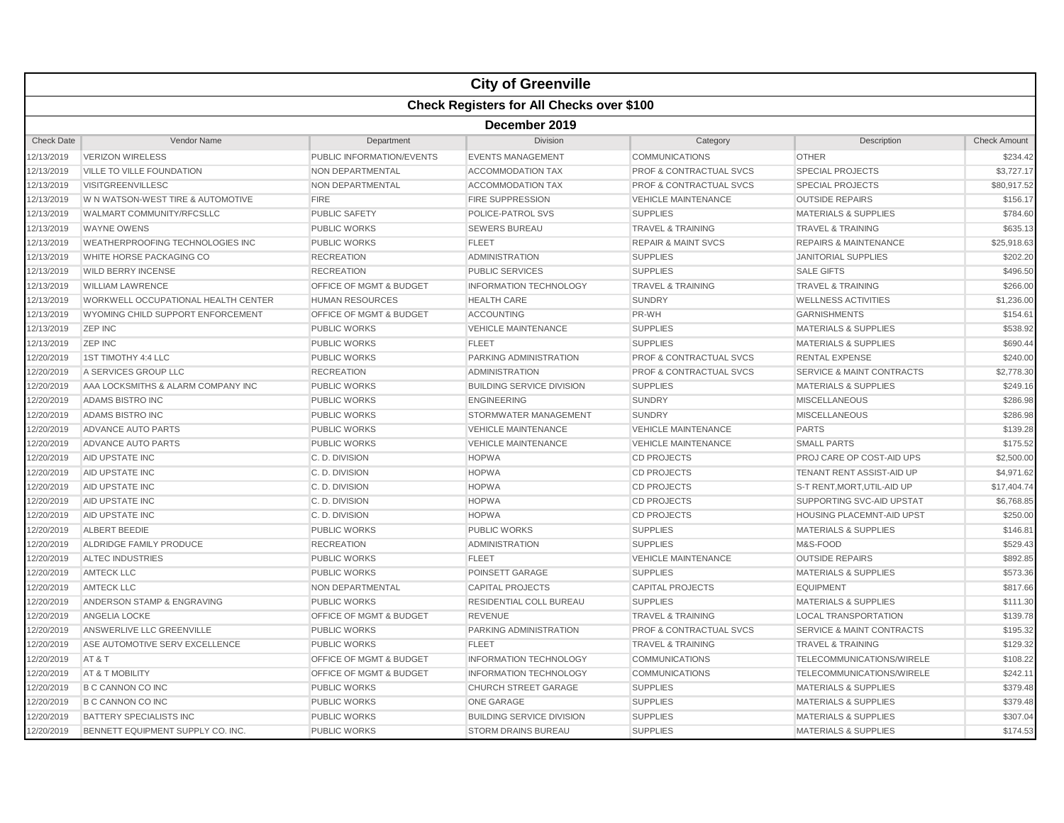|                   |                                                  |                                    | <b>City of Greenville</b>        |                                    |                                      |                     |  |  |  |  |
|-------------------|--------------------------------------------------|------------------------------------|----------------------------------|------------------------------------|--------------------------------------|---------------------|--|--|--|--|
|                   | <b>Check Registers for All Checks over \$100</b> |                                    |                                  |                                    |                                      |                     |  |  |  |  |
|                   |                                                  |                                    | December 2019                    |                                    |                                      |                     |  |  |  |  |
| <b>Check Date</b> | <b>Vendor Name</b>                               | Department                         | <b>Division</b>                  | Category                           | Description                          | <b>Check Amount</b> |  |  |  |  |
| 12/13/2019        | <b>VERIZON WIRELESS</b>                          | PUBLIC INFORMATION/EVENTS          | <b>EVENTS MANAGEMENT</b>         | <b>COMMUNICATIONS</b>              | <b>OTHER</b>                         | \$234.42            |  |  |  |  |
| 12/13/2019        | VILLE TO VILLE FOUNDATION                        | <b>NON DEPARTMENTAL</b>            | <b>ACCOMMODATION TAX</b>         | <b>PROF &amp; CONTRACTUAL SVCS</b> | <b>SPECIAL PROJECTS</b>              | \$3,727.17          |  |  |  |  |
| 12/13/2019        | <b>VISITGREENVILLESC</b>                         | NON DEPARTMENTAL                   | <b>ACCOMMODATION TAX</b>         | <b>PROF &amp; CONTRACTUAL SVCS</b> | <b>SPECIAL PROJECTS</b>              | \$80,917.52         |  |  |  |  |
| 12/13/2019        | W N WATSON-WEST TIRE & AUTOMOTIVE                | <b>FIRE</b>                        | <b>FIRE SUPPRESSION</b>          | <b>VEHICLE MAINTENANCE</b>         | <b>OUTSIDE REPAIRS</b>               | \$156.17            |  |  |  |  |
| 12/13/2019        | WALMART COMMUNITY/RFCSLLC                        | PUBLIC SAFETY                      | POLICE-PATROL SVS                | <b>SUPPLIES</b>                    | <b>MATERIALS &amp; SUPPLIES</b>      | \$784.60            |  |  |  |  |
| 12/13/2019        | <b>WAYNE OWENS</b>                               | <b>PUBLIC WORKS</b>                | <b>SEWERS BUREAU</b>             | <b>TRAVEL &amp; TRAINING</b>       | <b>TRAVEL &amp; TRAINING</b>         | \$635.13            |  |  |  |  |
| 12/13/2019        | WEATHERPROOFING TECHNOLOGIES INC                 | <b>PUBLIC WORKS</b>                | <b>FLEET</b>                     | <b>REPAIR &amp; MAINT SVCS</b>     | <b>REPAIRS &amp; MAINTENANCE</b>     | \$25,918.63         |  |  |  |  |
| 12/13/2019        | WHITE HORSE PACKAGING CO                         | <b>RECREATION</b>                  | <b>ADMINISTRATION</b>            | <b>SUPPLIES</b>                    | <b>JANITORIAL SUPPLIES</b>           | \$202.20            |  |  |  |  |
| 12/13/2019        | <b>WILD BERRY INCENSE</b>                        | <b>RECREATION</b>                  | <b>PUBLIC SERVICES</b>           | <b>SUPPLIES</b>                    | <b>SALE GIFTS</b>                    | \$496.50            |  |  |  |  |
| 12/13/2019        | <b>WILLIAM LAWRENCE</b>                          | OFFICE OF MGMT & BUDGET            | <b>INFORMATION TECHNOLOGY</b>    | <b>TRAVEL &amp; TRAINING</b>       | <b>TRAVEL &amp; TRAINING</b>         | \$266.00            |  |  |  |  |
| 12/13/2019        | WORKWELL OCCUPATIONAL HEALTH CENTER              | <b>HUMAN RESOURCES</b>             | <b>HEALTH CARE</b>               | <b>SUNDRY</b>                      | <b>WELLNESS ACTIVITIES</b>           | \$1,236.00          |  |  |  |  |
| 12/13/2019        | WYOMING CHILD SUPPORT ENFORCEMENT                | <b>OFFICE OF MGMT &amp; BUDGET</b> | <b>ACCOUNTING</b>                | PR-WH                              | <b>GARNISHMENTS</b>                  | \$154.61            |  |  |  |  |
| 12/13/2019        | <b>ZEP INC</b>                                   | <b>PUBLIC WORKS</b>                | <b>VEHICLE MAINTENANCE</b>       | <b>SUPPLIES</b>                    | MATERIALS & SUPPLIES                 | \$538.92            |  |  |  |  |
| 12/13/2019        | <b>ZEP INC</b>                                   | <b>PUBLIC WORKS</b>                | <b>FLEET</b>                     | <b>SUPPLIES</b>                    | <b>MATERIALS &amp; SUPPLIES</b>      | \$690.44            |  |  |  |  |
| 12/20/2019        | 1ST TIMOTHY 4:4 LLC                              | <b>PUBLIC WORKS</b>                | PARKING ADMINISTRATION           | <b>PROF &amp; CONTRACTUAL SVCS</b> | <b>RENTAL EXPENSE</b>                | \$240.00            |  |  |  |  |
| 12/20/2019        | A SERVICES GROUP LLC                             | <b>RECREATION</b>                  | ADMINISTRATION                   | <b>PROF &amp; CONTRACTUAL SVCS</b> | <b>SERVICE &amp; MAINT CONTRACTS</b> | \$2,778.30          |  |  |  |  |
| 12/20/2019        | AAA LOCKSMITHS & ALARM COMPANY INC               | <b>PUBLIC WORKS</b>                | <b>BUILDING SERVICE DIVISION</b> | <b>SUPPLIES</b>                    | <b>MATERIALS &amp; SUPPLIES</b>      | \$249.16            |  |  |  |  |
| 12/20/2019        | ADAMS BISTRO INC                                 | <b>PUBLIC WORKS</b>                | <b>ENGINEERING</b>               | <b>SUNDRY</b>                      | <b>MISCELLANEOUS</b>                 | \$286.98            |  |  |  |  |
| 12/20/2019        | ADAMS BISTRO INC                                 | <b>PUBLIC WORKS</b>                | STORMWATER MANAGEMENT            | <b>SUNDRY</b>                      | <b>MISCELLANEOUS</b>                 | \$286.98            |  |  |  |  |
| 12/20/2019        | ADVANCE AUTO PARTS                               | <b>PUBLIC WORKS</b>                | <b>VEHICLE MAINTENANCE</b>       | <b>VEHICLE MAINTENANCE</b>         | <b>PARTS</b>                         | \$139.28            |  |  |  |  |
| 12/20/2019        | ADVANCE AUTO PARTS                               | <b>PUBLIC WORKS</b>                | <b>VEHICLE MAINTENANCE</b>       | <b>VEHICLE MAINTENANCE</b>         | <b>SMALL PARTS</b>                   | \$175.52            |  |  |  |  |
| 12/20/2019        | AID UPSTATE INC                                  | C.D. DIVISION                      | <b>HOPWA</b>                     | <b>CD PROJECTS</b>                 | <b>PROJ CARE OP COST-AID UPS</b>     | \$2,500.00          |  |  |  |  |
| 12/20/2019        | AID UPSTATE INC                                  | C.D. DIVISION                      | <b>HOPWA</b>                     | <b>CD PROJECTS</b>                 | TENANT RENT ASSIST-AID UP            | \$4,971.62          |  |  |  |  |
| 12/20/2019        | AID UPSTATE INC                                  | C. D. DIVISION                     | <b>HOPWA</b>                     | <b>CD PROJECTS</b>                 | S-T RENT, MORT, UTIL-AID UP          | \$17,404.74         |  |  |  |  |
| 12/20/2019        | AID UPSTATE INC                                  | C. D. DIVISION                     | <b>HOPWA</b>                     | <b>CD PROJECTS</b>                 | SUPPORTING SVC-AID UPSTAT            | \$6,768.85          |  |  |  |  |
| 12/20/2019        | AID UPSTATE INC                                  | C.D. DIVISION                      | <b>HOPWA</b>                     | <b>CD PROJECTS</b>                 | <b>HOUSING PLACEMNT-AID UPST</b>     | \$250.00            |  |  |  |  |
| 12/20/2019        | <b>ALBERT BEEDIE</b>                             | <b>PUBLIC WORKS</b>                | <b>PUBLIC WORKS</b>              | <b>SUPPLIES</b>                    | <b>MATERIALS &amp; SUPPLIES</b>      | \$146.81            |  |  |  |  |
| 12/20/2019        | ALDRIDGE FAMILY PRODUCE                          | <b>RECREATION</b>                  | <b>ADMINISTRATION</b>            | <b>SUPPLIES</b>                    | M&S-FOOD                             | \$529.43            |  |  |  |  |
| 12/20/2019        | <b>ALTEC INDUSTRIES</b>                          | <b>PUBLIC WORKS</b>                | <b>FLEET</b>                     | <b>VEHICLE MAINTENANCE</b>         | <b>OUTSIDE REPAIRS</b>               | \$892.85            |  |  |  |  |
| 12/20/2019        | <b>AMTECK LLC</b>                                | <b>PUBLIC WORKS</b>                | POINSETT GARAGE                  | <b>SUPPLIES</b>                    | <b>MATERIALS &amp; SUPPLIES</b>      | \$573.36            |  |  |  |  |
| 12/20/2019        | <b>AMTECK LLC</b>                                | NON DEPARTMENTAL                   | <b>CAPITAL PROJECTS</b>          | <b>CAPITAL PROJECTS</b>            | EQUIPMENT                            | \$817.66            |  |  |  |  |
| 12/20/2019        | ANDERSON STAMP & ENGRAVING                       | <b>PUBLIC WORKS</b>                | RESIDENTIAL COLL BUREAU          | <b>SUPPLIES</b>                    | <b>MATERIALS &amp; SUPPLIES</b>      | \$111.30            |  |  |  |  |
| 12/20/2019        | ANGELIA LOCKE                                    | <b>OFFICE OF MGMT &amp; BUDGET</b> | <b>REVENUE</b>                   | <b>TRAVEL &amp; TRAINING</b>       | <b>LOCAL TRANSPORTATION</b>          | \$139.78            |  |  |  |  |
| 12/20/2019        | ANSWERLIVE LLC GREENVILLE                        | <b>PUBLIC WORKS</b>                | PARKING ADMINISTRATION           | <b>PROF &amp; CONTRACTUAL SVCS</b> | <b>SERVICE &amp; MAINT CONTRACTS</b> | \$195.32            |  |  |  |  |
| 12/20/2019        | ASE AUTOMOTIVE SERV EXCELLENCE                   | <b>PUBLIC WORKS</b>                | <b>FLEET</b>                     | <b>TRAVEL &amp; TRAINING</b>       | <b>TRAVEL &amp; TRAINING</b>         | \$129.32            |  |  |  |  |
| 12/20/2019        | AT&T                                             | <b>OFFICE OF MGMT &amp; BUDGET</b> | <b>INFORMATION TECHNOLOGY</b>    | <b>COMMUNICATIONS</b>              | TELECOMMUNICATIONS/WIRELE            | \$108.22            |  |  |  |  |
| 12/20/2019        | AT & T MOBILITY                                  | OFFICE OF MGMT & BUDGET            | <b>INFORMATION TECHNOLOGY</b>    | <b>COMMUNICATIONS</b>              | TELECOMMUNICATIONS/WIRELE            | \$242.1'            |  |  |  |  |
| 12/20/2019        | <b>B C CANNON CO INC</b>                         | <b>PUBLIC WORKS</b>                | <b>CHURCH STREET GARAGE</b>      | <b>SUPPLIES</b>                    | <b>MATERIALS &amp; SUPPLIES</b>      | \$379.48            |  |  |  |  |
| 12/20/2019        | <b>B C CANNON CO INC</b>                         | <b>PUBLIC WORKS</b>                | <b>ONE GARAGE</b>                | <b>SUPPLIES</b>                    | <b>MATERIALS &amp; SUPPLIES</b>      | \$379.48            |  |  |  |  |
| 12/20/2019        | <b>BATTERY SPECIALISTS INC</b>                   | <b>PUBLIC WORKS</b>                | <b>BUILDING SERVICE DIVISION</b> | <b>SUPPLIES</b>                    | <b>MATERIALS &amp; SUPPLIES</b>      | \$307.04            |  |  |  |  |
| 12/20/2019        | BENNETT EQUIPMENT SUPPLY CO. INC.                | <b>PUBLIC WORKS</b>                | <b>STORM DRAINS BUREAU</b>       | <b>SUPPLIES</b>                    | <b>MATERIALS &amp; SUPPLIES</b>      | \$174.53            |  |  |  |  |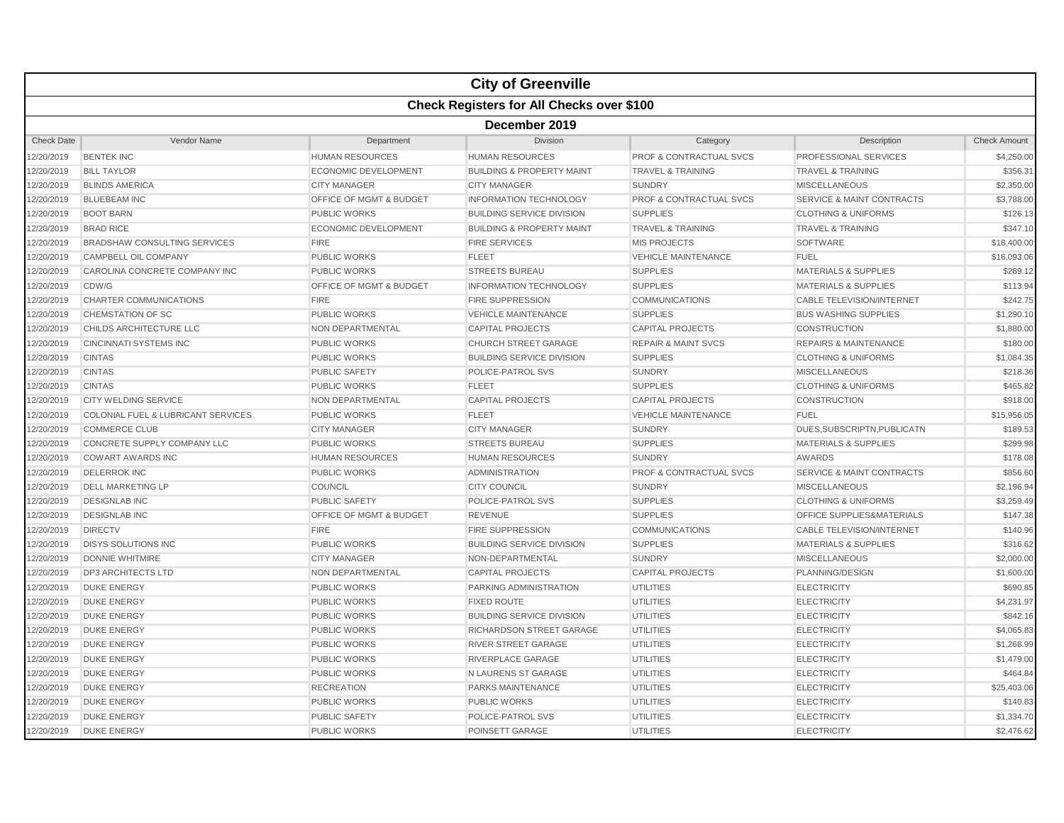|                   |                                           |                             | <b>City of Greenville</b>            |                                    |                                      |                     |  |  |  |
|-------------------|-------------------------------------------|-----------------------------|--------------------------------------|------------------------------------|--------------------------------------|---------------------|--|--|--|
|                   | Check Registers for All Checks over \$100 |                             |                                      |                                    |                                      |                     |  |  |  |
|                   | December 2019                             |                             |                                      |                                    |                                      |                     |  |  |  |
| <b>Check Date</b> | Vendor Name                               | Department                  | Division                             | Category                           | Description                          | <b>Check Amount</b> |  |  |  |
| 2/20/2019         | <b>BENTEK INC</b>                         | <b>HUMAN RESOURCES</b>      | <b>HUMAN RESOURCES</b>               | <b>PROF &amp; CONTRACTUAL SVCS</b> | PROFESSIONAL SERVICES                | \$4,250.00          |  |  |  |
| 2/20/2019         | <b>BILL TAYLOR</b>                        | <b>ECONOMIC DEVELOPMENT</b> | <b>BUILDING &amp; PROPERTY MAINT</b> | <b>TRAVEL &amp; TRAINING</b>       | <b>TRAVEL &amp; TRAINING</b>         | \$356.31            |  |  |  |
| 2/20/2019         | <b>BLINDS AMERICA</b>                     | <b>CITY MANAGER</b>         | <b>CITY MANAGER</b>                  | <b>SUNDRY</b>                      | <b>MISCELLANEOUS</b>                 | \$2,350.00          |  |  |  |
| 2/20/2019         | <b>BLUEBEAM INC</b>                       | OFFICE OF MGMT & BUDGET     | <b>INFORMATION TECHNOLOGY</b>        | PROF & CONTRACTUAL SVCS            | <b>SERVICE &amp; MAINT CONTRACTS</b> | \$3,788.00          |  |  |  |
| 12/20/2019        | <b>BOOT BARN</b>                          | <b>PUBLIC WORKS</b>         | <b>BUILDING SERVICE DIVISION</b>     | <b>SUPPLIES</b>                    | <b>CLOTHING &amp; UNIFORMS</b>       | \$126.13            |  |  |  |
| 2/20/2019         | <b>BRAD RICE</b>                          | <b>ECONOMIC DEVELOPMENT</b> | <b>BUILDING &amp; PROPERTY MAINT</b> | <b>TRAVEL &amp; TRAINING</b>       | <b>TRAVEL &amp; TRAINING</b>         | \$347.10            |  |  |  |
| 2/20/2019         | <b>BRADSHAW CONSULTING SERVICES</b>       | <b>FIRE</b>                 | <b>FIRE SERVICES</b>                 | <b>MIS PROJECTS</b>                | <b>SOFTWARE</b>                      | \$18,400.00         |  |  |  |
| 2/20/2019         | CAMPBELL OIL COMPANY                      | <b>PUBLIC WORKS</b>         | <b>FLEET</b>                         | <b>VEHICLE MAINTENANCE</b>         | <b>FUEL</b>                          | \$16,093.06         |  |  |  |
| 2/20/2019         | CAROLINA CONCRETE COMPANY INC             | <b>PUBLIC WORKS</b>         | <b>STREETS BUREAU</b>                | <b>SUPPLIES</b>                    | <b>MATERIALS &amp; SUPPLIES</b>      | \$289.12            |  |  |  |
| 12/20/2019        | CDW/G                                     | OFFICE OF MGMT & BUDGET     | <b>INFORMATION TECHNOLOGY</b>        | <b>SUPPLIES</b>                    | <b>MATERIALS &amp; SUPPLIES</b>      | \$113.94            |  |  |  |
| 2/20/2019         | <b>CHARTER COMMUNICATIONS</b>             | <b>FIRE</b>                 | <b>FIRE SUPPRESSION</b>              | <b>COMMUNICATIONS</b>              | <b>CABLE TELEVISION/INTERNET</b>     | \$242.75            |  |  |  |
| 2/20/2019         | <b>CHEMSTATION OF SC</b>                  | <b>PUBLIC WORKS</b>         | <b>VEHICLE MAINTENANCE</b>           | <b>SUPPLIES</b>                    | <b>BUS WASHING SUPPLIES</b>          | \$1,290.10          |  |  |  |
| 2/20/2019         | CHILDS ARCHITECTURE LLC                   | NON DEPARTMENTAL            | <b>CAPITAL PROJECTS</b>              | <b>CAPITAL PROJECTS</b>            | CONSTRUCTION                         | \$1,880.00          |  |  |  |
| 2/20/2019         | <b>CINCINNATI SYSTEMS INC</b>             | <b>PUBLIC WORKS</b>         | <b>CHURCH STREET GARAGE</b>          | <b>REPAIR &amp; MAINT SVCS</b>     | <b>REPAIRS &amp; MAINTENANCE</b>     | \$180.00            |  |  |  |
| 12/20/2019        | <b>CINTAS</b>                             | <b>PUBLIC WORKS</b>         | <b>BUILDING SERVICE DIVISION</b>     | <b>SUPPLIES</b>                    | <b>CLOTHING &amp; UNIFORMS</b>       | \$1,084.35          |  |  |  |
| 2/20/2019         | <b>CINTAS</b>                             | <b>PUBLIC SAFETY</b>        | POLICE-PATROL SVS                    | <b>SUNDRY</b>                      | <b>MISCELLANEOUS</b>                 | \$218.36            |  |  |  |
| 2/20/2019         | <b>CINTAS</b>                             | <b>PUBLIC WORKS</b>         | <b>FLEET</b>                         | <b>SUPPLIES</b>                    | <b>CLOTHING &amp; UNIFORMS</b>       | \$465.82            |  |  |  |
| 12/20/2019        | <b>CITY WELDING SERVICE</b>               | NON DEPARTMENTAL            | <b>CAPITAL PROJECTS</b>              | <b>CAPITAL PROJECTS</b>            | <b>CONSTRUCTION</b>                  | \$918.00            |  |  |  |
| 2/20/2019         | COLONIAL FUEL & LUBRICANT SERVICES        | <b>PUBLIC WORKS</b>         | <b>FLEET</b>                         | <b>VEHICLE MAINTENANCE</b>         | <b>FUEL</b>                          | \$15,956.05         |  |  |  |
| 12/20/2019        | <b>COMMERCE CLUB</b>                      | <b>CITY MANAGER</b>         | <b>CITY MANAGER</b>                  | <b>SUNDRY</b>                      | DUES, SUBSCRIPTN, PUBLICATN          | \$189.53            |  |  |  |
| 2/20/2019         | <b>CONCRETE SUPPLY COMPANY LLC</b>        | <b>PUBLIC WORKS</b>         | <b>STREETS BUREAU</b>                | <b>SUPPLIES</b>                    | <b>MATERIALS &amp; SUPPLIES</b>      | \$299.98            |  |  |  |
| 2/20/2019         | <b>COWART AWARDS INC</b>                  | <b>HUMAN RESOURCES</b>      | <b>HUMAN RESOURCES</b>               | <b>SUNDRY</b>                      | <b>AWARDS</b>                        | \$178.08            |  |  |  |
| 2/20/2019         | <b>DELERROK INC</b>                       | <b>PUBLIC WORKS</b>         | <b>ADMINISTRATION</b>                | <b>PROF &amp; CONTRACTUAL SVCS</b> | <b>SERVICE &amp; MAINT CONTRACTS</b> | \$856.60            |  |  |  |
| 2/20/2019         | <b>DELL MARKETING LP</b>                  | COUNCIL                     | <b>CITY COUNCIL</b>                  | <b>SUNDRY</b>                      | <b>MISCELLANEOUS</b>                 | \$2,196.94          |  |  |  |
| 12/20/2019        | <b>DESIGNLAB INC</b>                      | <b>PUBLIC SAFETY</b>        | POLICE-PATROL SVS                    | <b>SUPPLIES</b>                    | <b>CLOTHING &amp; UNIFORMS</b>       | \$3,259.49          |  |  |  |
| 2/20/2019         | <b>DESIGNLAB INC</b>                      | OFFICE OF MGMT & BUDGET     | <b>REVENUE</b>                       | <b>SUPPLIES</b>                    | OFFICE SUPPLIES&MATERIALS            | \$147.38            |  |  |  |
| 2/20/2019         | <b>DIRECTV</b>                            | <b>FIRE</b>                 | <b>FIRE SUPPRESSION</b>              | <b>COMMUNICATIONS</b>              | <b>CABLE TELEVISION/INTERNET</b>     | \$140.96            |  |  |  |
| 2/20/2019         | <b>DISYS SOLUTIONS INC</b>                | <b>PUBLIC WORKS</b>         | <b>BUILDING SERVICE DIVISION</b>     | <b>SUPPLIES</b>                    | <b>MATERIALS &amp; SUPPLIES</b>      | \$316.62            |  |  |  |
| 2/20/2019         | <b>DONNIE WHITMIRE</b>                    | <b>CITY MANAGER</b>         | NON-DEPARTMENTAL                     | <b>SUNDRY</b>                      | <b>MISCELLANEOUS</b>                 | \$2,000.00          |  |  |  |
| 12/20/2019        | <b>DP3 ARCHITECTS LTD</b>                 | <b>NON DEPARTMENTAL</b>     | <b>CAPITAL PROJECTS</b>              | <b>CAPITAL PROJECTS</b>            | PLANNING/DESIGN                      | \$1,600.00          |  |  |  |
| 2/20/2019         | <b>DUKE ENERGY</b>                        | <b>PUBLIC WORKS</b>         | PARKING ADMINISTRATION               | <b>UTILITIES</b>                   | <b>ELECTRICITY</b>                   | \$690.85            |  |  |  |
| 2/20/2019         | <b>DUKE ENERGY</b>                        | <b>PUBLIC WORKS</b>         | <b>FIXED ROUTE</b>                   | <b>UTILITIES</b>                   | <b>ELECTRICITY</b>                   | \$4,231.97          |  |  |  |
| 2/20/2019         | <b>DUKE ENERGY</b>                        | <b>PUBLIC WORKS</b>         | <b>BUILDING SERVICE DIVISION</b>     | <b>UTILITIES</b>                   | <b>ELECTRICITY</b>                   | \$842.16            |  |  |  |
| 2/20/2019         | <b>DUKE ENERGY</b>                        | <b>PUBLIC WORKS</b>         | <b>RICHARDSON STREET GARAGE</b>      | <b>UTILITIES</b>                   | <b>ELECTRICITY</b>                   | \$4,065.83          |  |  |  |
| 12/20/2019        | <b>DUKE ENERGY</b>                        | <b>PUBLIC WORKS</b>         | <b>RIVER STREET GARAGE</b>           | <b>UTILITIES</b>                   | <b>ELECTRICITY</b>                   | \$1,268.99          |  |  |  |
| 2/20/2019         | <b>DUKE ENERGY</b>                        | <b>PUBLIC WORKS</b>         | <b>RIVERPLACE GARAGE</b>             | <b>UTILITIES</b>                   | <b>ELECTRICITY</b>                   | \$1,479.00          |  |  |  |
| 2/20/2019         | <b>DUKE ENERGY</b>                        | <b>PUBLIC WORKS</b>         | N LAURENS ST GARAGE                  | <b>UTILITIES</b>                   | <b>ELECTRICITY</b>                   | \$464.84            |  |  |  |
| 2/20/2019         | <b>DUKE ENERGY</b>                        | <b>RECREATION</b>           | PARKS MAINTENANCE                    | <b>UTILITIES</b>                   | <b>ELECTRICITY</b>                   | \$25,403.06         |  |  |  |
| 2/20/2019         | <b>DUKE ENERGY</b>                        | <b>PUBLIC WORKS</b>         | <b>PUBLIC WORKS</b>                  | <b>UTILITIES</b>                   | <b>ELECTRICITY</b>                   | \$140.83            |  |  |  |
| 12/20/2019        | <b>DUKE ENERGY</b>                        | <b>PUBLIC SAFETY</b>        | POLICE-PATROL SVS                    | <b>UTILITIES</b>                   | <b>ELECTRICITY</b>                   | \$1,334.70          |  |  |  |
| 12/20/2019        | <b>DUKE ENERGY</b>                        | <b>PUBLIC WORKS</b>         | POINSETT GARAGE                      | <b>UTILITIES</b>                   | <b>ELECTRICITY</b>                   | \$2.476.62          |  |  |  |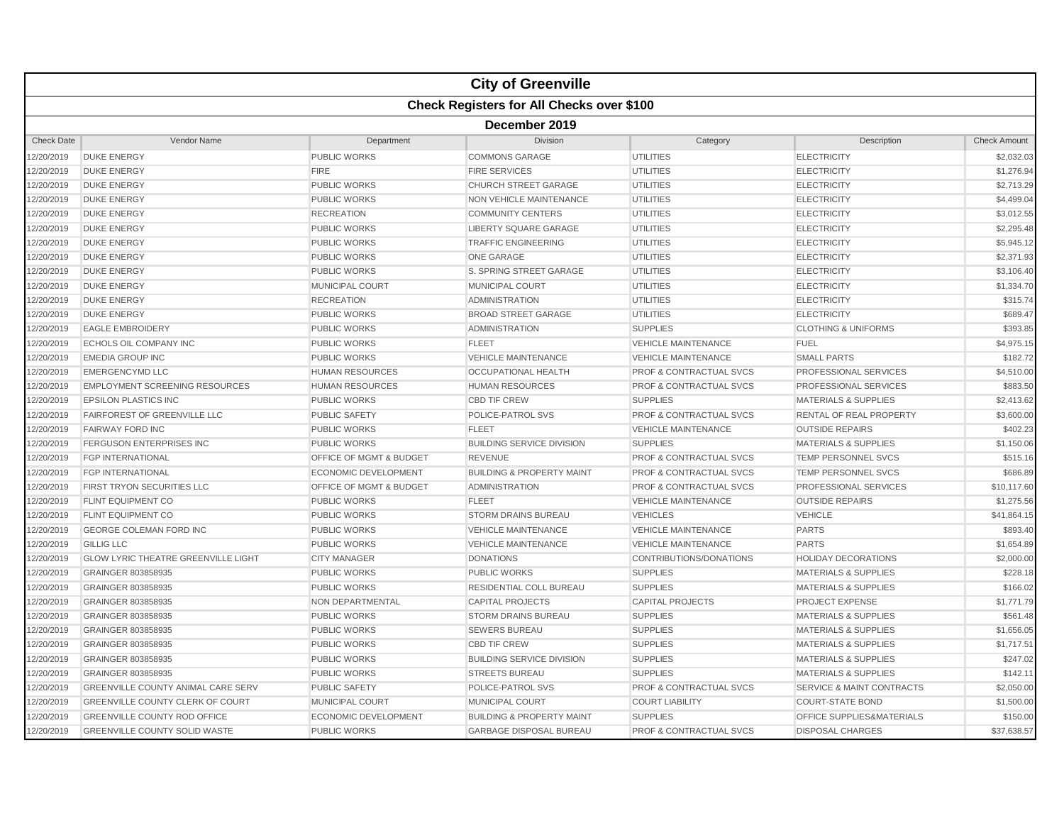|                   |                                                  |                                    | <b>City of Greenville</b>            |                                    |                                      |                     |  |  |  |
|-------------------|--------------------------------------------------|------------------------------------|--------------------------------------|------------------------------------|--------------------------------------|---------------------|--|--|--|
|                   | <b>Check Registers for All Checks over \$100</b> |                                    |                                      |                                    |                                      |                     |  |  |  |
|                   | December 2019                                    |                                    |                                      |                                    |                                      |                     |  |  |  |
| <b>Check Date</b> | Vendor Name                                      | Department                         | Division                             | Category                           | Description                          | <b>Check Amount</b> |  |  |  |
| 12/20/2019        | <b>DUKE ENERGY</b>                               | PUBLIC WORKS                       | <b>COMMONS GARAGE</b>                | <b>UTILITIES</b>                   | <b>ELECTRICITY</b>                   | \$2,032.03          |  |  |  |
| 12/20/2019        | <b>DUKE ENERGY</b>                               | <b>FIRE</b>                        | <b>FIRE SERVICES</b>                 | <b>UTILITIES</b>                   | <b>ELECTRICITY</b>                   | \$1,276.94          |  |  |  |
| 12/20/2019        | <b>DUKE ENERGY</b>                               | <b>PUBLIC WORKS</b>                | <b>CHURCH STREET GARAGE</b>          | <b>UTILITIES</b>                   | <b>ELECTRICITY</b>                   | \$2,713.29          |  |  |  |
| 12/20/2019        | <b>DUKE ENERGY</b>                               | <b>PUBLIC WORKS</b>                | NON VEHICLE MAINTENANCE              | <b>UTILITIES</b>                   | <b>ELECTRICITY</b>                   | \$4,499.04          |  |  |  |
| 12/20/2019        | <b>DUKE ENERGY</b>                               | <b>RECREATION</b>                  | <b>COMMUNITY CENTERS</b>             | <b>UTILITIES</b>                   | <b>ELECTRICITY</b>                   | \$3,012.55          |  |  |  |
| 12/20/2019        | <b>DUKE ENERGY</b>                               | <b>PUBLIC WORKS</b>                | <b>LIBERTY SQUARE GARAGE</b>         | <b>UTILITIES</b>                   | <b>ELECTRICITY</b>                   | \$2,295.48          |  |  |  |
| 12/20/2019        | <b>DUKE ENERGY</b>                               | <b>PUBLIC WORKS</b>                | <b>TRAFFIC ENGINEERING</b>           | <b>UTILITIES</b>                   | <b>ELECTRICITY</b>                   | \$5.945.12          |  |  |  |
| 12/20/2019        | <b>DUKE ENERGY</b>                               | <b>PUBLIC WORKS</b>                | <b>ONE GARAGE</b>                    | <b>UTILITIES</b>                   | <b>ELECTRICITY</b>                   | \$2,371.93          |  |  |  |
| 12/20/2019        | <b>DUKE ENERGY</b>                               | <b>PUBLIC WORKS</b>                | S. SPRING STREET GARAGE              | <b>UTILITIES</b>                   | <b>ELECTRICITY</b>                   | \$3,106.40          |  |  |  |
| 12/20/2019        | <b>DUKE ENERGY</b>                               | <b>MUNICIPAL COURT</b>             | <b>MUNICIPAL COURT</b>               | <b>UTILITIES</b>                   | <b>ELECTRICITY</b>                   | \$1,334.70          |  |  |  |
| 12/20/2019        | <b>DUKE ENERGY</b>                               | <b>RECREATION</b>                  | <b>ADMINISTRATION</b>                | <b>UTILITIES</b>                   | <b>ELECTRICITY</b>                   | \$315.74            |  |  |  |
| 12/20/2019        | <b>DUKE ENERGY</b>                               | <b>PUBLIC WORKS</b>                | <b>BROAD STREET GARAGE</b>           | <b>UTILITIES</b>                   | <b>ELECTRICITY</b>                   | \$689.47            |  |  |  |
| 12/20/2019        | <b>EAGLE EMBROIDERY</b>                          | <b>PUBLIC WORKS</b>                | <b>ADMINISTRATION</b>                | <b>SUPPLIES</b>                    | <b>CLOTHING &amp; UNIFORMS</b>       | \$393.85            |  |  |  |
| 12/20/2019        | <b>ECHOLS OIL COMPANY INC</b>                    | PUBLIC WORKS                       | <b>FLEET</b>                         | <b>VEHICLE MAINTENANCE</b>         | <b>FUEL</b>                          | \$4,975.15          |  |  |  |
| 12/20/2019        | <b>EMEDIA GROUP INC</b>                          | <b>PUBLIC WORKS</b>                | <b>VEHICLE MAINTENANCE</b>           | <b>VEHICLE MAINTENANCE</b>         | <b>SMALL PARTS</b>                   | \$182.72            |  |  |  |
| 12/20/2019        | <b>EMERGENCYMD LLC</b>                           | <b>HUMAN RESOURCES</b>             | OCCUPATIONAL HEALTH                  | <b>PROF &amp; CONTRACTUAL SVCS</b> | PROFESSIONAL SERVICES                | \$4,510.00          |  |  |  |
| 12/20/2019        | <b>EMPLOYMENT SCREENING RESOURCES</b>            | <b>HUMAN RESOURCES</b>             | <b>HUMAN RESOURCES</b>               | <b>PROF &amp; CONTRACTUAL SVCS</b> | <b>PROFESSIONAL SERVICES</b>         | \$883.50            |  |  |  |
| 12/20/2019        | <b>EPSILON PLASTICS INC</b>                      | <b>PUBLIC WORKS</b>                | <b>CBD TIF CREW</b>                  | <b>SUPPLIES</b>                    | <b>MATERIALS &amp; SUPPLIES</b>      | \$2,413.62          |  |  |  |
| 12/20/2019        | <b>FAIRFOREST OF GREENVILLE LLC</b>              | <b>PUBLIC SAFETY</b>               | POLICE-PATROL SVS                    | <b>PROF &amp; CONTRACTUAL SVCS</b> | <b>RENTAL OF REAL PROPERTY</b>       | \$3,600.00          |  |  |  |
| 12/20/2019        | <b>FAIRWAY FORD INC</b>                          | <b>PUBLIC WORKS</b>                | <b>FLEET</b>                         | <b>VEHICLE MAINTENANCE</b>         | <b>OUTSIDE REPAIRS</b>               | \$402.23            |  |  |  |
| 12/20/2019        | <b>FERGUSON ENTERPRISES INC</b>                  | <b>PUBLIC WORKS</b>                | <b>BUILDING SERVICE DIVISION</b>     | <b>SUPPLIES</b>                    | <b>MATERIALS &amp; SUPPLIES</b>      | \$1,150.06          |  |  |  |
| 12/20/2019        | <b>FGP INTERNATIONAL</b>                         | <b>OFFICE OF MGMT &amp; BUDGET</b> | <b>REVENUE</b>                       | <b>PROF &amp; CONTRACTUAL SVCS</b> | <b>TEMP PERSONNEL SVCS</b>           | \$515.16            |  |  |  |
| 12/20/2019        | <b>FGP INTERNATIONAL</b>                         | <b>ECONOMIC DEVELOPMENT</b>        | <b>BUILDING &amp; PROPERTY MAINT</b> | <b>PROF &amp; CONTRACTUAL SVCS</b> | <b>TEMP PERSONNEL SVCS</b>           | \$686.89            |  |  |  |
| 12/20/2019        | <b>FIRST TRYON SECURITIES LLC</b>                | <b>OFFICE OF MGMT &amp; BUDGET</b> | <b>ADMINISTRATION</b>                | <b>PROF &amp; CONTRACTUAL SVCS</b> | <b>PROFESSIONAL SERVICES</b>         | \$10,117.60         |  |  |  |
| 12/20/2019        | <b>FLINT EQUIPMENT CO</b>                        | <b>PUBLIC WORKS</b>                | <b>FLEET</b>                         | <b>VEHICLE MAINTENANCE</b>         | <b>OUTSIDE REPAIRS</b>               | \$1,275.56          |  |  |  |
| 12/20/2019        | <b>FLINT EQUIPMENT CO</b>                        | <b>PUBLIC WORKS</b>                | <b>STORM DRAINS BUREAU</b>           | <b>VEHICLES</b>                    | <b>VEHICLE</b>                       | \$41,864.15         |  |  |  |
| 12/20/2019        | GEORGE COLEMAN FORD INC                          | <b>PUBLIC WORKS</b>                | <b>VEHICLE MAINTENANCE</b>           | <b>VEHICLE MAINTENANCE</b>         | <b>PARTS</b>                         | \$893.40            |  |  |  |
| 12/20/2019        | <b>GILLIG LLC</b>                                | <b>PUBLIC WORKS</b>                | <b>VEHICLE MAINTENANCE</b>           | <b>VEHICLE MAINTENANCE</b>         | <b>PARTS</b>                         | \$1,654.89          |  |  |  |
| 12/20/2019        | <b>GLOW LYRIC THEATRE GREENVILLE LIGHT</b>       | <b>CITY MANAGER</b>                | <b>DONATIONS</b>                     | CONTRIBUTIONS/DONATIONS            | <b>HOLIDAY DECORATIONS</b>           | \$2,000.00          |  |  |  |
| 12/20/2019        | GRAINGER 803858935                               | <b>PUBLIC WORKS</b>                | <b>PUBLIC WORKS</b>                  | <b>SUPPLIES</b>                    | <b>MATERIALS &amp; SUPPLIES</b>      | \$228.18            |  |  |  |
| 12/20/2019        | GRAINGER 803858935                               | <b>PUBLIC WORKS</b>                | RESIDENTIAL COLL BUREAU              | <b>SUPPLIES</b>                    | <b>MATERIALS &amp; SUPPLIES</b>      | \$166.02            |  |  |  |
| 12/20/2019        | GRAINGER 803858935                               | <b>NON DEPARTMENTAL</b>            | <b>CAPITAL PROJECTS</b>              | <b>CAPITAL PROJECTS</b>            | <b>PROJECT EXPENSE</b>               | \$1,771.79          |  |  |  |
| 12/20/2019        | GRAINGER 803858935                               | <b>PUBLIC WORKS</b>                | <b>STORM DRAINS BUREAU</b>           | <b>SUPPLIES</b>                    | <b>MATERIALS &amp; SUPPLIES</b>      | \$561.48            |  |  |  |
| 12/20/2019        | GRAINGER 803858935                               | <b>PUBLIC WORKS</b>                | <b>SEWERS BUREAU</b>                 | <b>SUPPLIES</b>                    | <b>MATERIALS &amp; SUPPLIES</b>      | \$1,656.05          |  |  |  |
| 12/20/2019        | GRAINGER 803858935                               | <b>PUBLIC WORKS</b>                | <b>CBD TIF CREW</b>                  | <b>SUPPLIES</b>                    | <b>MATERIALS &amp; SUPPLIES</b>      | \$1,717.51          |  |  |  |
| 12/20/2019        | GRAINGER 803858935                               | <b>PUBLIC WORKS</b>                | <b>BUILDING SERVICE DIVISION</b>     | <b>SUPPLIES</b>                    | <b>MATERIALS &amp; SUPPLIES</b>      | \$247.02            |  |  |  |
| 12/20/2019        | GRAINGER 803858935                               | <b>PUBLIC WORKS</b>                | <b>STREETS BUREAU</b>                | <b>SUPPLIES</b>                    | <b>MATERIALS &amp; SUPPLIES</b>      | \$142.1'            |  |  |  |
| 12/20/2019        | <b>GREENVILLE COUNTY ANIMAL CARE SERV</b>        | PUBLIC SAFETY                      | POLICE-PATROL SVS                    | <b>PROF &amp; CONTRACTUAL SVCS</b> | <b>SERVICE &amp; MAINT CONTRACTS</b> | \$2,050.00          |  |  |  |
| 12/20/2019        | <b>GREENVILLE COUNTY CLERK OF COURT</b>          | <b>MUNICIPAL COURT</b>             | <b>MUNICIPAL COURT</b>               | <b>COURT LIABILITY</b>             | <b>COURT-STATE BOND</b>              | \$1,500.00          |  |  |  |
| 12/20/2019        | <b>GREENVILLE COUNTY ROD OFFICE</b>              | <b>ECONOMIC DEVELOPMENT</b>        | <b>BUILDING &amp; PROPERTY MAINT</b> | <b>SUPPLIES</b>                    | OFFICE SUPPLIES&MATERIALS            | \$150.00            |  |  |  |
| 12/20/2019        | <b>GREENVILLE COUNTY SOLID WASTE</b>             | <b>PUBLIC WORKS</b>                | <b>GARBAGE DISPOSAL BUREAU</b>       | <b>PROF &amp; CONTRACTUAL SVCS</b> | <b>DISPOSAL CHARGES</b>              | \$37,638.57         |  |  |  |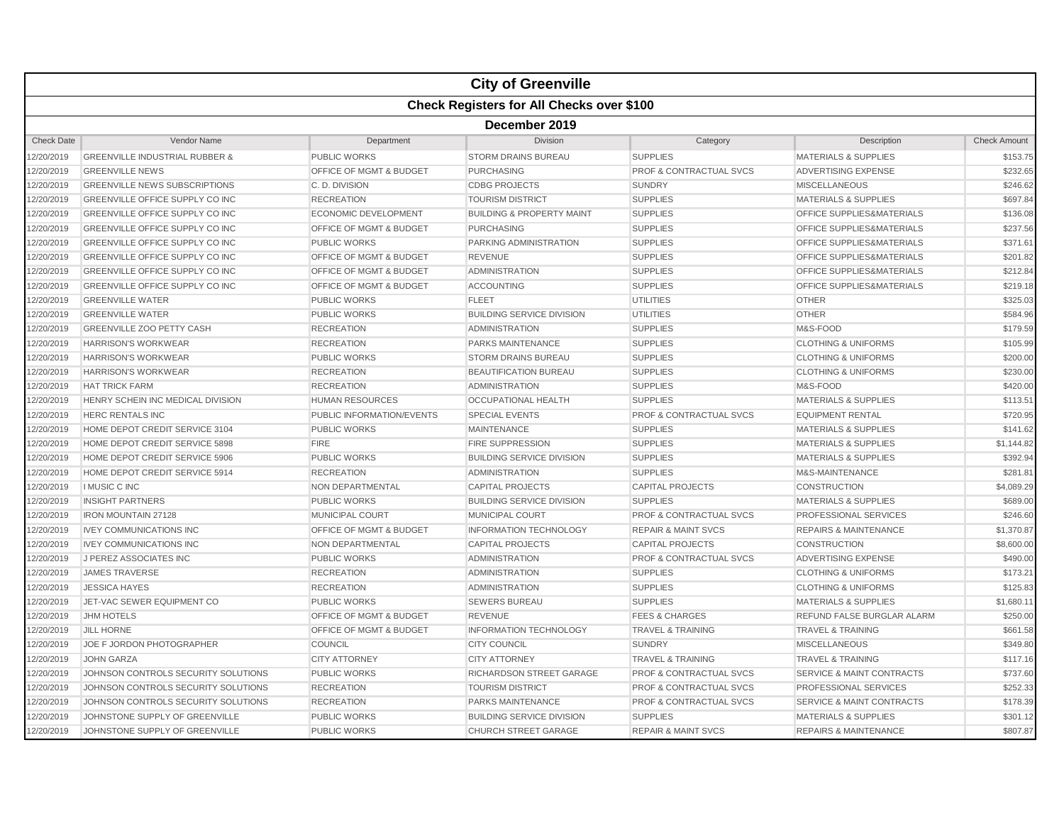|                   |                                                  |                                    | <b>City of Greenville</b>            |                                    |                                      |                     |  |  |  |
|-------------------|--------------------------------------------------|------------------------------------|--------------------------------------|------------------------------------|--------------------------------------|---------------------|--|--|--|
|                   | <b>Check Registers for All Checks over \$100</b> |                                    |                                      |                                    |                                      |                     |  |  |  |
|                   | December 2019                                    |                                    |                                      |                                    |                                      |                     |  |  |  |
| <b>Check Date</b> | Vendor Name                                      | Department                         | <b>Division</b>                      | Category                           | Description                          | <b>Check Amount</b> |  |  |  |
| 12/20/2019        | <b>GREENVILLE INDUSTRIAL RUBBER &amp;</b>        | PUBLIC WORKS                       | <b>STORM DRAINS BUREAU</b>           | <b>SUPPLIES</b>                    | <b>MATERIALS &amp; SUPPLIES</b>      | \$153.75            |  |  |  |
| 12/20/2019        | <b>GREENVILLE NEWS</b>                           | OFFICE OF MGMT & BUDGET            | <b>PURCHASING</b>                    | <b>PROF &amp; CONTRACTUAL SVCS</b> | <b>ADVERTISING EXPENSE</b>           | \$232.65            |  |  |  |
| 12/20/2019        | <b>GREENVILLE NEWS SUBSCRIPTIONS</b>             | C. D. DIVISION                     | <b>CDBG PROJECTS</b>                 | <b>SUNDRY</b>                      | <b>MISCELLANEOUS</b>                 | \$246.62            |  |  |  |
| 12/20/2019        | GREENVILLE OFFICE SUPPLY CO INC                  | <b>RECREATION</b>                  | <b>TOURISM DISTRICT</b>              | <b>SUPPLIES</b>                    | <b>MATERIALS &amp; SUPPLIES</b>      | \$697.84            |  |  |  |
| 12/20/2019        | GREENVILLE OFFICE SUPPLY CO INC                  | <b>ECONOMIC DEVELOPMENT</b>        | <b>BUILDING &amp; PROPERTY MAINT</b> | <b>SUPPLIES</b>                    | OFFICE SUPPLIES&MATERIALS            | \$136.08            |  |  |  |
| 12/20/2019        | <b>GREENVILLE OFFICE SUPPLY CO INC</b>           | OFFICE OF MGMT & BUDGET            | <b>PURCHASING</b>                    | <b>SUPPLIES</b>                    | <b>OFFICE SUPPLIES&amp;MATERIALS</b> | \$237.56            |  |  |  |
| 12/20/2019        | <b>GREENVILLE OFFICE SUPPLY CO INC</b>           | <b>PUBLIC WORKS</b>                | <b>PARKING ADMINISTRATION</b>        | <b>SUPPLIES</b>                    | <b>OFFICE SUPPLIES&amp;MATERIALS</b> | \$371.61            |  |  |  |
| 12/20/2019        | GREENVILLE OFFICE SUPPLY CO INC                  | OFFICE OF MGMT & BUDGET            | <b>REVENUE</b>                       | <b>SUPPLIES</b>                    | OFFICE SUPPLIES&MATERIALS            | \$201.82            |  |  |  |
| 12/20/2019        | GREENVILLE OFFICE SUPPLY CO INC                  | <b>OFFICE OF MGMT &amp; BUDGET</b> | <b>ADMINISTRATION</b>                | <b>SUPPLIES</b>                    | <b>OFFICE SUPPLIES&amp;MATERIALS</b> | \$212.84            |  |  |  |
| 12/20/2019        | <b>GREENVILLE OFFICE SUPPLY CO INC</b>           | <b>OFFICE OF MGMT &amp; BUDGET</b> | <b>ACCOUNTING</b>                    | <b>SUPPLIES</b>                    | <b>OFFICE SUPPLIES&amp;MATERIALS</b> | \$219.18            |  |  |  |
| 12/20/2019        | <b>GREENVILLE WATER</b>                          | <b>PUBLIC WORKS</b>                | <b>FLEET</b>                         | <b>UTILITIES</b>                   | <b>OTHER</b>                         | \$325.03            |  |  |  |
| 12/20/2019        | <b>GREENVILLE WATER</b>                          | <b>PUBLIC WORKS</b>                | <b>BUILDING SERVICE DIVISION</b>     | <b>UTILITIES</b>                   | <b>OTHER</b>                         | \$584.96            |  |  |  |
| 12/20/2019        | <b>GREENVILLE ZOO PETTY CASH</b>                 | <b>RECREATION</b>                  | <b>ADMINISTRATION</b>                | <b>SUPPLIES</b>                    | M&S-FOOD                             | \$179.59            |  |  |  |
| 12/20/2019        | <b>HARRISON'S WORKWEAR</b>                       | <b>RECREATION</b>                  | PARKS MAINTENANCE                    | <b>SUPPLIES</b>                    | <b>CLOTHING &amp; UNIFORMS</b>       | \$105.99            |  |  |  |
| 12/20/2019        | <b>HARRISON'S WORKWEAR</b>                       | PUBLIC WORKS                       | <b>STORM DRAINS BUREAU</b>           | <b>SUPPLIES</b>                    | <b>CLOTHING &amp; UNIFORMS</b>       | \$200.00            |  |  |  |
| 12/20/2019        | <b>HARRISON'S WORKWEAR</b>                       | <b>RECREATION</b>                  | <b>BEAUTIFICATION BUREAU</b>         | <b>SUPPLIES</b>                    | <b>CLOTHING &amp; UNIFORMS</b>       | \$230.00            |  |  |  |
| 12/20/2019        | <b>HAT TRICK FARM</b>                            | <b>RECREATION</b>                  | <b>ADMINISTRATION</b>                | <b>SUPPLIES</b>                    | M&S-FOOD                             | \$420.00            |  |  |  |
| 12/20/2019        | HENRY SCHEIN INC MEDICAL DIVISION                | <b>HUMAN RESOURCES</b>             | <b>OCCUPATIONAL HEALTH</b>           | <b>SUPPLIES</b>                    | <b>MATERIALS &amp; SUPPLIES</b>      | \$113.51            |  |  |  |
| 12/20/2019        | <b>HERC RENTALS INC</b>                          | PUBLIC INFORMATION/EVENTS          | <b>SPECIAL EVENTS</b>                | <b>PROF &amp; CONTRACTUAL SVCS</b> | <b>EQUIPMENT RENTAL</b>              | \$720.95            |  |  |  |
| 12/20/2019        | HOME DEPOT CREDIT SERVICE 3104                   | <b>PUBLIC WORKS</b>                | <b>MAINTENANCE</b>                   | <b>SUPPLIES</b>                    | <b>MATERIALS &amp; SUPPLIES</b>      | \$141.62            |  |  |  |
| 12/20/2019        | HOME DEPOT CREDIT SERVICE 5898                   | <b>FIRE</b>                        | <b>FIRE SUPPRESSION</b>              | <b>SUPPLIES</b>                    | <b>MATERIALS &amp; SUPPLIES</b>      | \$1,144.82          |  |  |  |
| 12/20/2019        | HOME DEPOT CREDIT SERVICE 5906                   | <b>PUBLIC WORKS</b>                | <b>BUILDING SERVICE DIVISION</b>     | <b>SUPPLIES</b>                    | <b>MATERIALS &amp; SUPPLIES</b>      | \$392.94            |  |  |  |
| 12/20/2019        | HOME DEPOT CREDIT SERVICE 5914                   | <b>RECREATION</b>                  | <b>ADMINISTRATION</b>                | <b>SUPPLIES</b>                    | M&S-MAINTENANCE                      | \$281.81            |  |  |  |
| 12/20/2019        | <b>I MUSIC C INC</b>                             | <b>NON DEPARTMENTAL</b>            | <b>CAPITAL PROJECTS</b>              | <b>CAPITAL PROJECTS</b>            | <b>CONSTRUCTION</b>                  | \$4,089.29          |  |  |  |
| 12/20/2019        | <b>INSIGHT PARTNERS</b>                          | <b>PUBLIC WORKS</b>                | <b>BUILDING SERVICE DIVISION</b>     | <b>SUPPLIES</b>                    | <b>MATERIALS &amp; SUPPLIES</b>      | \$689.00            |  |  |  |
| 12/20/2019        | <b>IRON MOUNTAIN 27128</b>                       | <b>MUNICIPAL COURT</b>             | <b>MUNICIPAL COURT</b>               | <b>PROF &amp; CONTRACTUAL SVCS</b> | PROFESSIONAL SERVICES                | \$246.60            |  |  |  |
| 12/20/2019        | <b>IVEY COMMUNICATIONS INC</b>                   | <b>OFFICE OF MGMT &amp; BUDGET</b> | <b>INFORMATION TECHNOLOGY</b>        | <b>REPAIR &amp; MAINT SVCS</b>     | <b>REPAIRS &amp; MAINTENANCE</b>     | \$1,370.87          |  |  |  |
| 12/20/2019        | <b>IVEY COMMUNICATIONS INC</b>                   | <b>NON DEPARTMENTAL</b>            | <b>CAPITAL PROJECTS</b>              | <b>CAPITAL PROJECTS</b>            | <b>CONSTRUCTION</b>                  | \$8,600.00          |  |  |  |
| 12/20/2019        | J PEREZ ASSOCIATES INC                           | <b>PUBLIC WORKS</b>                | <b>ADMINISTRATION</b>                | <b>PROF &amp; CONTRACTUAL SVCS</b> | ADVERTISING EXPENSE                  | \$490.00            |  |  |  |
| 12/20/2019        | <b>JAMES TRAVERSE</b>                            | <b>RECREATION</b>                  | <b>ADMINISTRATION</b>                | <b>SUPPLIES</b>                    | <b>CLOTHING &amp; UNIFORMS</b>       | \$173.21            |  |  |  |
| 12/20/2019        | <b>JESSICA HAYES</b>                             | <b>RECREATION</b>                  | <b>ADMINISTRATION</b>                | <b>SUPPLIES</b>                    | <b>CLOTHING &amp; UNIFORMS</b>       | \$125.83            |  |  |  |
| 12/20/2019        | JET-VAC SEWER EQUIPMENT CO                       | <b>PUBLIC WORKS</b>                | <b>SEWERS BUREAU</b>                 | <b>SUPPLIES</b>                    | <b>MATERIALS &amp; SUPPLIES</b>      | \$1,680.11          |  |  |  |
| 12/20/2019        | <b>JHM HOTELS</b>                                | OFFICE OF MGMT & BUDGET            | <b>REVENUE</b>                       | <b>FEES &amp; CHARGES</b>          | REFUND FALSE BURGLAR ALARM           | \$250.00            |  |  |  |
| 12/20/2019        | <b>JILL HORNE</b>                                | <b>OFFICE OF MGMT &amp; BUDGET</b> | <b>INFORMATION TECHNOLOGY</b>        | <b>TRAVEL &amp; TRAINING</b>       | <b>TRAVEL &amp; TRAINING</b>         | \$661.58            |  |  |  |
| 12/20/2019        | JOE F JORDON PHOTOGRAPHER                        | COUNCIL                            | <b>CITY COUNCIL</b>                  | <b>SUNDRY</b>                      | <b>MISCELLANEOUS</b>                 | \$349.80            |  |  |  |
| 12/20/2019        | <b>JOHN GARZA</b>                                | <b>CITY ATTORNEY</b>               | <b>CITY ATTORNEY</b>                 | <b>TRAVEL &amp; TRAINING</b>       | <b>TRAVEL &amp; TRAINING</b>         | \$117.16            |  |  |  |
| 12/20/2019        | JOHNSON CONTROLS SECURITY SOLUTIONS              | <b>PUBLIC WORKS</b>                | RICHARDSON STREET GARAGE             | <b>PROF &amp; CONTRACTUAL SVCS</b> | <b>SERVICE &amp; MAINT CONTRACTS</b> | \$737.60            |  |  |  |
| 12/20/2019        | JOHNSON CONTROLS SECURITY SOLUTIONS              | <b>RECREATION</b>                  | <b>TOURISM DISTRICT</b>              | <b>PROF &amp; CONTRACTUAL SVCS</b> | PROFESSIONAL SERVICES                | \$252.33            |  |  |  |
| 12/20/2019        | JOHNSON CONTROLS SECURITY SOLUTIONS              | <b>RECREATION</b>                  | <b>PARKS MAINTENANCE</b>             | <b>PROF &amp; CONTRACTUAL SVCS</b> | <b>SERVICE &amp; MAINT CONTRACTS</b> | \$178.39            |  |  |  |
| 12/20/2019        | JOHNSTONE SUPPLY OF GREENVILLE                   | <b>PUBLIC WORKS</b>                | <b>BUILDING SERVICE DIVISION</b>     | <b>SUPPLIES</b>                    | <b>MATERIALS &amp; SUPPLIES</b>      | \$301.12            |  |  |  |
| 12/20/2019        | JOHNSTONE SUPPLY OF GREENVILLE                   | <b>PUBLIC WORKS</b>                | <b>CHURCH STREET GARAGE</b>          | <b>REPAIR &amp; MAINT SVCS</b>     | <b>REPAIRS &amp; MAINTENANCE</b>     | \$807.87            |  |  |  |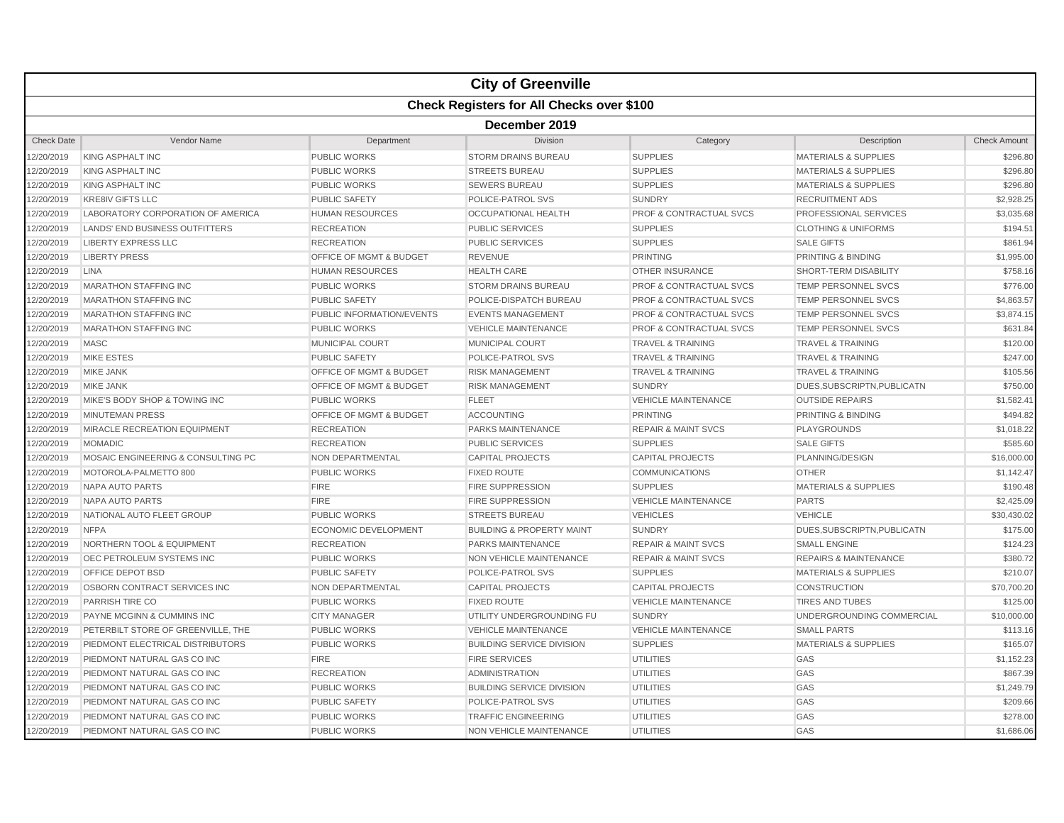|                   |                                                  |                                    | <b>City of Greenville</b>            |                                    |                                  |                     |  |  |  |
|-------------------|--------------------------------------------------|------------------------------------|--------------------------------------|------------------------------------|----------------------------------|---------------------|--|--|--|
|                   | <b>Check Registers for All Checks over \$100</b> |                                    |                                      |                                    |                                  |                     |  |  |  |
|                   | December 2019                                    |                                    |                                      |                                    |                                  |                     |  |  |  |
| <b>Check Date</b> | Vendor Name                                      | Department                         | Division                             | Category                           | Description                      | <b>Check Amount</b> |  |  |  |
| 2/20/2019         | <b>KING ASPHALT INC</b>                          | PUBLIC WORKS                       | <b>STORM DRAINS BUREAU</b>           | <b>SUPPLIES</b>                    | <b>MATERIALS &amp; SUPPLIES</b>  | \$296.80            |  |  |  |
| 2/20/2019         | <b>KING ASPHALT INC</b>                          | <b>PUBLIC WORKS</b>                | <b>STREETS BUREAU</b>                | <b>SUPPLIES</b>                    | <b>MATERIALS &amp; SUPPLIES</b>  | \$296.80            |  |  |  |
| 2/20/2019         | <b>KING ASPHALT INC</b>                          | <b>PUBLIC WORKS</b>                | <b>SEWERS BUREAU</b>                 | <b>SUPPLIES</b>                    | <b>MATERIALS &amp; SUPPLIES</b>  | \$296.80            |  |  |  |
| 2/20/2019         | <b>KRE8IV GIFTS LLC</b>                          | <b>PUBLIC SAFETY</b>               | POLICE-PATROL SVS                    | <b>SUNDRY</b>                      | <b>RECRUITMENT ADS</b>           | \$2,928.25          |  |  |  |
| 2/20/2019         | LABORATORY CORPORATION OF AMERICA                | <b>HUMAN RESOURCES</b>             | <b>OCCUPATIONAL HEALTH</b>           | <b>PROF &amp; CONTRACTUAL SVCS</b> | PROFESSIONAL SERVICES            | \$3,035.68          |  |  |  |
| 2/20/2019         | LANDS' END BUSINESS OUTFITTERS                   | <b>RECREATION</b>                  | <b>PUBLIC SERVICES</b>               | <b>SUPPLIES</b>                    | <b>CLOTHING &amp; UNIFORMS</b>   | \$194.51            |  |  |  |
| 2/20/2019         | <b>LIBERTY EXPRESS LLC</b>                       | <b>RECREATION</b>                  | <b>PUBLIC SERVICES</b>               | <b>SUPPLIES</b>                    | <b>SALE GIFTS</b>                | \$861.94            |  |  |  |
| 2/20/2019         | <b>LIBERTY PRESS</b>                             | OFFICE OF MGMT & BUDGET            | <b>REVENUE</b>                       | <b>PRINTING</b>                    | <b>PRINTING &amp; BINDING</b>    | \$1,995.00          |  |  |  |
| 2/20/2019         | <b>LINA</b>                                      | <b>HUMAN RESOURCES</b>             | <b>HEALTH CARE</b>                   | <b>OTHER INSURANCE</b>             | SHORT-TERM DISABILITY            | \$758.16            |  |  |  |
| 12/20/2019        | <b>MARATHON STAFFING INC</b>                     | <b>PUBLIC WORKS</b>                | <b>STORM DRAINS BUREAU</b>           | <b>PROF &amp; CONTRACTUAL SVCS</b> | <b>TEMP PERSONNEL SVCS</b>       | \$776.00            |  |  |  |
| 2/20/2019         | <b>MARATHON STAFFING INC</b>                     | <b>PUBLIC SAFETY</b>               | POLICE-DISPATCH BUREAU               | <b>PROF &amp; CONTRACTUAL SVCS</b> | TEMP PERSONNEL SVCS              | \$4,863.57          |  |  |  |
| 2/20/2019         | <b>MARATHON STAFFING INC</b>                     | PUBLIC INFORMATION/EVENTS          | <b>EVENTS MANAGEMENT</b>             | <b>PROF &amp; CONTRACTUAL SVCS</b> | <b>TEMP PERSONNEL SVCS</b>       | \$3,874.15          |  |  |  |
| 2/20/2019         | <b>MARATHON STAFFING INC</b>                     | <b>PUBLIC WORKS</b>                | <b>VEHICLE MAINTENANCE</b>           | PROF & CONTRACTUAL SVCS            | TEMP PERSONNEL SVCS              | \$631.84            |  |  |  |
| 2/20/2019         | <b>MASC</b>                                      | <b>MUNICIPAL COURT</b>             | MUNICIPAL COURT                      | <b>TRAVEL &amp; TRAINING</b>       | <b>TRAVEL &amp; TRAINING</b>     | \$120.00            |  |  |  |
| 12/20/2019        | <b>MIKE ESTES</b>                                | <b>PUBLIC SAFETY</b>               | POLICE-PATROL SVS                    | <b>TRAVEL &amp; TRAINING</b>       | <b>TRAVEL &amp; TRAINING</b>     | \$247.00            |  |  |  |
| 2/20/2019         | <b>MIKE JANK</b>                                 | <b>OFFICE OF MGMT &amp; BUDGET</b> | <b>RISK MANAGEMENT</b>               | <b>TRAVEL &amp; TRAINING</b>       | <b>TRAVEL &amp; TRAINING</b>     | \$105.56            |  |  |  |
| 2/20/2019         | <b>MIKE JANK</b>                                 | <b>OFFICE OF MGMT &amp; BUDGET</b> | <b>RISK MANAGEMENT</b>               | <b>SUNDRY</b>                      | DUES.SUBSCRIPTN.PUBLICATN        | \$750.00            |  |  |  |
| 2/20/2019         | MIKE'S BODY SHOP & TOWING INC                    | <b>PUBLIC WORKS</b>                | <b>FLEET</b>                         | <b>VEHICLE MAINTENANCE</b>         | <b>OUTSIDE REPAIRS</b>           | \$1,582.41          |  |  |  |
| 2/20/2019         | <b>MINUTEMAN PRESS</b>                           | <b>OFFICE OF MGMT &amp; BUDGET</b> | <b>ACCOUNTING</b>                    | <b>PRINTING</b>                    | <b>PRINTING &amp; BINDING</b>    | \$494.82            |  |  |  |
| 12/20/2019        | MIRACLE RECREATION EQUIPMENT                     | <b>RECREATION</b>                  | PARKS MAINTENANCE                    | <b>REPAIR &amp; MAINT SVCS</b>     | PLAYGROUNDS                      | \$1,018.22          |  |  |  |
| 2/20/2019         | <b>MOMADIC</b>                                   | <b>RECREATION</b>                  | <b>PUBLIC SERVICES</b>               | <b>SUPPLIES</b>                    | <b>SALE GIFTS</b>                | \$585.60            |  |  |  |
| 2/20/2019         | MOSAIC ENGINEERING & CONSULTING PC               | NON DEPARTMENTAL                   | <b>CAPITAL PROJECTS</b>              | <b>CAPITAL PROJECTS</b>            | PLANNING/DESIGN                  | \$16,000.00         |  |  |  |
| 2/20/2019         | MOTOROLA-PALMETTO 800                            | <b>PUBLIC WORKS</b>                | <b>FIXED ROUTE</b>                   | <b>COMMUNICATIONS</b>              | <b>OTHER</b>                     | \$1,142.47          |  |  |  |
| 2/20/2019         | NAPA AUTO PARTS                                  | <b>FIRE</b>                        | <b>FIRE SUPPRESSION</b>              | <b>SUPPLIES</b>                    | <b>MATERIALS &amp; SUPPLIES</b>  | \$190.48            |  |  |  |
| 12/20/2019        | <b>NAPA AUTO PARTS</b>                           | <b>FIRE</b>                        | <b>FIRE SUPPRESSION</b>              | <b>VEHICLE MAINTENANCE</b>         | <b>PARTS</b>                     | \$2,425.09          |  |  |  |
| 2/20/2019         | NATIONAL AUTO FLEET GROUP                        | <b>PUBLIC WORKS</b>                | <b>STREETS BUREAU</b>                | <b>VEHICLES</b>                    | <b>VEHICLE</b>                   | \$30,430.02         |  |  |  |
| 2/20/2019         | <b>NFPA</b>                                      | <b>ECONOMIC DEVELOPMENT</b>        | <b>BUILDING &amp; PROPERTY MAINT</b> | <b>SUNDRY</b>                      | DUES, SUBSCRIPTN, PUBLICATN      | \$175.00            |  |  |  |
| 2/20/2019         | <b>NORTHERN TOOL &amp; EQUIPMENT</b>             | <b>RECREATION</b>                  | <b>PARKS MAINTENANCE</b>             | <b>REPAIR &amp; MAINT SVCS</b>     | <b>SMALL ENGINE</b>              | \$124.23            |  |  |  |
| 2/20/2019         | OEC PETROLEUM SYSTEMS INC                        | <b>PUBLIC WORKS</b>                | <b>NON VEHICLE MAINTENANCE</b>       | <b>REPAIR &amp; MAINT SVCS</b>     | <b>REPAIRS &amp; MAINTENANCE</b> | \$380.72            |  |  |  |
| 12/20/2019        | OFFICE DEPOT BSD                                 | <b>PUBLIC SAFETY</b>               | POLICE-PATROL SVS                    | <b>SUPPLIES</b>                    | <b>MATERIALS &amp; SUPPLIES</b>  | \$210.07            |  |  |  |
| 2/20/2019         | OSBORN CONTRACT SERVICES INC                     | <b>NON DEPARTMENTAL</b>            | <b>CAPITAL PROJECTS</b>              | <b>CAPITAL PROJECTS</b>            | <b>CONSTRUCTION</b>              | \$70,700.20         |  |  |  |
| 2/20/2019         | PARRISH TIRE CO                                  | <b>PUBLIC WORKS</b>                | <b>FIXED ROUTE</b>                   | <b>VEHICLE MAINTENANCE</b>         | <b>TIRES AND TUBES</b>           | \$125.00            |  |  |  |
| 2/20/2019         | PAYNE MCGINN & CUMMINS INC                       | <b>CITY MANAGER</b>                | UTILITY UNDERGROUNDING FU            | <b>SUNDRY</b>                      | UNDERGROUNDING COMMERCIAL        | \$10,000.00         |  |  |  |
| 2/20/2019         | PETERBILT STORE OF GREENVILLE, THE               | <b>PUBLIC WORKS</b>                | <b>VEHICLE MAINTENANCE</b>           | <b>VEHICLE MAINTENANCE</b>         | <b>SMALL PARTS</b>               | \$113.16            |  |  |  |
| 12/20/2019        | PIEDMONT ELECTRICAL DISTRIBUTORS                 | <b>PUBLIC WORKS</b>                | <b>BUILDING SERVICE DIVISION</b>     | <b>SUPPLIES</b>                    | <b>MATERIALS &amp; SUPPLIES</b>  | \$165.07            |  |  |  |
| 2/20/2019         | PIEDMONT NATURAL GAS CO INC                      | <b>FIRE</b>                        | <b>FIRE SERVICES</b>                 | <b>UTILITIES</b>                   | GAS                              | \$1,152.23          |  |  |  |
| 2/20/2019         | PIEDMONT NATURAL GAS CO INC                      | <b>RECREATION</b>                  | <b>ADMINISTRATION</b>                | <b>UTILITIES</b>                   | GAS                              | \$867.39            |  |  |  |
| 2/20/2019         | PIEDMONT NATURAL GAS CO INC                      | <b>PUBLIC WORKS</b>                | <b>BUILDING SERVICE DIVISION</b>     | <b>UTILITIES</b>                   | GAS                              | \$1,249.79          |  |  |  |
| 2/20/2019         | PIEDMONT NATURAL GAS CO INC                      | <b>PUBLIC SAFETY</b>               | POLICE-PATROL SVS                    | <b>UTILITIES</b>                   | GAS                              | \$209.66            |  |  |  |
| 12/20/2019        | PIEDMONT NATURAL GAS CO INC                      | <b>PUBLIC WORKS</b>                | <b>TRAFFIC ENGINEERING</b>           | <b>UTILITIES</b>                   | GAS                              | \$278.00            |  |  |  |
| 2/20/2019         | PIEDMONT NATURAL GAS CO INC                      | <b>PUBLIC WORKS</b>                | <b>NON VEHICLE MAINTENANCE</b>       | <b>UTILITIES</b>                   | GAS                              | \$1,686.06          |  |  |  |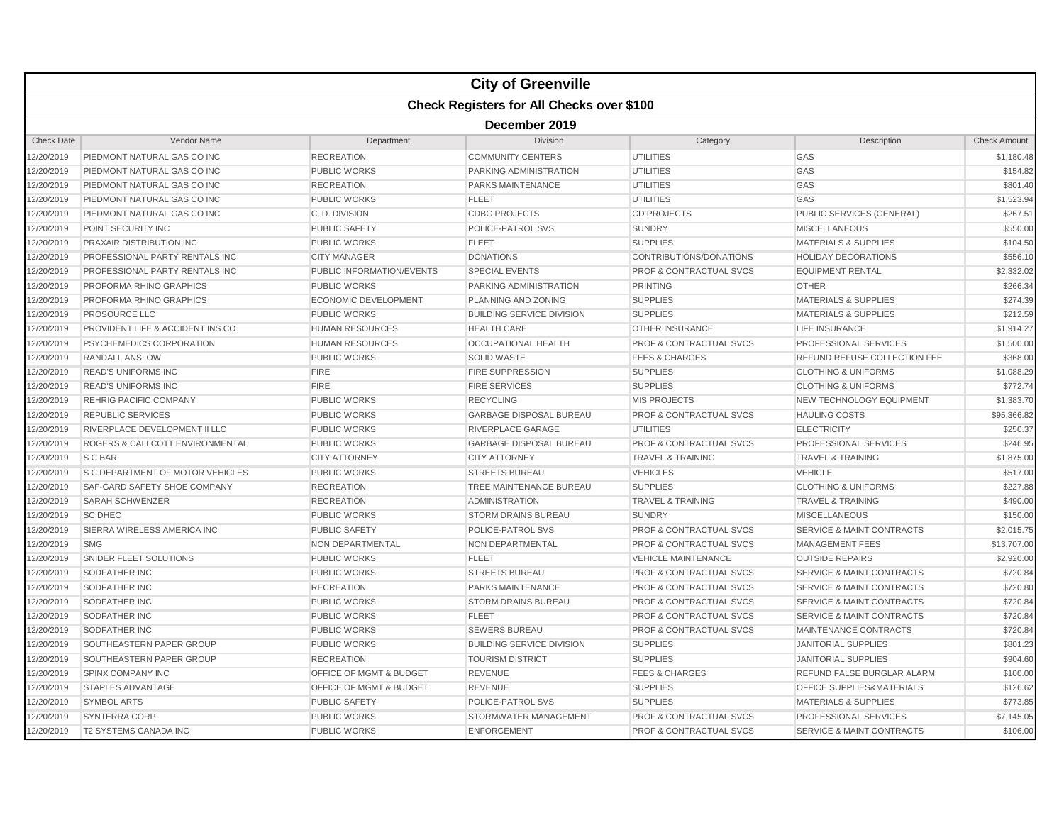|                   |                                                  |                                    | <b>City of Greenville</b>        |                                    |                                      |                     |  |  |  |
|-------------------|--------------------------------------------------|------------------------------------|----------------------------------|------------------------------------|--------------------------------------|---------------------|--|--|--|
|                   | <b>Check Registers for All Checks over \$100</b> |                                    |                                  |                                    |                                      |                     |  |  |  |
|                   | December 2019                                    |                                    |                                  |                                    |                                      |                     |  |  |  |
| <b>Check Date</b> | Vendor Name                                      | Department                         | Division                         | Category                           | Description                          | <b>Check Amount</b> |  |  |  |
| 2/20/2019         | PIEDMONT NATURAL GAS CO INC                      | <b>RECREATION</b>                  | <b>COMMUNITY CENTERS</b>         | <b>UTILITIES</b>                   | GAS                                  | \$1,180.48          |  |  |  |
| 2/20/2019         | PIEDMONT NATURAL GAS CO INC                      | <b>PUBLIC WORKS</b>                | PARKING ADMINISTRATION           | <b>UTILITIES</b>                   | GAS                                  | \$154.82            |  |  |  |
| 2/20/2019         | PIEDMONT NATURAL GAS CO INC                      | <b>RECREATION</b>                  | <b>PARKS MAINTENANCE</b>         | <b>UTILITIES</b>                   | GAS                                  | \$801.40            |  |  |  |
| 2/20/2019         | PIEDMONT NATURAL GAS CO INC                      | <b>PUBLIC WORKS</b>                | <b>FLEET</b>                     | <b>UTILITIES</b>                   | GAS                                  | \$1,523.94          |  |  |  |
| 12/20/2019        | PIEDMONT NATURAL GAS CO INC                      | C.D. DIVISION                      | <b>CDBG PROJECTS</b>             | <b>CD PROJECTS</b>                 | PUBLIC SERVICES (GENERAL)            | \$267.51            |  |  |  |
| 2/20/2019         | POINT SECURITY INC                               | <b>PUBLIC SAFETY</b>               | POLICE-PATROL SVS                | <b>SUNDRY</b>                      | <b>MISCELLANEOUS</b>                 | \$550.00            |  |  |  |
| 2/20/2019         | PRAXAIR DISTRIBUTION INC                         | <b>PUBLIC WORKS</b>                | <b>FLEET</b>                     | <b>SUPPLIES</b>                    | <b>MATERIALS &amp; SUPPLIES</b>      | \$104.50            |  |  |  |
| 2/20/2019         | PROFESSIONAL PARTY RENTALS INC                   | <b>CITY MANAGER</b>                | <b>DONATIONS</b>                 | CONTRIBUTIONS/DONATIONS            | <b>HOLIDAY DECORATIONS</b>           | \$556.10            |  |  |  |
| 2/20/2019         | PROFESSIONAL PARTY RENTALS INC                   | <b>PUBLIC INFORMATION/EVENTS</b>   | <b>SPECIAL EVENTS</b>            | <b>PROF &amp; CONTRACTUAL SVCS</b> | <b>EQUIPMENT RENTAL</b>              | \$2,332.02          |  |  |  |
| 12/20/2019        | PROFORMA RHINO GRAPHICS                          | <b>PUBLIC WORKS</b>                | PARKING ADMINISTRATION           | <b>PRINTING</b>                    | <b>OTHER</b>                         | \$266.34            |  |  |  |
| 2/20/2019         | PROFORMA RHINO GRAPHICS                          | <b>ECONOMIC DEVELOPMENT</b>        | <b>PLANNING AND ZONING</b>       | <b>SUPPLIES</b>                    | <b>MATERIALS &amp; SUPPLIES</b>      | \$274.39            |  |  |  |
| 2/20/2019         | <b>PROSOURCE LLC</b>                             | <b>PUBLIC WORKS</b>                | <b>BUILDING SERVICE DIVISION</b> | <b>SUPPLIES</b>                    | <b>MATERIALS &amp; SUPPLIES</b>      | \$212.59            |  |  |  |
| 2/20/2019         | PROVIDENT LIFE & ACCIDENT INS CO                 | <b>HUMAN RESOURCES</b>             | <b>HEALTH CARE</b>               | <b>OTHER INSURANCE</b>             | LIFE INSURANCE                       | \$1,914.27          |  |  |  |
| 2/20/2019         | PSYCHEMEDICS CORPORATION                         | <b>HUMAN RESOURCES</b>             | <b>OCCUPATIONAL HEALTH</b>       | PROF & CONTRACTUAL SVCS            | PROFESSIONAL SERVICES                | \$1,500.00          |  |  |  |
| 12/20/2019        | <b>RANDALL ANSLOW</b>                            | <b>PUBLIC WORKS</b>                | <b>SOLID WASTE</b>               | <b>FEES &amp; CHARGES</b>          | REFUND REFUSE COLLECTION FEE         | \$368.00            |  |  |  |
| 2/20/2019         | <b>READ'S UNIFORMS INC</b>                       | <b>FIRE</b>                        | <b>FIRE SUPPRESSION</b>          | <b>SUPPLIES</b>                    | <b>CLOTHING &amp; UNIFORMS</b>       | \$1,088.29          |  |  |  |
| 2/20/2019         | <b>READ'S UNIFORMS INC</b>                       | <b>FIRE</b>                        | <b>FIRE SERVICES</b>             | <b>SUPPLIES</b>                    | <b>CLOTHING &amp; UNIFORMS</b>       | \$772.74            |  |  |  |
| 2/20/2019         | <b>REHRIG PACIFIC COMPANY</b>                    | <b>PUBLIC WORKS</b>                | <b>RECYCLING</b>                 | <b>MIS PROJECTS</b>                | NEW TECHNOLOGY EQUIPMENT             | \$1,383.70          |  |  |  |
| 2/20/2019         | <b>REPUBLIC SERVICES</b>                         | <b>PUBLIC WORKS</b>                | <b>GARBAGE DISPOSAL BUREAU</b>   | <b>PROF &amp; CONTRACTUAL SVCS</b> | <b>HAULING COSTS</b>                 | \$95,366.82         |  |  |  |
| 12/20/2019        | RIVERPLACE DEVELOPMENT II LLC                    | <b>PUBLIC WORKS</b>                | RIVERPLACE GARAGE                | <b>UTILITIES</b>                   | <b>ELECTRICITY</b>                   | \$250.37            |  |  |  |
| 2/20/2019         | ROGERS & CALLCOTT ENVIRONMENTAL                  | <b>PUBLIC WORKS</b>                | <b>GARBAGE DISPOSAL BUREAU</b>   | <b>PROF &amp; CONTRACTUAL SVCS</b> | PROFESSIONAL SERVICES                | \$246.95            |  |  |  |
| 2/20/2019         | S C BAR                                          | <b>CITY ATTORNEY</b>               | <b>CITY ATTORNEY</b>             | <b>TRAVEL &amp; TRAINING</b>       | <b>TRAVEL &amp; TRAINING</b>         | \$1,875.00          |  |  |  |
| 2/20/2019         | <b>S C DEPARTMENT OF MOTOR VEHICLES</b>          | <b>PUBLIC WORKS</b>                | <b>STREETS BUREAU</b>            | <b>VEHICLES</b>                    | <b>VEHICLE</b>                       | \$517.00            |  |  |  |
| 2/20/2019         | SAF-GARD SAFETY SHOE COMPANY                     | <b>RECREATION</b>                  | TREE MAINTENANCE BUREAU          | <b>SUPPLIES</b>                    | <b>CLOTHING &amp; UNIFORMS</b>       | \$227.88            |  |  |  |
| 12/20/2019        | <b>SARAH SCHWENZER</b>                           | <b>RECREATION</b>                  | <b>ADMINISTRATION</b>            | <b>TRAVEL &amp; TRAINING</b>       | <b>TRAVEL &amp; TRAINING</b>         | \$490.00            |  |  |  |
| 2/20/2019         | <b>SC DHEC</b>                                   | <b>PUBLIC WORKS</b>                | <b>STORM DRAINS BUREAU</b>       | <b>SUNDRY</b>                      | <b>MISCELLANEOUS</b>                 | \$150.00            |  |  |  |
| 2/20/2019         | SIERRA WIRELESS AMERICA INC                      | <b>PUBLIC SAFETY</b>               | POLICE-PATROL SVS                | <b>PROF &amp; CONTRACTUAL SVCS</b> | <b>SERVICE &amp; MAINT CONTRACTS</b> | \$2,015.75          |  |  |  |
| 2/20/2019         | <b>SMG</b>                                       | NON DEPARTMENTAL                   | NON DEPARTMENTAL                 | <b>PROF &amp; CONTRACTUAL SVCS</b> | <b>MANAGEMENT FEES</b>               | \$13,707.00         |  |  |  |
| 2/20/2019         | SNIDER FLEET SOLUTIONS                           | <b>PUBLIC WORKS</b>                | <b>FLEET</b>                     | <b>VEHICLE MAINTENANCE</b>         | <b>OUTSIDE REPAIRS</b>               | \$2,920.00          |  |  |  |
| 12/20/2019        | <b>SODFATHER INC</b>                             | <b>PUBLIC WORKS</b>                | <b>STREETS BUREAU</b>            | <b>PROF &amp; CONTRACTUAL SVCS</b> | <b>SERVICE &amp; MAINT CONTRACTS</b> | \$720.84            |  |  |  |
| 2/20/2019         | SODFATHER INC                                    | <b>RECREATION</b>                  | PARKS MAINTENANCE                | <b>PROF &amp; CONTRACTUAL SVCS</b> | <b>SERVICE &amp; MAINT CONTRACTS</b> | \$720.80            |  |  |  |
| 2/20/2019         | SODFATHER INC                                    | <b>PUBLIC WORKS</b>                | <b>STORM DRAINS BUREAU</b>       | PROF & CONTRACTUAL SVCS            | <b>SERVICE &amp; MAINT CONTRACTS</b> | \$720.84            |  |  |  |
| 2/20/2019         | SODFATHER INC                                    | <b>PUBLIC WORKS</b>                | <b>FLEET</b>                     | <b>PROF &amp; CONTRACTUAL SVCS</b> | <b>SERVICE &amp; MAINT CONTRACTS</b> | \$720.84            |  |  |  |
| 2/20/2019         | SODFATHER INC                                    | <b>PUBLIC WORKS</b>                | <b>SEWERS BUREAU</b>             | <b>PROF &amp; CONTRACTUAL SVCS</b> | MAINTENANCE CONTRACTS                | \$720.84            |  |  |  |
| 12/20/2019        | SOUTHEASTERN PAPER GROUP                         | <b>PUBLIC WORKS</b>                | <b>BUILDING SERVICE DIVISION</b> | <b>SUPPLIES</b>                    | JANITORIAL SUPPLIES                  | \$801.23            |  |  |  |
| 2/20/2019         | SOUTHEASTERN PAPER GROUP                         | <b>RECREATION</b>                  | <b>TOURISM DISTRICT</b>          | <b>SUPPLIES</b>                    | <b>JANITORIAL SUPPLIES</b>           | \$904.60            |  |  |  |
| 2/20/2019         | SPINX COMPANY INC                                | <b>OFFICE OF MGMT &amp; BUDGET</b> | <b>REVENUE</b>                   | <b>FEES &amp; CHARGES</b>          | REFUND FALSE BURGLAR ALARM           | \$100.00            |  |  |  |
| 2/20/2019         | STAPLES ADVANTAGE                                | OFFICE OF MGMT & BUDGET            | <b>REVENUE</b>                   | <b>SUPPLIES</b>                    | OFFICE SUPPLIES&MATERIALS            | \$126.62            |  |  |  |
| 2/20/2019         | <b>SYMBOL ARTS</b>                               | <b>PUBLIC SAFETY</b>               | POLICE-PATROL SVS                | <b>SUPPLIES</b>                    | <b>MATERIALS &amp; SUPPLIES</b>      | \$773.85            |  |  |  |
| 12/20/2019        | <b>SYNTERRA CORP</b>                             | <b>PUBLIC WORKS</b>                | STORMWATER MANAGEMENT            | <b>PROF &amp; CONTRACTUAL SVCS</b> | PROFESSIONAL SERVICES                | \$7,145.05          |  |  |  |
| 2/20/2019         | <b>T2 SYSTEMS CANADA INC</b>                     | <b>PUBLIC WORKS</b>                | <b>ENFORCEMENT</b>               | <b>PROF &amp; CONTRACTUAL SVCS</b> | <b>SERVICE &amp; MAINT CONTRACTS</b> | \$106.00            |  |  |  |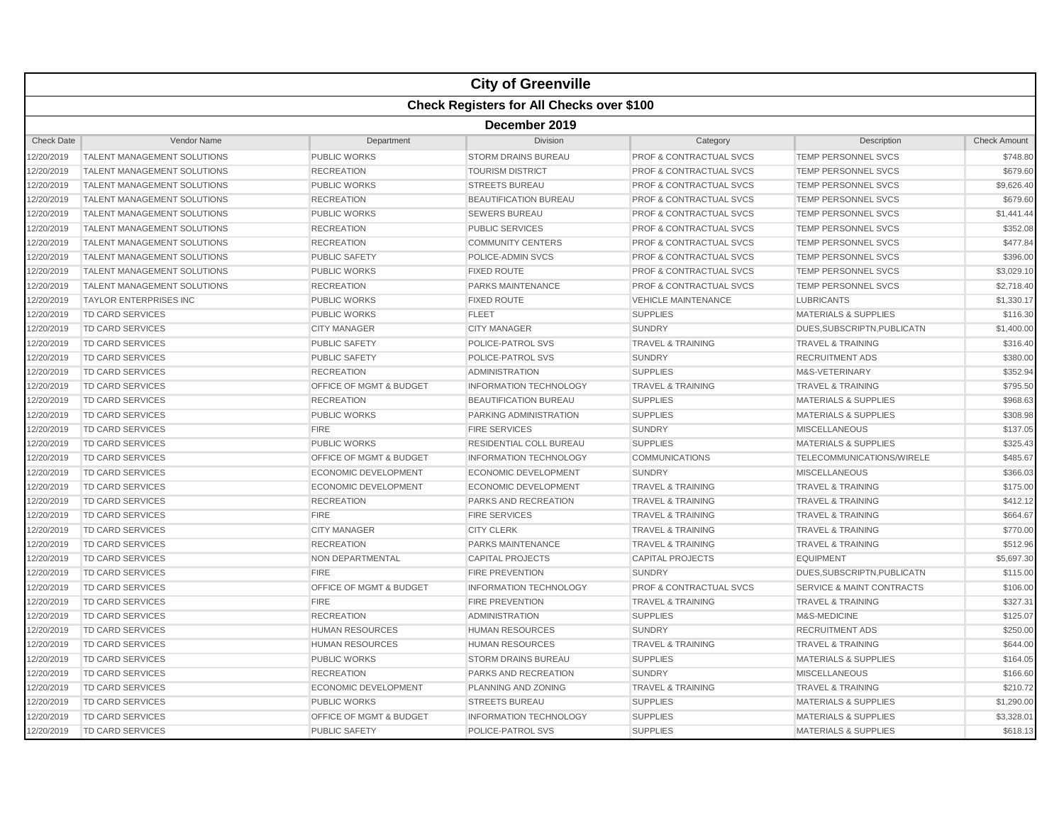|                   |                                                  |                                    | <b>City of Greenville</b>      |                                    |                                      |                     |  |  |  |
|-------------------|--------------------------------------------------|------------------------------------|--------------------------------|------------------------------------|--------------------------------------|---------------------|--|--|--|
|                   | <b>Check Registers for All Checks over \$100</b> |                                    |                                |                                    |                                      |                     |  |  |  |
|                   | December 2019                                    |                                    |                                |                                    |                                      |                     |  |  |  |
| <b>Check Date</b> | Vendor Name                                      | Department                         | <b>Division</b>                | Category                           | Description                          | <b>Check Amount</b> |  |  |  |
| 2/20/2019         | <b>TALENT MANAGEMENT SOLUTIONS</b>               | <b>PUBLIC WORKS</b>                | <b>STORM DRAINS BUREAU</b>     | <b>PROF &amp; CONTRACTUAL SVCS</b> | <b>TEMP PERSONNEL SVCS</b>           | \$748.80            |  |  |  |
| 2/20/2019         | <b>TALENT MANAGEMENT SOLUTIONS</b>               | <b>RECREATION</b>                  | <b>TOURISM DISTRICT</b>        | PROF & CONTRACTUAL SVCS            | <b>TEMP PERSONNEL SVCS</b>           | \$679.60            |  |  |  |
| 2/20/2019         | <b>TALENT MANAGEMENT SOLUTIONS</b>               | <b>PUBLIC WORKS</b>                | <b>STREETS BUREAU</b>          | <b>PROF &amp; CONTRACTUAL SVCS</b> | <b>TEMP PERSONNEL SVCS</b>           | \$9,626.40          |  |  |  |
| 2/20/2019         | <b>TALENT MANAGEMENT SOLUTIONS</b>               | <b>RECREATION</b>                  | <b>BEAUTIFICATION BUREAU</b>   | <b>PROF &amp; CONTRACTUAL SVCS</b> | <b>TEMP PERSONNEL SVCS</b>           | \$679.60            |  |  |  |
| 12/20/2019        | <b>TALENT MANAGEMENT SOLUTIONS</b>               | <b>PUBLIC WORKS</b>                | <b>SEWERS BUREAU</b>           | <b>PROF &amp; CONTRACTUAL SVCS</b> | <b>TEMP PERSONNEL SVCS</b>           | \$1,441.44          |  |  |  |
| 2/20/2019         | TALENT MANAGEMENT SOLUTIONS                      | <b>RECREATION</b>                  | <b>PUBLIC SERVICES</b>         | <b>PROF &amp; CONTRACTUAL SVCS</b> | <b>TEMP PERSONNEL SVCS</b>           | \$352.08            |  |  |  |
| 2/20/2019         | TALENT MANAGEMENT SOLUTIONS                      | <b>RECREATION</b>                  | <b>COMMUNITY CENTERS</b>       | PROF & CONTRACTUAL SVCS            | TEMP PERSONNEL SVCS                  | \$477.84            |  |  |  |
| 2/20/2019         | TALENT MANAGEMENT SOLUTIONS                      | <b>PUBLIC SAFETY</b>               | POLICE-ADMIN SVCS              | <b>PROF &amp; CONTRACTUAL SVCS</b> | <b>TEMP PERSONNEL SVCS</b>           | \$396.00            |  |  |  |
| 2/20/2019         | <b>TALENT MANAGEMENT SOLUTIONS</b>               | <b>PUBLIC WORKS</b>                | <b>FIXED ROUTE</b>             | <b>PROF &amp; CONTRACTUAL SVCS</b> | <b>TEMP PERSONNEL SVCS</b>           | \$3,029.10          |  |  |  |
| 12/20/2019        | TALENT MANAGEMENT SOLUTIONS                      | <b>RECREATION</b>                  | <b>PARKS MAINTENANCE</b>       | <b>PROF &amp; CONTRACTUAL SVCS</b> | <b>TEMP PERSONNEL SVCS</b>           | \$2,718.40          |  |  |  |
| 2/20/2019         | <b>TAYLOR ENTERPRISES INC</b>                    | <b>PUBLIC WORKS</b>                | <b>FIXED ROUTE</b>             | <b>VEHICLE MAINTENANCE</b>         | <b>LUBRICANTS</b>                    | \$1,330.17          |  |  |  |
| 2/20/2019         | <b>TD CARD SERVICES</b>                          | <b>PUBLIC WORKS</b>                | <b>FLEET</b>                   | <b>SUPPLIES</b>                    | <b>MATERIALS &amp; SUPPLIES</b>      | \$116.30            |  |  |  |
| 2/20/2019         | TD CARD SERVICES                                 | <b>CITY MANAGER</b>                | <b>CITY MANAGER</b>            | <b>SUNDRY</b>                      | DUES, SUBSCRIPTN, PUBLICATN          | \$1,400.00          |  |  |  |
| 2/20/2019         | TD CARD SERVICES                                 | <b>PUBLIC SAFETY</b>               | <b>POLICE-PATROL SVS</b>       | <b>TRAVEL &amp; TRAINING</b>       | <b>TRAVEL &amp; TRAINING</b>         | \$316.40            |  |  |  |
| 12/20/2019        | <b>TD CARD SERVICES</b>                          | <b>PUBLIC SAFETY</b>               | POLICE-PATROL SVS              | <b>SUNDRY</b>                      | <b>RECRUITMENT ADS</b>               | \$380.00            |  |  |  |
| 2/20/2019         | <b>TD CARD SERVICES</b>                          | <b>RECREATION</b>                  | <b>ADMINISTRATION</b>          | <b>SUPPLIES</b>                    | M&S-VETERINARY                       | \$352.94            |  |  |  |
| 2/20/2019         | TD CARD SERVICES                                 | <b>OFFICE OF MGMT &amp; BUDGET</b> | <b>INFORMATION TECHNOLOGY</b>  | <b>TRAVEL &amp; TRAINING</b>       | <b>TRAVEL &amp; TRAINING</b>         | \$795.50            |  |  |  |
| 2/20/2019         | TD CARD SERVICES                                 | <b>RECREATION</b>                  | <b>BEAUTIFICATION BUREAU</b>   | <b>SUPPLIES</b>                    | <b>MATERIALS &amp; SUPPLIES</b>      | \$968.63            |  |  |  |
| 2/20/2019         | TD CARD SERVICES                                 | <b>PUBLIC WORKS</b>                | PARKING ADMINISTRATION         | <b>SUPPLIES</b>                    | <b>MATERIALS &amp; SUPPLIES</b>      | \$308.98            |  |  |  |
| 12/20/2019        | TD CARD SERVICES                                 | <b>FIRE</b>                        | <b>FIRE SERVICES</b>           | <b>SUNDRY</b>                      | <b>MISCELLANEOUS</b>                 | \$137.05            |  |  |  |
| 2/20/2019         | TD CARD SERVICES                                 | <b>PUBLIC WORKS</b>                | <b>RESIDENTIAL COLL BUREAU</b> | <b>SUPPLIES</b>                    | <b>MATERIALS &amp; SUPPLIES</b>      | \$325.43            |  |  |  |
| 2/20/2019         | TD CARD SERVICES                                 | <b>OFFICE OF MGMT &amp; BUDGET</b> | <b>INFORMATION TECHNOLOGY</b>  | <b>COMMUNICATIONS</b>              | TELECOMMUNICATIONS/WIRELE            | \$485.67            |  |  |  |
| 2/20/2019         | TD CARD SERVICES                                 | <b>ECONOMIC DEVELOPMENT</b>        | <b>ECONOMIC DEVELOPMENT</b>    | <b>SUNDRY</b>                      | <b>MISCELLANEOUS</b>                 | \$366.03            |  |  |  |
| 2/20/2019         | TD CARD SERVICES                                 | <b>ECONOMIC DEVELOPMENT</b>        | <b>ECONOMIC DEVELOPMENT</b>    | <b>TRAVEL &amp; TRAINING</b>       | <b>TRAVEL &amp; TRAINING</b>         | \$175.00            |  |  |  |
| 12/20/2019        | <b>TD CARD SERVICES</b>                          | <b>RECREATION</b>                  | PARKS AND RECREATION           | <b>TRAVEL &amp; TRAINING</b>       | <b>TRAVEL &amp; TRAINING</b>         | \$412.12            |  |  |  |
| 2/20/2019         | TD CARD SERVICES                                 | <b>FIRE</b>                        | <b>FIRE SERVICES</b>           | <b>TRAVEL &amp; TRAINING</b>       | <b>TRAVEL &amp; TRAINING</b>         | \$664.67            |  |  |  |
| 2/20/2019         | TD CARD SERVICES                                 | <b>CITY MANAGER</b>                | <b>CITY CLERK</b>              | <b>TRAVEL &amp; TRAINING</b>       | <b>TRAVEL &amp; TRAINING</b>         | \$770.00            |  |  |  |
| 2/20/2019         | TD CARD SERVICES                                 | <b>RECREATION</b>                  | PARKS MAINTENANCE              | <b>TRAVEL &amp; TRAINING</b>       | <b>TRAVEL &amp; TRAINING</b>         | \$512.96            |  |  |  |
| 2/20/2019         | <b>TD CARD SERVICES</b>                          | NON DEPARTMENTAL                   | <b>CAPITAL PROJECTS</b>        | <b>CAPITAL PROJECTS</b>            | <b>EQUIPMENT</b>                     | \$5,697.30          |  |  |  |
| 12/20/2019        | TD CARD SERVICES                                 | <b>FIRE</b>                        | FIRE PREVENTION                | <b>SUNDRY</b>                      | DUES, SUBSCRIPTN, PUBLICATN          | \$115.00            |  |  |  |
| 2/20/2019         | TD CARD SERVICES                                 | <b>OFFICE OF MGMT &amp; BUDGET</b> | <b>INFORMATION TECHNOLOGY</b>  | <b>PROF &amp; CONTRACTUAL SVCS</b> | <b>SERVICE &amp; MAINT CONTRACTS</b> | \$106.00            |  |  |  |
| 2/20/2019         | TD CARD SERVICES                                 | <b>FIRE</b>                        | <b>FIRE PREVENTION</b>         | <b>TRAVEL &amp; TRAINING</b>       | <b>TRAVEL &amp; TRAINING</b>         | \$327.31            |  |  |  |
| 2/20/2019         | TD CARD SERVICES                                 | <b>RECREATION</b>                  | <b>ADMINISTRATION</b>          | <b>SUPPLIES</b>                    | M&S-MEDICINE                         | \$125.07            |  |  |  |
| 2/20/2019         | TD CARD SERVICES                                 | <b>HUMAN RESOURCES</b>             | <b>HUMAN RESOURCES</b>         | <b>SUNDRY</b>                      | <b>RECRUITMENT ADS</b>               | \$250.00            |  |  |  |
| 12/20/2019        | TD CARD SERVICES                                 | <b>HUMAN RESOURCES</b>             | <b>HUMAN RESOURCES</b>         | <b>TRAVEL &amp; TRAINING</b>       | <b>TRAVEL &amp; TRAINING</b>         | \$644.00            |  |  |  |
| 2/20/2019         | TD CARD SERVICES                                 | <b>PUBLIC WORKS</b>                | <b>STORM DRAINS BUREAU</b>     | <b>SUPPLIES</b>                    | <b>MATERIALS &amp; SUPPLIES</b>      | \$164.05            |  |  |  |
| 2/20/2019         | TD CARD SERVICES                                 | <b>RECREATION</b>                  | PARKS AND RECREATION           | <b>SUNDRY</b>                      | <b>MISCELLANEOUS</b>                 | \$166.60            |  |  |  |
| 2/20/2019         | TD CARD SERVICES                                 | <b>ECONOMIC DEVELOPMENT</b>        | PLANNING AND ZONING            | <b>TRAVEL &amp; TRAINING</b>       | <b>TRAVEL &amp; TRAINING</b>         | \$210.72            |  |  |  |
| 2/20/2019         | <b>TD CARD SERVICES</b>                          | <b>PUBLIC WORKS</b>                | <b>STREETS BUREAU</b>          | <b>SUPPLIES</b>                    | <b>MATERIALS &amp; SUPPLIES</b>      | \$1,290.00          |  |  |  |
| 12/20/2019        | <b>TD CARD SERVICES</b>                          | <b>OFFICE OF MGMT &amp; BUDGET</b> | <b>INFORMATION TECHNOLOGY</b>  | <b>SUPPLIES</b>                    | <b>MATERIALS &amp; SUPPLIES</b>      | \$3,328.01          |  |  |  |
| 2/20/2019         | <b>TD CARD SERVICES</b>                          | <b>PUBLIC SAFETY</b>               | POLICE-PATROL SVS              | <b>SUPPLIES</b>                    | <b>MATERIALS &amp; SUPPLIES</b>      | \$618.13            |  |  |  |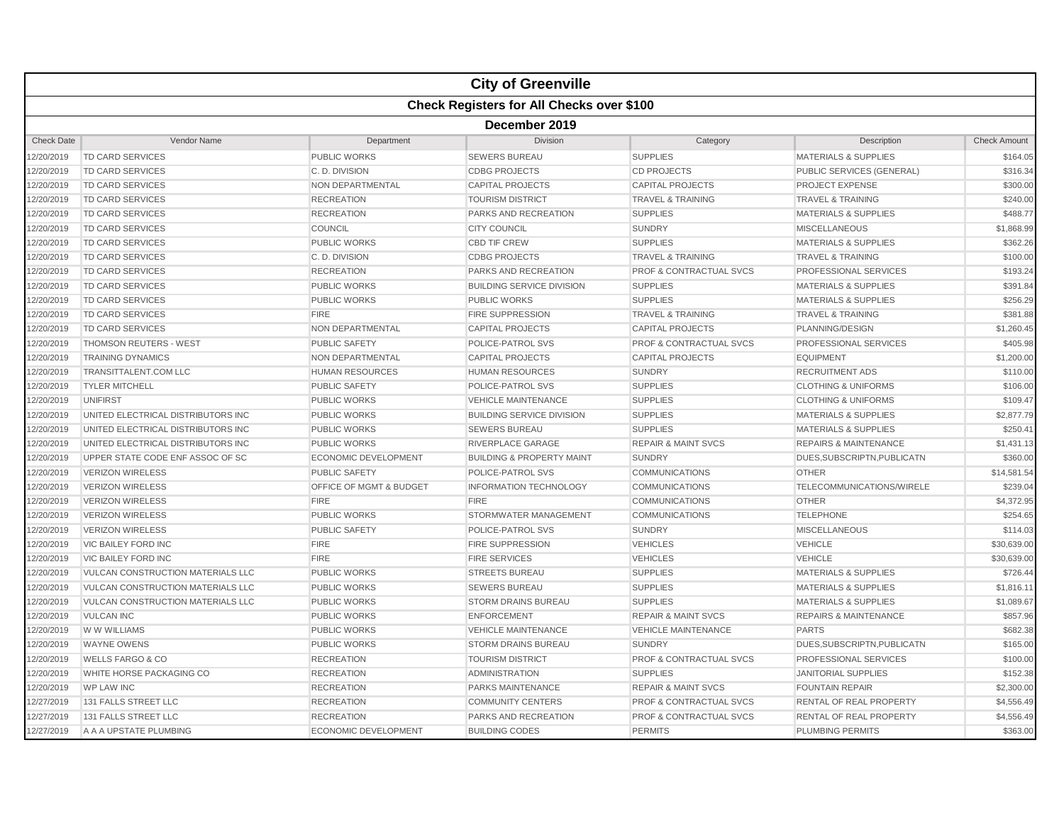|                   |                                                  |                             | <b>City of Greenville</b>            |                                    |                                  |                     |  |  |  |
|-------------------|--------------------------------------------------|-----------------------------|--------------------------------------|------------------------------------|----------------------------------|---------------------|--|--|--|
|                   | <b>Check Registers for All Checks over \$100</b> |                             |                                      |                                    |                                  |                     |  |  |  |
|                   | December 2019                                    |                             |                                      |                                    |                                  |                     |  |  |  |
| <b>Check Date</b> | Vendor Name                                      | Department                  | Division                             | Category                           | Description                      | <b>Check Amount</b> |  |  |  |
| 12/20/2019        | TD CARD SERVICES                                 | PUBLIC WORKS                | <b>SEWERS BUREAU</b>                 | <b>SUPPLIES</b>                    | <b>MATERIALS &amp; SUPPLIES</b>  | \$164.05            |  |  |  |
| 12/20/2019        | TD CARD SERVICES                                 | C. D. DIVISION              | <b>CDBG PROJECTS</b>                 | <b>CD PROJECTS</b>                 | PUBLIC SERVICES (GENERAL)        | \$316.34            |  |  |  |
| 12/20/2019        | <b>TD CARD SERVICES</b>                          | NON DEPARTMENTAL            | <b>CAPITAL PROJECTS</b>              | <b>CAPITAL PROJECTS</b>            | <b>PROJECT EXPENSE</b>           | \$300.00            |  |  |  |
| 12/20/2019        | TD CARD SERVICES                                 | <b>RECREATION</b>           | <b>TOURISM DISTRICT</b>              | <b>TRAVEL &amp; TRAINING</b>       | <b>TRAVEL &amp; TRAINING</b>     | \$240.00            |  |  |  |
| 12/20/2019        | TD CARD SERVICES                                 | <b>RECREATION</b>           | PARKS AND RECREATION                 | <b>SUPPLIES</b>                    | <b>MATERIALS &amp; SUPPLIES</b>  | \$488.77            |  |  |  |
| 12/20/2019        | <b>TD CARD SERVICES</b>                          | COUNCIL                     | <b>CITY COUNCIL</b>                  | <b>SUNDRY</b>                      | <b>MISCELLANEOUS</b>             | \$1,868.99          |  |  |  |
| 12/20/2019        | <b>TD CARD SERVICES</b>                          | <b>PUBLIC WORKS</b>         | <b>CBD TIF CREW</b>                  | <b>SUPPLIES</b>                    | <b>MATERIALS &amp; SUPPLIES</b>  | \$362.26            |  |  |  |
| 12/20/2019        | <b>TD CARD SERVICES</b>                          | C.D. DIVISION               | <b>CDBG PROJECTS</b>                 | <b>TRAVEL &amp; TRAINING</b>       | <b>TRAVEL &amp; TRAINING</b>     | \$100.00            |  |  |  |
| 12/20/2019        | TD CARD SERVICES                                 | <b>RECREATION</b>           | <b>PARKS AND RECREATION</b>          | <b>PROF &amp; CONTRACTUAL SVCS</b> | PROFESSIONAL SERVICES            | \$193.24            |  |  |  |
| 12/20/2019        | TD CARD SERVICES                                 | <b>PUBLIC WORKS</b>         | <b>BUILDING SERVICE DIVISION</b>     | <b>SUPPLIES</b>                    | <b>MATERIALS &amp; SUPPLIES</b>  | \$391.84            |  |  |  |
| 12/20/2019        | <b>TD CARD SERVICES</b>                          | <b>PUBLIC WORKS</b>         | <b>PUBLIC WORKS</b>                  | <b>SUPPLIES</b>                    | <b>MATERIALS &amp; SUPPLIES</b>  | \$256.29            |  |  |  |
| 12/20/2019        | TD CARD SERVICES                                 | <b>FIRE</b>                 | <b>FIRE SUPPRESSION</b>              | <b>TRAVEL &amp; TRAINING</b>       | <b>TRAVEL &amp; TRAINING</b>     | \$381.88            |  |  |  |
| 12/20/2019        | <b>TD CARD SERVICES</b>                          | NON DEPARTMENTAL            | <b>CAPITAL PROJECTS</b>              | <b>CAPITAL PROJECTS</b>            | PLANNING/DESIGN                  | \$1,260.45          |  |  |  |
| 12/20/2019        | <b>THOMSON REUTERS - WEST</b>                    | <b>PUBLIC SAFETY</b>        | POLICE-PATROL SVS                    | <b>PROF &amp; CONTRACTUAL SVCS</b> | <b>PROFESSIONAL SERVICES</b>     | \$405.98            |  |  |  |
| 12/20/2019        | <b>TRAINING DYNAMICS</b>                         | <b>NON DEPARTMENTAL</b>     | <b>CAPITAL PROJECTS</b>              | <b>CAPITAL PROJECTS</b>            | <b>EQUIPMENT</b>                 | \$1,200.00          |  |  |  |
| 12/20/2019        | TRANSITTALENT.COM LLC                            | <b>HUMAN RESOURCES</b>      | <b>HUMAN RESOURCES</b>               | <b>SUNDRY</b>                      | <b>RECRUITMENT ADS</b>           | \$110.00            |  |  |  |
| 12/20/2019        | <b>TYLER MITCHELL</b>                            | <b>PUBLIC SAFETY</b>        | <b>POLICE-PATROL SVS</b>             | <b>SUPPLIES</b>                    | <b>CLOTHING &amp; UNIFORMS</b>   | \$106.00            |  |  |  |
| 12/20/2019        | <b>UNIFIRST</b>                                  | <b>PUBLIC WORKS</b>         | <b>VEHICLE MAINTENANCE</b>           | <b>SUPPLIES</b>                    | <b>CLOTHING &amp; UNIFORMS</b>   | \$109.47            |  |  |  |
| 12/20/2019        | UNITED ELECTRICAL DISTRIBUTORS INC               | <b>PUBLIC WORKS</b>         | <b>BUILDING SERVICE DIVISION</b>     | <b>SUPPLIES</b>                    | <b>MATERIALS &amp; SUPPLIES</b>  | \$2,877.79          |  |  |  |
| 12/20/2019        | UNITED ELECTRICAL DISTRIBUTORS INC               | <b>PUBLIC WORKS</b>         | <b>SEWERS BUREAU</b>                 | <b>SUPPLIES</b>                    | <b>MATERIALS &amp; SUPPLIES</b>  | \$250.41            |  |  |  |
| 12/20/2019        | UNITED ELECTRICAL DISTRIBUTORS INC               | <b>PUBLIC WORKS</b>         | <b>RIVERPLACE GARAGE</b>             | <b>REPAIR &amp; MAINT SVCS</b>     | <b>REPAIRS &amp; MAINTENANCE</b> | \$1,431.13          |  |  |  |
| 12/20/2019        | UPPER STATE CODE ENF ASSOC OF SC                 | <b>ECONOMIC DEVELOPMENT</b> | <b>BUILDING &amp; PROPERTY MAINT</b> | <b>SUNDRY</b>                      | DUES, SUBSCRIPTN, PUBLICATN      | \$360.00            |  |  |  |
| 12/20/2019        | <b>VERIZON WIRELESS</b>                          | <b>PUBLIC SAFETY</b>        | POLICE-PATROL SVS                    | <b>COMMUNICATIONS</b>              | <b>OTHER</b>                     | \$14,581.54         |  |  |  |
| 12/20/2019        | <b>VERIZON WIRELESS</b>                          | OFFICE OF MGMT & BUDGET     | <b>INFORMATION TECHNOLOGY</b>        | <b>COMMUNICATIONS</b>              | TELECOMMUNICATIONS/WIRELE        | \$239.04            |  |  |  |
| 12/20/2019        | <b>VERIZON WIRELESS</b>                          | <b>FIRE</b>                 | <b>FIRE</b>                          | <b>COMMUNICATIONS</b>              | <b>OTHER</b>                     | \$4,372.95          |  |  |  |
| 12/20/2019        | <b>VERIZON WIRELESS</b>                          | <b>PUBLIC WORKS</b>         | STORMWATER MANAGEMENT                | <b>COMMUNICATIONS</b>              | <b>TELEPHONE</b>                 | \$254.65            |  |  |  |
| 12/20/2019        | <b>VERIZON WIRELESS</b>                          | <b>PUBLIC SAFETY</b>        | POLICE-PATROL SVS                    | <b>SUNDRY</b>                      | <b>MISCELLANEOUS</b>             | \$114.03            |  |  |  |
| 12/20/2019        | <b>VIC BAILEY FORD INC</b>                       | <b>FIRE</b>                 | <b>FIRE SUPPRESSION</b>              | <b>VEHICLES</b>                    | <b>VEHICLE</b>                   | \$30,639.00         |  |  |  |
| 12/20/2019        | <b>VIC BAILEY FORD INC</b>                       | <b>FIRE</b>                 | <b>FIRE SERVICES</b>                 | <b>VEHICLES</b>                    | <b>VEHICLE</b>                   | \$30,639.00         |  |  |  |
| 12/20/2019        | <b>VULCAN CONSTRUCTION MATERIALS LLC</b>         | PUBLIC WORKS                | <b>STREETS BUREAU</b>                | <b>SUPPLIES</b>                    | <b>MATERIALS &amp; SUPPLIES</b>  | \$726.44            |  |  |  |
| 12/20/2019        | <b>VULCAN CONSTRUCTION MATERIALS LLC</b>         | <b>PUBLIC WORKS</b>         | <b>SEWERS BUREAU</b>                 | <b>SUPPLIES</b>                    | <b>MATERIALS &amp; SUPPLIES</b>  | \$1,816.11          |  |  |  |
| 12/20/2019        | <b>VULCAN CONSTRUCTION MATERIALS LLC</b>         | <b>PUBLIC WORKS</b>         | <b>STORM DRAINS BUREAU</b>           | <b>SUPPLIES</b>                    | <b>MATERIALS &amp; SUPPLIES</b>  | \$1,089.67          |  |  |  |
| 12/20/2019        | <b>VULCAN INC</b>                                | <b>PUBLIC WORKS</b>         | <b>ENFORCEMENT</b>                   | <b>REPAIR &amp; MAINT SVCS</b>     | <b>REPAIRS &amp; MAINTENANCE</b> | \$857.96            |  |  |  |
| 12/20/2019        | W W WILLIAMS                                     | <b>PUBLIC WORKS</b>         | <b>VEHICLE MAINTENANCE</b>           | <b>VEHICLE MAINTENANCE</b>         | <b>PARTS</b>                     | \$682.38            |  |  |  |
| 12/20/2019        | <b>WAYNE OWENS</b>                               | <b>PUBLIC WORKS</b>         | <b>STORM DRAINS BUREAU</b>           | <b>SUNDRY</b>                      | DUES, SUBSCRIPTN, PUBLICATN      | \$165.00            |  |  |  |
| 12/20/2019        | <b>WELLS FARGO &amp; CO</b>                      | <b>RECREATION</b>           | <b>TOURISM DISTRICT</b>              | PROF & CONTRACTUAL SVCS            | PROFESSIONAL SERVICES            | \$100.00            |  |  |  |
| 12/20/2019        | WHITE HORSE PACKAGING CO                         | <b>RECREATION</b>           | <b>ADMINISTRATION</b>                | <b>SUPPLIES</b>                    | <b>JANITORIAL SUPPLIES</b>       | \$152.38            |  |  |  |
| 12/20/2019        | <b>WP LAW INC</b>                                | <b>RECREATION</b>           | PARKS MAINTENANCE                    | <b>REPAIR &amp; MAINT SVCS</b>     | <b>FOUNTAIN REPAIR</b>           | \$2,300.00          |  |  |  |
| 12/27/2019        | 131 FALLS STREET LLC                             | <b>RECREATION</b>           | <b>COMMUNITY CENTERS</b>             | <b>PROF &amp; CONTRACTUAL SVCS</b> | <b>RENTAL OF REAL PROPERTY</b>   | \$4,556.49          |  |  |  |
| 12/27/2019        | 131 FALLS STREET LLC                             | <b>RECREATION</b>           | PARKS AND RECREATION                 | <b>PROF &amp; CONTRACTUAL SVCS</b> | <b>RENTAL OF REAL PROPERTY</b>   | \$4,556.49          |  |  |  |
| 12/27/2019        | A A A UPSTATE PLUMBING                           | <b>ECONOMIC DEVELOPMENT</b> | <b>BUILDING CODES</b>                | <b>PERMITS</b>                     | <b>PLUMBING PERMITS</b>          | \$363.00            |  |  |  |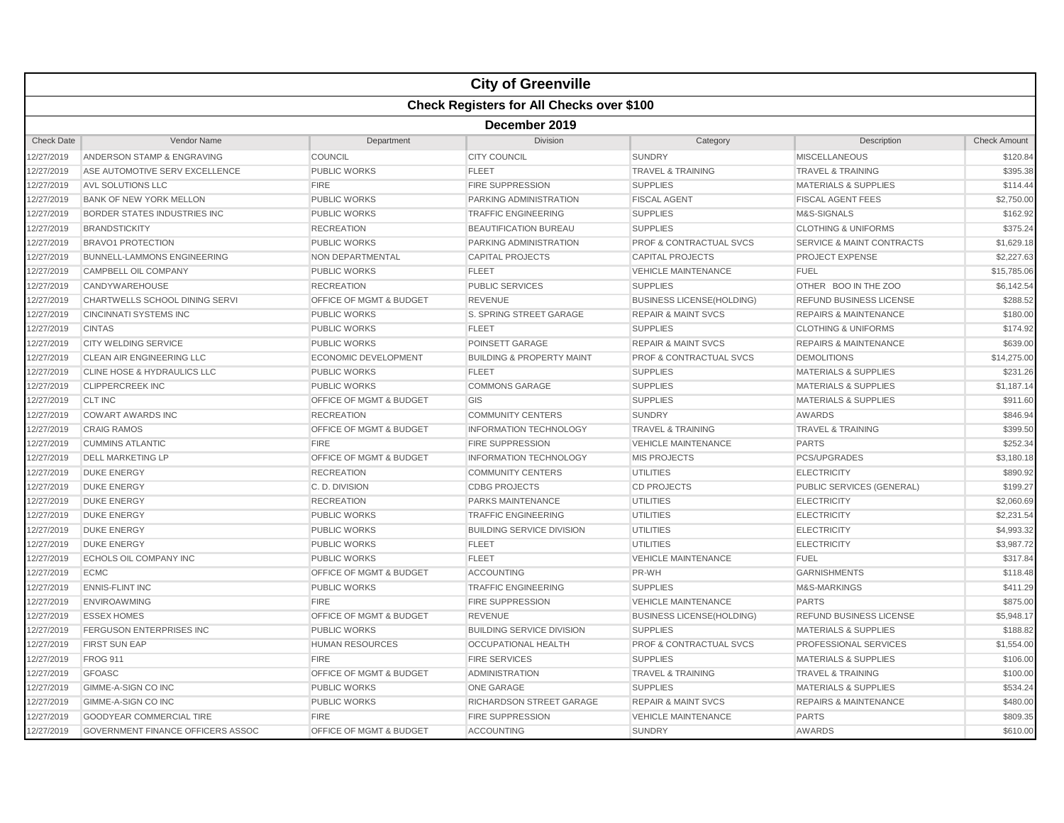|                   |                                                  |                                    | <b>City of Greenville</b>            |                                    |                                      |                     |  |  |  |
|-------------------|--------------------------------------------------|------------------------------------|--------------------------------------|------------------------------------|--------------------------------------|---------------------|--|--|--|
|                   | <b>Check Registers for All Checks over \$100</b> |                                    |                                      |                                    |                                      |                     |  |  |  |
|                   | December 2019                                    |                                    |                                      |                                    |                                      |                     |  |  |  |
| <b>Check Date</b> | Vendor Name                                      | Department                         | Division                             | Category                           | Description                          | <b>Check Amount</b> |  |  |  |
| 2/27/2019         | ANDERSON STAMP & ENGRAVING                       | COUNCIL                            | <b>CITY COUNCIL</b>                  | <b>SUNDRY</b>                      | <b>MISCELLANEOUS</b>                 | \$120.84            |  |  |  |
| 2/27/2019         | ASE AUTOMOTIVE SERV EXCELLENCE                   | <b>PUBLIC WORKS</b>                | <b>FLEET</b>                         | <b>TRAVEL &amp; TRAINING</b>       | <b>TRAVEL &amp; TRAINING</b>         | \$395.38            |  |  |  |
| 2/27/2019         | <b>AVL SOLUTIONS LLC</b>                         | <b>FIRE</b>                        | <b>FIRE SUPPRESSION</b>              | <b>SUPPLIES</b>                    | <b>MATERIALS &amp; SUPPLIES</b>      | \$114.44            |  |  |  |
| 2/27/2019         | <b>BANK OF NEW YORK MELLON</b>                   | <b>PUBLIC WORKS</b>                | PARKING ADMINISTRATION               | <b>FISCAL AGENT</b>                | <b>FISCAL AGENT FEES</b>             | \$2,750.00          |  |  |  |
| 12/27/2019        | BORDER STATES INDUSTRIES INC                     | <b>PUBLIC WORKS</b>                | <b>TRAFFIC ENGINEERING</b>           | <b>SUPPLIES</b>                    | M&S-SIGNALS                          | \$162.92            |  |  |  |
| 2/27/2019         | <b>BRANDSTICKITY</b>                             | <b>RECREATION</b>                  | <b>BEAUTIFICATION BUREAU</b>         | <b>SUPPLIES</b>                    | <b>CLOTHING &amp; UNIFORMS</b>       | \$375.24            |  |  |  |
| 2/27/2019         | <b>BRAVO1 PROTECTION</b>                         | <b>PUBLIC WORKS</b>                | PARKING ADMINISTRATION               | PROF & CONTRACTUAL SVCS            | <b>SERVICE &amp; MAINT CONTRACTS</b> | \$1,629.18          |  |  |  |
| 2/27/2019         | <b>BUNNELL-LAMMONS ENGINEERING</b>               | NON DEPARTMENTAL                   | <b>CAPITAL PROJECTS</b>              | <b>CAPITAL PROJECTS</b>            | <b>PROJECT EXPENSE</b>               | \$2,227.63          |  |  |  |
| 2/27/2019         | CAMPBELL OIL COMPANY                             | <b>PUBLIC WORKS</b>                | <b>FLEET</b>                         | <b>VEHICLE MAINTENANCE</b>         | <b>FUEL</b>                          | \$15,785.06         |  |  |  |
| 12/27/2019        | CANDYWAREHOUSE                                   | <b>RECREATION</b>                  | <b>PUBLIC SERVICES</b>               | <b>SUPPLIES</b>                    | OTHER BOO IN THE ZOO                 | \$6,142.54          |  |  |  |
| 2/27/2019         | CHARTWELLS SCHOOL DINING SERVI                   | <b>OFFICE OF MGMT &amp; BUDGET</b> | <b>REVENUE</b>                       | <b>BUSINESS LICENSE(HOLDING)</b>   | REFUND BUSINESS LICENSE              | \$288.52            |  |  |  |
| 2/27/2019         | <b>CINCINNATI SYSTEMS INC</b>                    | <b>PUBLIC WORKS</b>                | S. SPRING STREET GARAGE              | <b>REPAIR &amp; MAINT SVCS</b>     | <b>REPAIRS &amp; MAINTENANCE</b>     | \$180.00            |  |  |  |
| 2/27/2019         | <b>CINTAS</b>                                    | <b>PUBLIC WORKS</b>                | <b>FLEET</b>                         | <b>SUPPLIES</b>                    | <b>CLOTHING &amp; UNIFORMS</b>       | \$174.92            |  |  |  |
| 2/27/2019         | <b>CITY WELDING SERVICE</b>                      | <b>PUBLIC WORKS</b>                | POINSETT GARAGE                      | <b>REPAIR &amp; MAINT SVCS</b>     | <b>REPAIRS &amp; MAINTENANCE</b>     | \$639.00            |  |  |  |
| 12/27/2019        | CLEAN AIR ENGINEERING LLC                        | <b>ECONOMIC DEVELOPMENT</b>        | <b>BUILDING &amp; PROPERTY MAINT</b> | <b>PROF &amp; CONTRACTUAL SVCS</b> | <b>DEMOLITIONS</b>                   | \$14,275.00         |  |  |  |
| 2/27/2019         | <b>CLINE HOSE &amp; HYDRAULICS LLC</b>           | <b>PUBLIC WORKS</b>                | <b>FLEET</b>                         | <b>SUPPLIES</b>                    | MATERIALS & SUPPLIES                 | \$231.26            |  |  |  |
| 2/27/2019         | <b>CLIPPERCREEK INC</b>                          | <b>PUBLIC WORKS</b>                | <b>COMMONS GARAGE</b>                | <b>SUPPLIES</b>                    | <b>MATERIALS &amp; SUPPLIES</b>      | \$1,187.14          |  |  |  |
| 2/27/2019         | <b>CLT INC</b>                                   | OFFICE OF MGMT & BUDGET            | GIS                                  | <b>SUPPLIES</b>                    | <b>MATERIALS &amp; SUPPLIES</b>      | \$911.60            |  |  |  |
| 2/27/2019         | <b>COWART AWARDS INC</b>                         | <b>RECREATION</b>                  | <b>COMMUNITY CENTERS</b>             | <b>SUNDRY</b>                      | <b>AWARDS</b>                        | \$846.94            |  |  |  |
| 12/27/2019        | <b>CRAIG RAMOS</b>                               | <b>OFFICE OF MGMT &amp; BUDGET</b> | <b>INFORMATION TECHNOLOGY</b>        | <b>TRAVEL &amp; TRAINING</b>       | <b>TRAVEL &amp; TRAINING</b>         | \$399.50            |  |  |  |
| 2/27/2019         | <b>CUMMINS ATLANTIC</b>                          | <b>FIRE</b>                        | <b>FIRE SUPPRESSION</b>              | <b>VEHICLE MAINTENANCE</b>         | <b>PARTS</b>                         | \$252.34            |  |  |  |
| 2/27/2019         | <b>DELL MARKETING LP</b>                         | <b>OFFICE OF MGMT &amp; BUDGET</b> | <b>INFORMATION TECHNOLOGY</b>        | <b>MIS PROJECTS</b>                | <b>PCS/UPGRADES</b>                  | \$3,180.18          |  |  |  |
| 2/27/2019         | <b>DUKE ENERGY</b>                               | <b>RECREATION</b>                  | <b>COMMUNITY CENTERS</b>             | <b>UTILITIES</b>                   | <b>ELECTRICITY</b>                   | \$890.92            |  |  |  |
| 2/27/2019         | <b>DUKE ENERGY</b>                               | C.D. DIVISION                      | <b>CDBG PROJECTS</b>                 | <b>CD PROJECTS</b>                 | PUBLIC SERVICES (GENERAL)            | \$199.27            |  |  |  |
| 12/27/2019        | <b>DUKE ENERGY</b>                               | <b>RECREATION</b>                  | PARKS MAINTENANCE                    | <b>UTILITIES</b>                   | <b>ELECTRICITY</b>                   | \$2,060.69          |  |  |  |
| 2/27/2019         | <b>DUKE ENERGY</b>                               | <b>PUBLIC WORKS</b>                | <b>TRAFFIC ENGINEERING</b>           | <b>UTILITIES</b>                   | <b>ELECTRICITY</b>                   | \$2,231.54          |  |  |  |
| 2/27/2019         | <b>DUKE ENERGY</b>                               | <b>PUBLIC WORKS</b>                | <b>BUILDING SERVICE DIVISION</b>     | <b>UTILITIES</b>                   | <b>ELECTRICITY</b>                   | \$4,993.32          |  |  |  |
| 2/27/2019         | <b>DUKE ENERGY</b>                               | <b>PUBLIC WORKS</b>                | <b>FLEET</b>                         | <b>UTILITIES</b>                   | <b>ELECTRICITY</b>                   | \$3,987.72          |  |  |  |
| 2/27/2019         | ECHOLS OIL COMPANY INC                           | <b>PUBLIC WORKS</b>                | <b>FLEET</b>                         | <b>VEHICLE MAINTENANCE</b>         | <b>FUEL</b>                          | \$317.84            |  |  |  |
| 12/27/2019        | <b>ECMC</b>                                      | OFFICE OF MGMT & BUDGET            | <b>ACCOUNTING</b>                    | PR-WH                              | <b>GARNISHMENTS</b>                  | \$118.48            |  |  |  |
| 2/27/2019         | <b>ENNIS-FLINT INC</b>                           | <b>PUBLIC WORKS</b>                | <b>TRAFFIC ENGINEERING</b>           | <b>SUPPLIES</b>                    | M&S-MARKINGS                         | \$411.29            |  |  |  |
| 2/27/2019         | <b>ENVIROAWMING</b>                              | <b>FIRE</b>                        | <b>FIRE SUPPRESSION</b>              | <b>VEHICLE MAINTENANCE</b>         | <b>PARTS</b>                         | \$875.00            |  |  |  |
| 2/27/2019         | <b>ESSEX HOMES</b>                               | OFFICE OF MGMT & BUDGET            | <b>REVENUE</b>                       | <b>BUSINESS LICENSE(HOLDING)</b>   | REFUND BUSINESS LICENSE              | \$5,948.17          |  |  |  |
| 2/27/2019         | FERGUSON ENTERPRISES INC                         | <b>PUBLIC WORKS</b>                | <b>BUILDING SERVICE DIVISION</b>     | <b>SUPPLIES</b>                    | <b>MATERIALS &amp; SUPPLIES</b>      | \$188.82            |  |  |  |
| 12/27/2019        | <b>FIRST SUN EAP</b>                             | <b>HUMAN RESOURCES</b>             | <b>OCCUPATIONAL HEALTH</b>           | <b>PROF &amp; CONTRACTUAL SVCS</b> | PROFESSIONAL SERVICES                | \$1,554.00          |  |  |  |
| 2/27/2019         | <b>FROG 911</b>                                  | <b>FIRE</b>                        | <b>FIRE SERVICES</b>                 | <b>SUPPLIES</b>                    | <b>MATERIALS &amp; SUPPLIES</b>      | \$106.00            |  |  |  |
| 2/27/2019         | <b>GFOASC</b>                                    | <b>OFFICE OF MGMT &amp; BUDGET</b> | <b>ADMINISTRATION</b>                | <b>TRAVEL &amp; TRAINING</b>       | <b>TRAVEL &amp; TRAINING</b>         | \$100.00            |  |  |  |
| 2/27/2019         | GIMME-A-SIGN CO INC                              | <b>PUBLIC WORKS</b>                | <b>ONE GARAGE</b>                    | <b>SUPPLIES</b>                    | <b>MATERIALS &amp; SUPPLIES</b>      | \$534.24            |  |  |  |
| 2/27/2019         | GIMME-A-SIGN CO INC                              | <b>PUBLIC WORKS</b>                | <b>RICHARDSON STREET GARAGE</b>      | <b>REPAIR &amp; MAINT SVCS</b>     | <b>REPAIRS &amp; MAINTENANCE</b>     | \$480.00            |  |  |  |
| 12/27/2019        | <b>GOODYEAR COMMERCIAL TIRE</b>                  | <b>FIRE</b>                        | <b>FIRE SUPPRESSION</b>              | <b>VEHICLE MAINTENANCE</b>         | <b>PARTS</b>                         | \$809.35            |  |  |  |
| 12/27/2019        | <b>GOVERNMENT FINANCE OFFICERS ASSOC</b>         | <b>OFFICE OF MGMT &amp; BUDGET</b> | <b>ACCOUNTING</b>                    | <b>SUNDRY</b>                      | <b>AWARDS</b>                        | \$610.00            |  |  |  |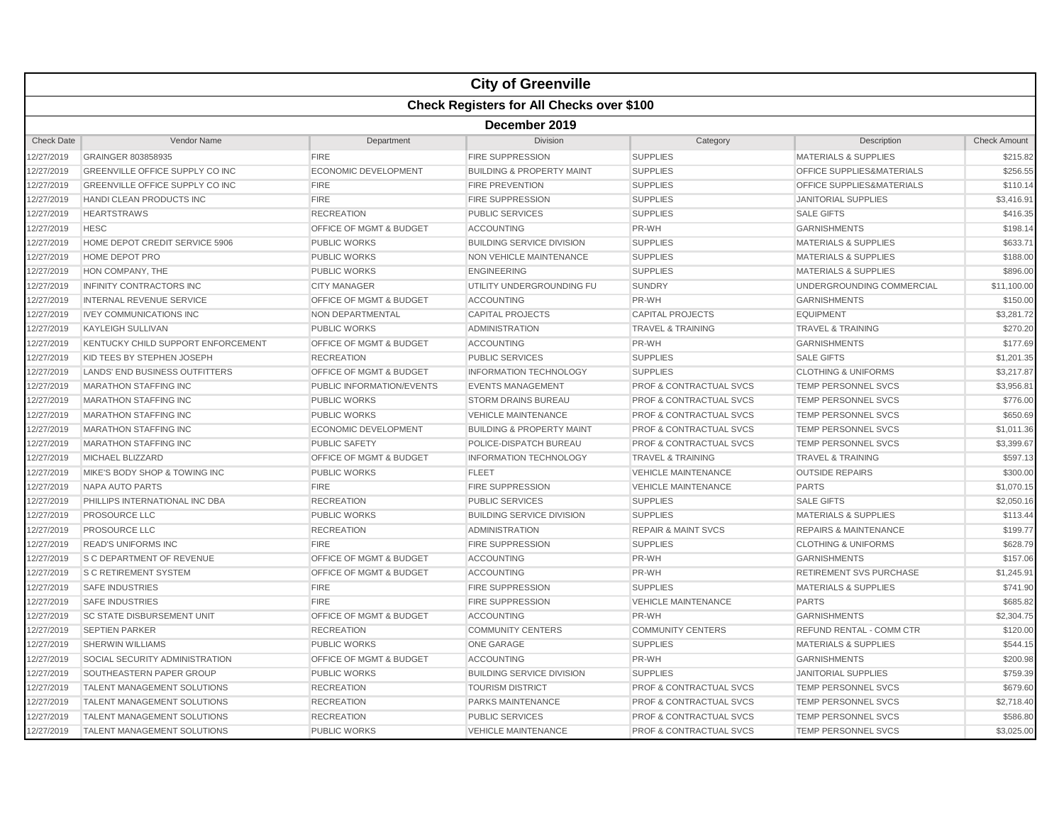|                   |                                                  |                                    | <b>City of Greenville</b>            |                                    |                                      |                     |  |  |  |
|-------------------|--------------------------------------------------|------------------------------------|--------------------------------------|------------------------------------|--------------------------------------|---------------------|--|--|--|
|                   | <b>Check Registers for All Checks over \$100</b> |                                    |                                      |                                    |                                      |                     |  |  |  |
|                   | December 2019                                    |                                    |                                      |                                    |                                      |                     |  |  |  |
| <b>Check Date</b> | Vendor Name                                      | Department                         | Division                             | Category                           | Description                          | <b>Check Amount</b> |  |  |  |
| 12/27/2019        | GRAINGER 803858935                               | <b>FIRE</b>                        | <b>FIRE SUPPRESSION</b>              | <b>SUPPLIES</b>                    | <b>MATERIALS &amp; SUPPLIES</b>      | \$215.82            |  |  |  |
| 12/27/2019        | <b>GREENVILLE OFFICE SUPPLY CO INC</b>           | <b>ECONOMIC DEVELOPMENT</b>        | <b>BUILDING &amp; PROPERTY MAINT</b> | <b>SUPPLIES</b>                    | <b>OFFICE SUPPLIES&amp;MATERIALS</b> | \$256.55            |  |  |  |
| 12/27/2019        | GREENVILLE OFFICE SUPPLY CO INC                  | <b>FIRE</b>                        | <b>FIRE PREVENTION</b>               | <b>SUPPLIES</b>                    | OFFICE SUPPLIES&MATERIALS            | \$110.14            |  |  |  |
| 12/27/2019        | HANDI CLEAN PRODUCTS INC                         | <b>FIRE</b>                        | <b>FIRE SUPPRESSION</b>              | <b>SUPPLIES</b>                    | <b>JANITORIAL SUPPLIES</b>           | \$3,416.91          |  |  |  |
| 12/27/2019        | <b>HEARTSTRAWS</b>                               | <b>RECREATION</b>                  | PUBLIC SERVICES                      | <b>SUPPLIES</b>                    | <b>SALE GIFTS</b>                    | \$416.35            |  |  |  |
| 12/27/2019        | <b>HESC</b>                                      | <b>OFFICE OF MGMT &amp; BUDGET</b> | <b>ACCOUNTING</b>                    | PR-WH                              | <b>GARNISHMENTS</b>                  | \$198.14            |  |  |  |
| 12/27/2019        | HOME DEPOT CREDIT SERVICE 5906                   | <b>PUBLIC WORKS</b>                | <b>BUILDING SERVICE DIVISION</b>     | <b>SUPPLIES</b>                    | <b>MATERIALS &amp; SUPPLIES</b>      | \$633.71            |  |  |  |
| 12/27/2019        | HOME DEPOT PRO                                   | <b>PUBLIC WORKS</b>                | NON VEHICLE MAINTENANCE              | <b>SUPPLIES</b>                    | <b>MATERIALS &amp; SUPPLIES</b>      | \$188.00            |  |  |  |
| 12/27/2019        | HON COMPANY, THE                                 | <b>PUBLIC WORKS</b>                | <b>ENGINEERING</b>                   | <b>SUPPLIES</b>                    | <b>MATERIALS &amp; SUPPLIES</b>      | \$896.00            |  |  |  |
| 12/27/2019        | <b>INFINITY CONTRACTORS INC</b>                  | <b>CITY MANAGER</b>                | UTILITY UNDERGROUNDING FU            | <b>SUNDRY</b>                      | UNDERGROUNDING COMMERCIAL            | \$11,100.00         |  |  |  |
| 12/27/2019        | <b>INTERNAL REVENUE SERVICE</b>                  | OFFICE OF MGMT & BUDGET            | <b>ACCOUNTING</b>                    | PR-WH                              | <b>GARNISHMENTS</b>                  | \$150.00            |  |  |  |
| 12/27/2019        | <b>IVEY COMMUNICATIONS INC</b>                   | <b>NON DEPARTMENTAL</b>            | <b>CAPITAL PROJECTS</b>              | <b>CAPITAL PROJECTS</b>            | <b>EQUIPMENT</b>                     | \$3,281.72          |  |  |  |
| 12/27/2019        | <b>KAYLEIGH SULLIVAN</b>                         | <b>PUBLIC WORKS</b>                | <b>ADMINISTRATION</b>                | <b>TRAVEL &amp; TRAINING</b>       | <b>TRAVEL &amp; TRAINING</b>         | \$270.20            |  |  |  |
| 12/27/2019        | KENTUCKY CHILD SUPPORT ENFORCEMENT               | <b>OFFICE OF MGMT &amp; BUDGET</b> | <b>ACCOUNTING</b>                    | PR-WH                              | <b>GARNISHMENTS</b>                  | \$177.69            |  |  |  |
| 12/27/2019        | KID TEES BY STEPHEN JOSEPH                       | <b>RECREATION</b>                  | <b>PUBLIC SERVICES</b>               | <b>SUPPLIES</b>                    | <b>SALE GIFTS</b>                    | \$1,201.35          |  |  |  |
| 12/27/2019        | LANDS' END BUSINESS OUTFITTERS                   | OFFICE OF MGMT & BUDGET            | <b>INFORMATION TECHNOLOGY</b>        | <b>SUPPLIES</b>                    | <b>CLOTHING &amp; UNIFORMS</b>       | \$3,217.87          |  |  |  |
| 12/27/2019        | <b>MARATHON STAFFING INC</b>                     | PUBLIC INFORMATION/EVENTS          | <b>EVENTS MANAGEMENT</b>             | <b>PROF &amp; CONTRACTUAL SVCS</b> | TEMP PERSONNEL SVCS                  | \$3,956.81          |  |  |  |
| 12/27/2019        | <b>MARATHON STAFFING INC</b>                     | <b>PUBLIC WORKS</b>                | <b>STORM DRAINS BUREAU</b>           | <b>PROF &amp; CONTRACTUAL SVCS</b> | <b>TEMP PERSONNEL SVCS</b>           | \$776.00            |  |  |  |
| 12/27/2019        | <b>MARATHON STAFFING INC</b>                     | <b>PUBLIC WORKS</b>                | <b>VEHICLE MAINTENANCE</b>           | <b>PROF &amp; CONTRACTUAL SVCS</b> | TEMP PERSONNEL SVCS                  | \$650.69            |  |  |  |
| 12/27/2019        | <b>MARATHON STAFFING INC</b>                     | <b>ECONOMIC DEVELOPMENT</b>        | <b>BUILDING &amp; PROPERTY MAINT</b> | <b>PROF &amp; CONTRACTUAL SVCS</b> | <b>TEMP PERSONNEL SVCS</b>           | \$1,011.36          |  |  |  |
| 12/27/2019        | <b>MARATHON STAFFING INC</b>                     | <b>PUBLIC SAFETY</b>               | POLICE-DISPATCH BUREAU               | <b>PROF &amp; CONTRACTUAL SVCS</b> | <b>TEMP PERSONNEL SVCS</b>           | \$3,399.67          |  |  |  |
| 12/27/2019        | <b>MICHAEL BLIZZARD</b>                          | OFFICE OF MGMT & BUDGET            | <b>INFORMATION TECHNOLOGY</b>        | <b>TRAVEL &amp; TRAINING</b>       | <b>TRAVEL &amp; TRAINING</b>         | \$597.13            |  |  |  |
| 12/27/2019        | MIKE'S BODY SHOP & TOWING INC                    | <b>PUBLIC WORKS</b>                | <b>FLEET</b>                         | <b>VEHICLE MAINTENANCE</b>         | <b>OUTSIDE REPAIRS</b>               | \$300.00            |  |  |  |
| 12/27/2019        | NAPA AUTO PARTS                                  | <b>FIRE</b>                        | <b>FIRE SUPPRESSION</b>              | <b>VEHICLE MAINTENANCE</b>         | <b>PARTS</b>                         | \$1,070.15          |  |  |  |
| 12/27/2019        | PHILLIPS INTERNATIONAL INC DBA                   | <b>RECREATION</b>                  | <b>PUBLIC SERVICES</b>               | <b>SUPPLIES</b>                    | <b>SALE GIFTS</b>                    | \$2,050.16          |  |  |  |
| 12/27/2019        | PROSOURCE LLC                                    | <b>PUBLIC WORKS</b>                | <b>BUILDING SERVICE DIVISION</b>     | <b>SUPPLIES</b>                    | <b>MATERIALS &amp; SUPPLIES</b>      | \$113.44            |  |  |  |
| 12/27/2019        | <b>PROSOURCE LLC</b>                             | <b>RECREATION</b>                  | <b>ADMINISTRATION</b>                | <b>REPAIR &amp; MAINT SVCS</b>     | <b>REPAIRS &amp; MAINTENANCE</b>     | \$199.77            |  |  |  |
| 12/27/2019        | <b>READ'S UNIFORMS INC</b>                       | <b>FIRE</b>                        | <b>FIRE SUPPRESSION</b>              | <b>SUPPLIES</b>                    | <b>CLOTHING &amp; UNIFORMS</b>       | \$628.79            |  |  |  |
| 12/27/2019        | <b>S C DEPARTMENT OF REVENUE</b>                 | <b>OFFICE OF MGMT &amp; BUDGET</b> | <b>ACCOUNTING</b>                    | PR-WH                              | <b>GARNISHMENTS</b>                  | \$157.06            |  |  |  |
| 12/27/2019        | <b>S C RETIREMENT SYSTEM</b>                     | OFFICE OF MGMT & BUDGET            | <b>ACCOUNTING</b>                    | PR-WH                              | <b>RETIREMENT SVS PURCHASE</b>       | \$1,245.91          |  |  |  |
| 12/27/2019        | <b>SAFE INDUSTRIES</b>                           | <b>FIRE</b>                        | <b>FIRE SUPPRESSION</b>              | <b>SUPPLIES</b>                    | <b>MATERIALS &amp; SUPPLIES</b>      | \$741.90            |  |  |  |
| 12/27/2019        | <b>SAFE INDUSTRIES</b>                           | <b>FIRE</b>                        | <b>FIRE SUPPRESSION</b>              | <b>VEHICLE MAINTENANCE</b>         | <b>PARTS</b>                         | \$685.82            |  |  |  |
| 12/27/2019        | <b>SC STATE DISBURSEMENT UNIT</b>                | <b>OFFICE OF MGMT &amp; BUDGET</b> | <b>ACCOUNTING</b>                    | PR-WH                              | <b>GARNISHMENTS</b>                  | \$2,304.75          |  |  |  |
| 12/27/2019        | <b>SEPTIEN PARKER</b>                            | <b>RECREATION</b>                  | <b>COMMUNITY CENTERS</b>             | <b>COMMUNITY CENTERS</b>           | <b>REFUND RENTAL - COMM CTR</b>      | \$120.00            |  |  |  |
| 12/27/2019        | SHERWIN WILLIAMS                                 | <b>PUBLIC WORKS</b>                | <b>ONE GARAGE</b>                    | <b>SUPPLIES</b>                    | <b>MATERIALS &amp; SUPPLIES</b>      | \$544.15            |  |  |  |
| 12/27/2019        | SOCIAL SECURITY ADMINISTRATION                   | <b>OFFICE OF MGMT &amp; BUDGET</b> | <b>ACCOUNTING</b>                    | PR-WH                              | <b>GARNISHMENTS</b>                  | \$200.98            |  |  |  |
| 12/27/2019        | SOUTHEASTERN PAPER GROUP                         | <b>PUBLIC WORKS</b>                | <b>BUILDING SERVICE DIVISION</b>     | <b>SUPPLIES</b>                    | <b>JANITORIAL SUPPLIES</b>           | \$759.39            |  |  |  |
| 12/27/2019        | <b>TALENT MANAGEMENT SOLUTIONS</b>               | <b>RECREATION</b>                  | <b>TOURISM DISTRICT</b>              | <b>PROF &amp; CONTRACTUAL SVCS</b> | TEMP PERSONNEL SVCS                  | \$679.60            |  |  |  |
| 12/27/2019        | <b>TALENT MANAGEMENT SOLUTIONS</b>               | <b>RECREATION</b>                  | PARKS MAINTENANCE                    | <b>PROF &amp; CONTRACTUAL SVCS</b> | <b>TEMP PERSONNEL SVCS</b>           | \$2,718.40          |  |  |  |
| 12/27/2019        | <b>TALENT MANAGEMENT SOLUTIONS</b>               | <b>RECREATION</b>                  | <b>PUBLIC SERVICES</b>               | <b>PROF &amp; CONTRACTUAL SVCS</b> | <b>TEMP PERSONNEL SVCS</b>           | \$586.80            |  |  |  |
| 12/27/2019        | <b>TALENT MANAGEMENT SOLUTIONS</b>               | <b>PUBLIC WORKS</b>                | <b>VEHICLE MAINTENANCE</b>           | <b>PROF &amp; CONTRACTUAL SVCS</b> | <b>TEMP PERSONNEL SVCS</b>           | \$3,025.00          |  |  |  |